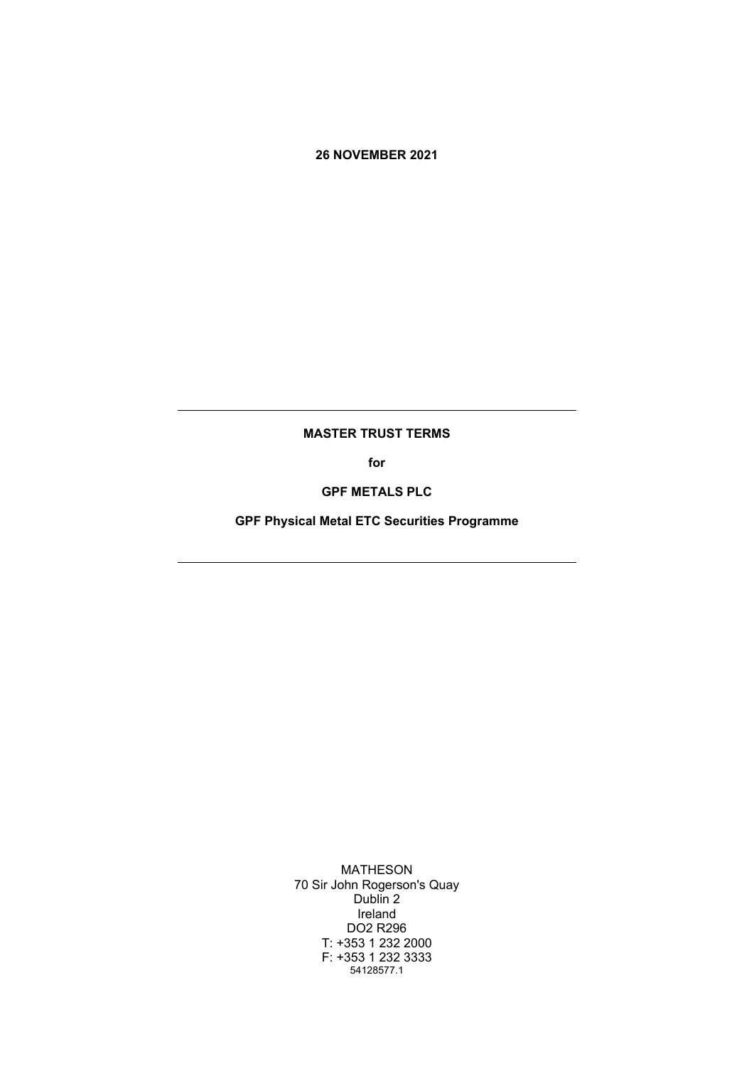### **26 NOVEMBER 2021**

#### **MASTER TRUST TERMS**

**for**

**GPF METALS PLC**

**GPF Physical Metal ETC Securities Programme**

MATHESON 70 Sir John Rogerson's Quay Dublin 2 Ireland DO2 R296 T: +353 1 232 2000 F: +353 1 232 3333 54128577.1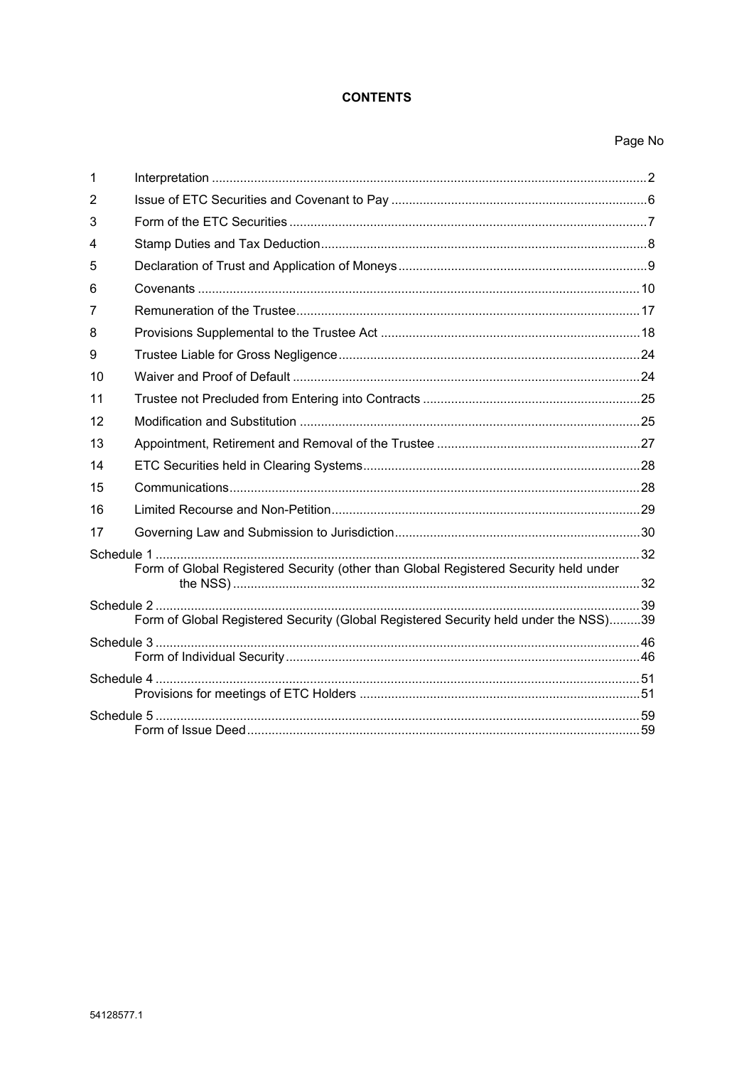# **CONTENTS**

# Page No

| 1  |                                                                                      |  |
|----|--------------------------------------------------------------------------------------|--|
| 2  |                                                                                      |  |
| 3  |                                                                                      |  |
| 4  |                                                                                      |  |
| 5  |                                                                                      |  |
| 6  |                                                                                      |  |
| 7  |                                                                                      |  |
| 8  |                                                                                      |  |
| 9  |                                                                                      |  |
| 10 |                                                                                      |  |
| 11 |                                                                                      |  |
| 12 |                                                                                      |  |
| 13 |                                                                                      |  |
| 14 |                                                                                      |  |
| 15 |                                                                                      |  |
| 16 |                                                                                      |  |
| 17 |                                                                                      |  |
|    | Form of Global Registered Security (other than Global Registered Security held under |  |
|    | Form of Global Registered Security (Global Registered Security held under the NSS)39 |  |
|    |                                                                                      |  |
|    |                                                                                      |  |
|    |                                                                                      |  |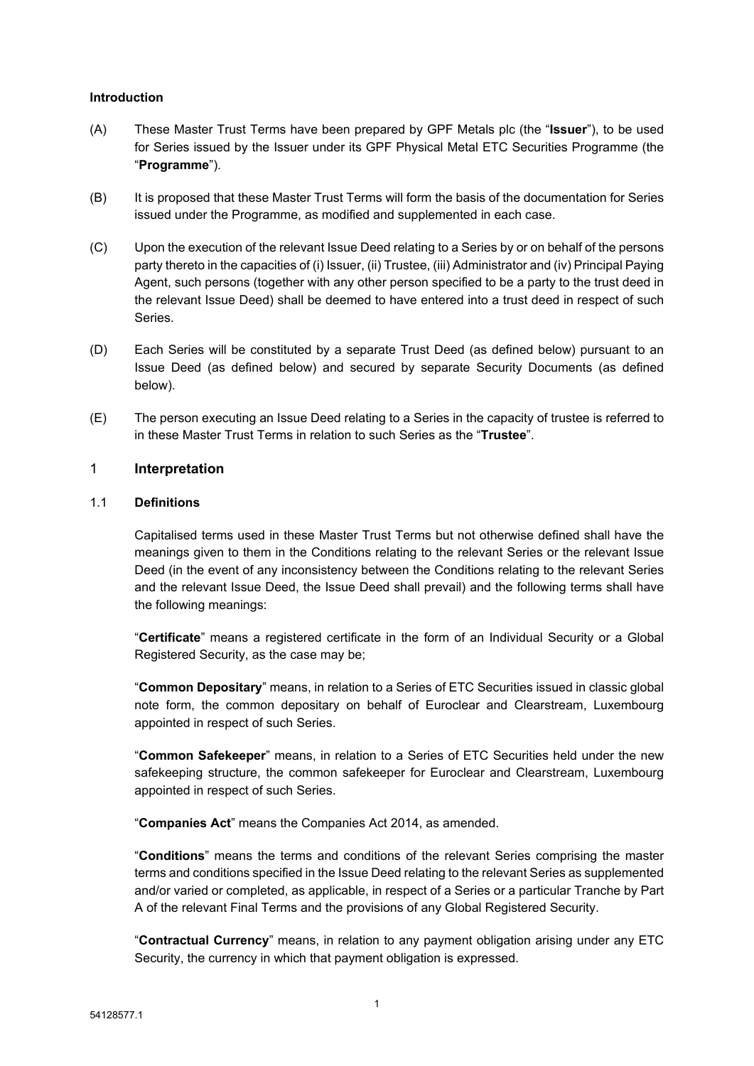### **Introduction**

- (A) These Master Trust Terms have been prepared by GPF Metals plc (the "**Issuer**"), to be used for Series issued by the Issuer under its GPF Physical Metal ETC Securities Programme (the "**Programme**").
- (B) It is proposed that these Master Trust Terms will form the basis of the documentation for Series issued under the Programme, as modified and supplemented in each case.
- (C) Upon the execution of the relevant Issue Deed relating to a Series by or on behalf of the persons party thereto in the capacities of (i) Issuer, (ii) Trustee, (iii) Administrator and (iv) Principal Paying Agent, such persons (together with any other person specified to be a party to the trust deed in the relevant Issue Deed) shall be deemed to have entered into a trust deed in respect of such Series.
- (D) Each Series will be constituted by a separate Trust Deed (as defined below) pursuant to an Issue Deed (as defined below) and secured by separate Security Documents (as defined below).
- (E) The person executing an Issue Deed relating to a Series in the capacity of trustee is referred to in these Master Trust Terms in relation to such Series as the "**Trustee**".

### <span id="page-2-0"></span>1 **Interpretation**

### 1.1 **Definitions**

Capitalised terms used in these Master Trust Terms but not otherwise defined shall have the meanings given to them in the Conditions relating to the relevant Series or the relevant Issue Deed (in the event of any inconsistency between the Conditions relating to the relevant Series and the relevant Issue Deed, the Issue Deed shall prevail) and the following terms shall have the following meanings:

"**Certificate**" means a registered certificate in the form of an Individual Security or a Global Registered Security, as the case may be;

"**Common Depositary**" means, in relation to a Series of ETC Securities issued in classic global note form, the common depositary on behalf of Euroclear and Clearstream, Luxembourg appointed in respect of such Series.

"**Common Safekeeper**" means, in relation to a Series of ETC Securities held under the new safekeeping structure, the common safekeeper for Euroclear and Clearstream, Luxembourg appointed in respect of such Series.

"**Companies Act**" means the Companies Act 2014, as amended.

"**Conditions**" means the terms and conditions of the relevant Series comprising the master terms and conditions specified in the Issue Deed relating to the relevant Series as supplemented and/or varied or completed, as applicable, in respect of a Series or a particular Tranche by Part A of the relevant Final Terms and the provisions of any Global Registered Security.

"**Contractual Currency**" means, in relation to any payment obligation arising under any ETC Security, the currency in which that payment obligation is expressed.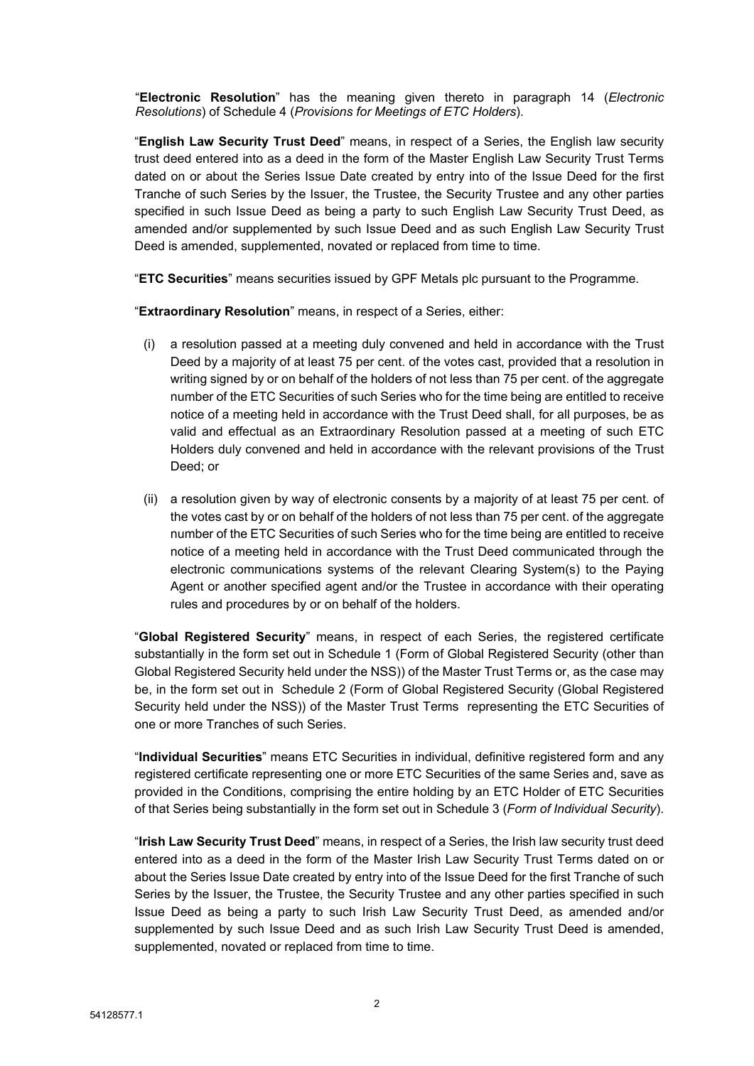"**Electronic Resolution**" has the meaning given thereto in paragraph 14 (*Electronic Resolutions*) of Schedule 4 (*Provisions for Meetings of ETC Holders*).

"**English Law Security Trust Deed**" means, in respect of a Series, the English law security trust deed entered into as a deed in the form of the Master English Law Security Trust Terms dated on or about the Series Issue Date created by entry into of the Issue Deed for the first Tranche of such Series by the Issuer, the Trustee, the Security Trustee and any other parties specified in such Issue Deed as being a party to such English Law Security Trust Deed, as amended and/or supplemented by such Issue Deed and as such English Law Security Trust Deed is amended, supplemented, novated or replaced from time to time.

"**ETC Securities**" means securities issued by GPF Metals plc pursuant to the Programme.

"**Extraordinary Resolution**" means, in respect of a Series, either:

- (i) a resolution passed at a meeting duly convened and held in accordance with the Trust Deed by a majority of at least 75 per cent. of the votes cast, provided that a resolution in writing signed by or on behalf of the holders of not less than 75 per cent. of the aggregate number of the ETC Securities of such Series who for the time being are entitled to receive notice of a meeting held in accordance with the Trust Deed shall, for all purposes, be as valid and effectual as an Extraordinary Resolution passed at a meeting of such ETC Holders duly convened and held in accordance with the relevant provisions of the Trust Deed; or
- (ii) a resolution given by way of electronic consents by a majority of at least 75 per cent. of the votes cast by or on behalf of the holders of not less than 75 per cent. of the aggregate number of the ETC Securities of such Series who for the time being are entitled to receive notice of a meeting held in accordance with the Trust Deed communicated through the electronic communications systems of the relevant Clearing System(s) to the Paying Agent or another specified agent and/or the Trustee in accordance with their operating rules and procedures by or on behalf of the holders.

"**Global Registered Security**" means, in respect of each Series, the registered certificate substantially in the form set out in [Schedule](#page-37-1) 1 (Form of Global [Registered](#page-37-2) Security (other than Global [Registered](#page-37-2) Security held under the NSS)) of the Master Trust Terms or, as the case may be, in the form set out in [Schedule](#page-44-0) 2 (Form of Global Registered Security (Global [Registered](#page-44-1) [Security](#page-44-1) held under the NSS)) of the Master Trust Terms representing the ETC Securities of one or more Tranches of such Series.

"**Individual Securities**" means ETC Securities in individual, definitive registered form and any registered certificate representing one or more ETC Securities of the same Series and, save as provided in the Conditions, comprising the entire holding by an ETC Holder of ETC Securities of that Series being substantially in the form set out in [Schedule](#page-51-0) 3 (*Form of [Individual](#page-51-1) Security*).

"**Irish Law Security Trust Deed**" means, in respect of a Series, the Irish law security trust deed entered into as a deed in the form of the Master Irish Law Security Trust Terms dated on or about the Series Issue Date created by entry into of the Issue Deed for the first Tranche of such Series by the Issuer, the Trustee, the Security Trustee and any other parties specified in such Issue Deed as being a party to such Irish Law Security Trust Deed, as amended and/or supplemented by such Issue Deed and as such Irish Law Security Trust Deed is amended, supplemented, novated or replaced from time to time.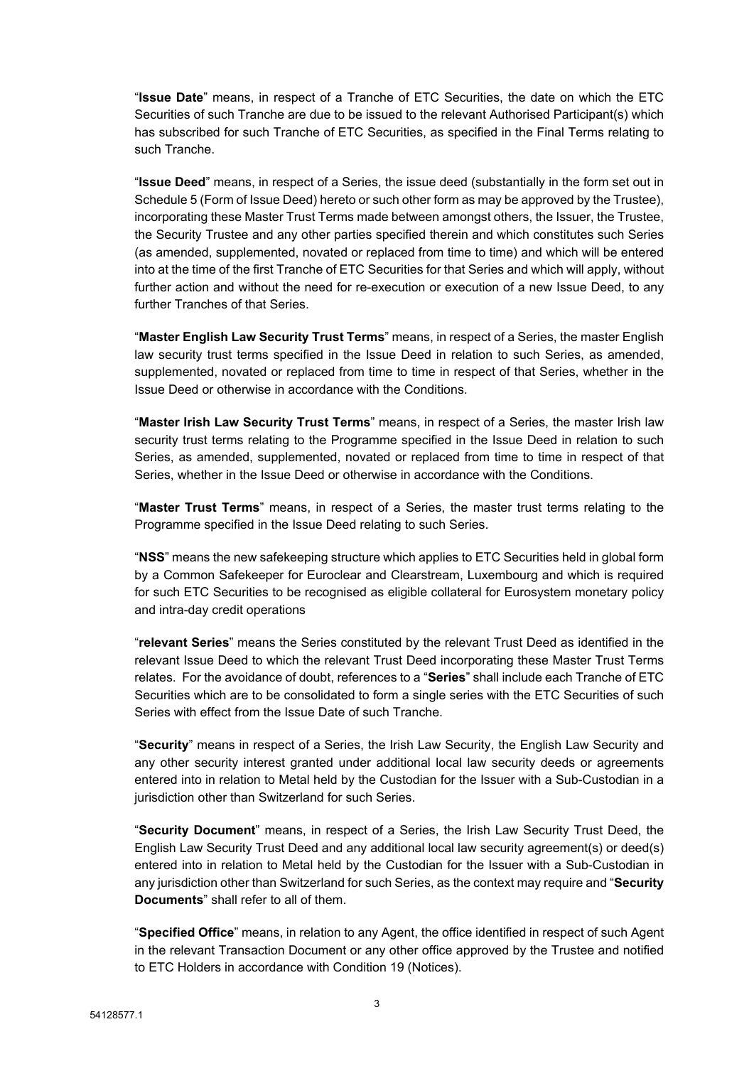"**Issue Date**" means, in respect of a Tranche of ETC Securities, the date on which the ETC Securities of such Tranche are due to be issued to the relevant Authorised Participant(s) which has subscribed for such Tranche of ETC Securities, as specified in the Final Terms relating to such Tranche.

"**Issue Deed**" means, in respect of a Series, the issue deed (substantially in the form set out in [Schedule](#page-65-0) 5 (Form of [Issue](#page-65-1) Deed) hereto or such other form as may be approved by the Trustee), incorporating these Master Trust Terms made between amongst others, the Issuer, the Trustee, the Security Trustee and any other parties specified therein and which constitutes such Series (as amended, supplemented, novated or replaced from time to time) and which will be entered into at the time of the first Tranche of ETC Securities for that Series and which will apply, without further action and without the need for re-execution or execution of a new Issue Deed, to any further Tranches of that Series.

"**Master English Law Security Trust Terms**" means, in respect of a Series, the master English law security trust terms specified in the Issue Deed in relation to such Series, as amended, supplemented, novated or replaced from time to time in respect of that Series, whether in the Issue Deed or otherwise in accordance with the Conditions.

"**Master Irish Law Security Trust Terms**" means, in respect of a Series, the master Irish law security trust terms relating to the Programme specified in the Issue Deed in relation to such Series, as amended, supplemented, novated or replaced from time to time in respect of that Series, whether in the Issue Deed or otherwise in accordance with the Conditions.

"**Master Trust Terms**" means, in respect of a Series, the master trust terms relating to the Programme specified in the Issue Deed relating to such Series.

"**NSS**" means the new safekeeping structure which applies to ETC Securities held in global form by a Common Safekeeper for Euroclear and Clearstream, Luxembourg and which is required for such ETC Securities to be recognised as eligible collateral for Eurosystem monetary policy and intra-day credit operations

"**relevant Series**" means the Series constituted by the relevant Trust Deed as identified in the relevant Issue Deed to which the relevant Trust Deed incorporating these Master Trust Terms relates. For the avoidance of doubt, references to a "**Series**" shall include each Tranche of ETC Securities which are to be consolidated to form a single series with the ETC Securities of such Series with effect from the Issue Date of such Tranche.

"**Security**" means in respect of a Series, the Irish Law Security, the English Law Security and any other security interest granted under additional local law security deeds or agreements entered into in relation to Metal held by the Custodian for the Issuer with a Sub-Custodian in a jurisdiction other than Switzerland for such Series.

"**Security Document**" means, in respect of a Series, the Irish Law Security Trust Deed, the English Law Security Trust Deed and any additional local law security agreement(s) or deed(s) entered into in relation to Metal held by the Custodian for the Issuer with a Sub-Custodian in any jurisdiction other than Switzerland for such Series, as the context may require and "**Security Documents**" shall refer to all of them.

"**Specified Office**" means, in relation to any Agent, the office identified in respect of such Agent in the relevant Transaction Document or any other office approved by the Trustee and notified to ETC Holders in accordance with Condition 19 (Notices).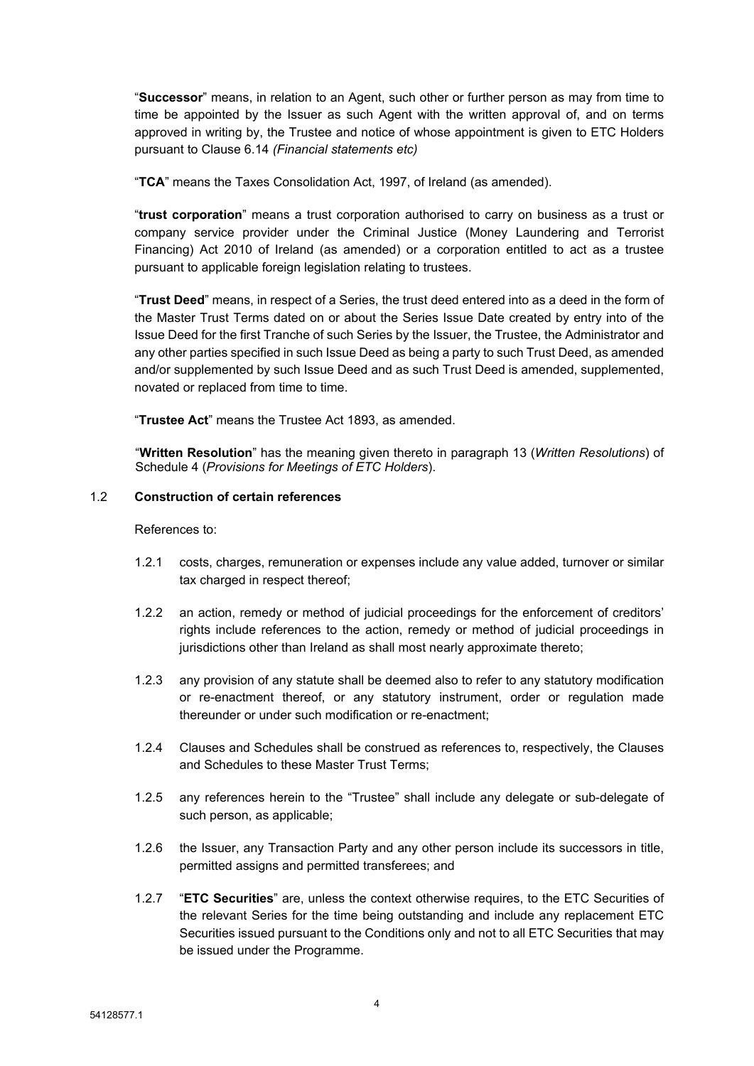"**Successor**" means, in relation to an Agent, such other or further person as may from time to time be appointed by the Issuer as such Agent with the written approval of, and on terms approved in writing by, the Trustee and notice of whose appointment is given to ETC Holders pursuant to Clause [6.14](#page-13-0) *(Financial [statements](#page-11-1) etc)*

"**TCA**" means the Taxes Consolidation Act, 1997, of Ireland (as amended).

"**trust corporation**" means a trust corporation authorised to carry on business as a trust or company service provider under the Criminal Justice (Money Laundering and Terrorist Financing) Act 2010 of Ireland (as amended) or a corporation entitled to act as a trustee pursuant to applicable foreign legislation relating to trustees.

"**Trust Deed**" means, in respect of a Series, the trust deed entered into as a deed in the form of the Master Trust Terms dated on or about the Series Issue Date created by entry into of the Issue Deed for the first Tranche of such Series by the Issuer, the Trustee, the Administrator and any other parties specified in such Issue Deed as being a party to such Trust Deed, as amended and/or supplemented by such Issue Deed and as such Trust Deed is amended, supplemented, novated or replaced from time to time.

"**Trustee Act**" means the Trustee Act 1893, as amended.

"**Written Resolution**" has the meaning given thereto in paragraph 13 (*Written Resolutions*) of Schedule 4 (*Provisions for Meetings of ETC Holders*).

# 1.2 **Construction of certain references**

#### References to:

- 1.2.1 costs, charges, remuneration or expenses include any value added, turnover or similar tax charged in respect thereof;
- 1.2.2 an action, remedy or method of judicial proceedings for the enforcement of creditors' rights include references to the action, remedy or method of judicial proceedings in jurisdictions other than Ireland as shall most nearly approximate thereto;
- 1.2.3 any provision of any statute shall be deemed also to refer to any statutory modification or re-enactment thereof, or any statutory instrument, order or regulation made thereunder or under such modification or re-enactment;
- 1.2.4 Clauses and Schedules shall be construed as references to, respectively, the Clauses and Schedules to these Master Trust Terms;
- 1.2.5 any references herein to the "Trustee" shall include any delegate or sub-delegate of such person, as applicable;
- 1.2.6 the Issuer, any Transaction Party and any other person include its successors in title, permitted assigns and permitted transferees; and
- 1.2.7 "**ETC Securities**" are, unless the context otherwise requires, to the ETC Securities of the relevant Series for the time being outstanding and include any replacement ETC Securities issued pursuant to the Conditions only and not to all ETC Securities that may be issued under the Programme.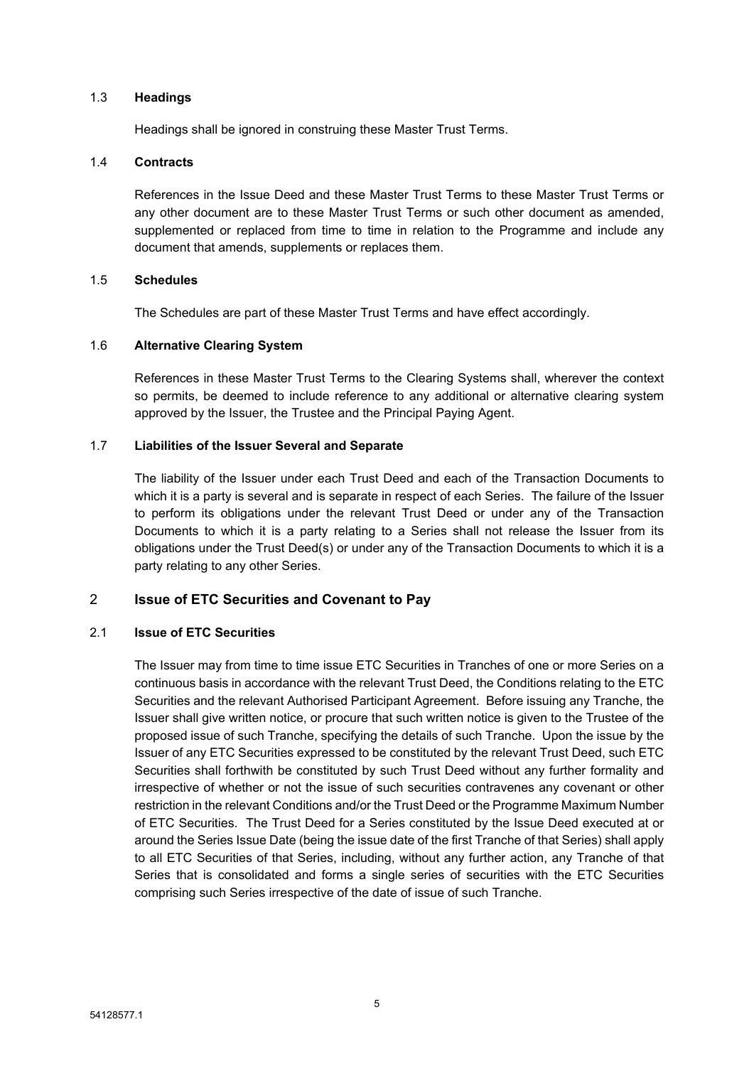### 1.3 **Headings**

Headings shall be ignored in construing these Master Trust Terms.

### 1.4 **Contracts**

References in the Issue Deed and these Master Trust Terms to these Master Trust Terms or any other document are to these Master Trust Terms or such other document as amended, supplemented or replaced from time to time in relation to the Programme and include any document that amends, supplements or replaces them.

### 1.5 **Schedules**

The Schedules are part of these Master Trust Terms and have effect accordingly.

# 1.6 **Alternative Clearing System**

References in these Master Trust Terms to the Clearing Systems shall, wherever the context so permits, be deemed to include reference to any additional or alternative clearing system approved by the Issuer, the Trustee and the Principal Paying Agent.

### 1.7 **Liabilities of the Issuer Several and Separate**

The liability of the Issuer under each Trust Deed and each of the Transaction Documents to which it is a party is several and is separate in respect of each Series. The failure of the Issuer to perform its obligations under the relevant Trust Deed or under any of the Transaction Documents to which it is a party relating to a Series shall not release the Issuer from its obligations under the Trust Deed(s) or under any of the Transaction Documents to which it is a party relating to any other Series.

# <span id="page-6-0"></span>2 **Issue of ETC Securities and Covenant to Pay**

# 2.1 **Issue of ETC Securities**

The Issuer may from time to time issue ETC Securities in Tranches of one or more Series on a continuous basis in accordance with the relevant Trust Deed, the Conditions relating to the ETC Securities and the relevant Authorised Participant Agreement. Before issuing any Tranche, the Issuer shall give written notice, or procure that such written notice is given to the Trustee of the proposed issue of such Tranche, specifying the details of such Tranche. Upon the issue by the Issuer of any ETC Securities expressed to be constituted by the relevant Trust Deed, such ETC Securities shall forthwith be constituted by such Trust Deed without any further formality and irrespective of whether or not the issue of such securities contravenes any covenant or other restriction in the relevant Conditions and/or the Trust Deed or the Programme Maximum Number of ETC Securities. The Trust Deed for a Series constituted by the Issue Deed executed at or around the Series Issue Date (being the issue date of the first Tranche of that Series) shall apply to all ETC Securities of that Series, including, without any further action, any Tranche of that Series that is consolidated and forms a single series of securities with the ETC Securities comprising such Series irrespective of the date of issue of such Tranche.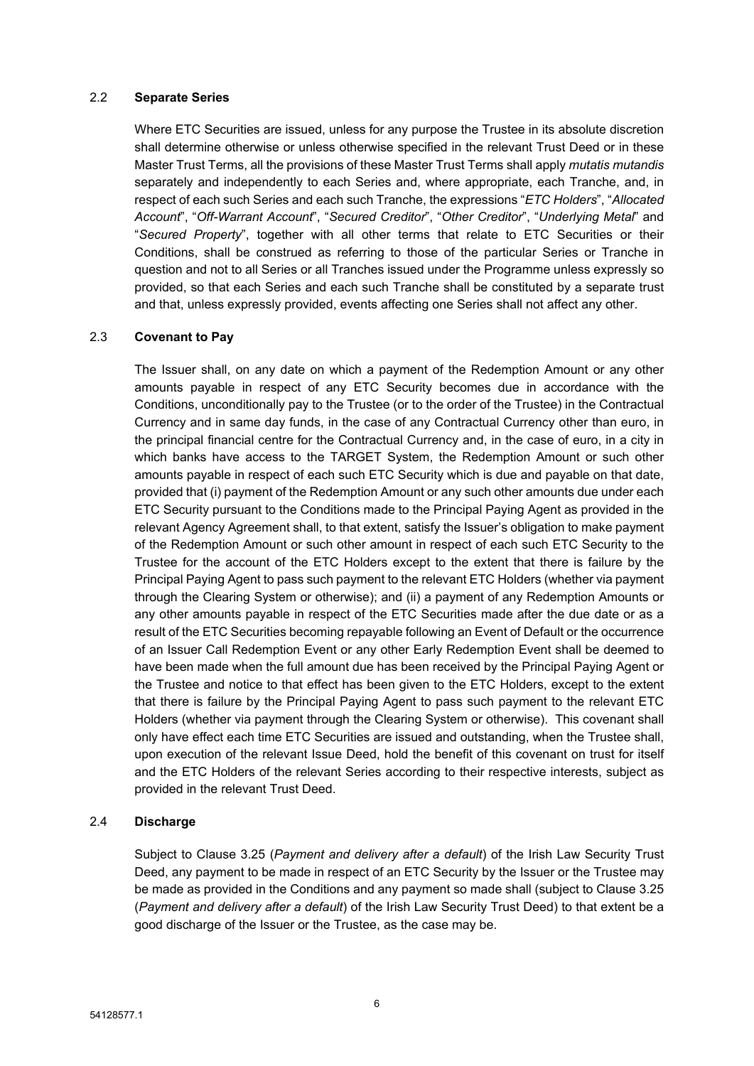### 2.2 **Separate Series**

Where ETC Securities are issued, unless for any purpose the Trustee in its absolute discretion shall determine otherwise or unless otherwise specified in the relevant Trust Deed or in these Master Trust Terms, all the provisions of these Master Trust Terms shall apply *mutatis mutandis* separately and independently to each Series and, where appropriate, each Tranche, and, in respect of each such Series and each such Tranche, the expressions "*ETC Holders*", "*Allocated Account*", "*Off-Warrant Account*", "*Secured Creditor*", "*Other Creditor*", "*Underlying Metal*" and "*Secured Property*", together with all other terms that relate to ETC Securities or their Conditions, shall be construed as referring to those of the particular Series or Tranche in question and not to all Series or all Tranches issued under the Programme unless expressly so provided, so that each Series and each such Tranche shall be constituted by a separate trust and that, unless expressly provided, events affecting one Series shall not affect any other.

# <span id="page-7-0"></span>2.3 **Covenant to Pay**

The Issuer shall, on any date on which a payment of the Redemption Amount or any other amounts payable in respect of any ETC Security becomes due in accordance with the Conditions, unconditionally pay to the Trustee (or to the order of the Trustee) in the Contractual Currency and in same day funds, in the case of any Contractual Currency other than euro, in the principal financial centre for the Contractual Currency and, in the case of euro, in a city in which banks have access to the TARGET System, the Redemption Amount or such other amounts payable in respect of each such ETC Security which is due and payable on that date, provided that (i) payment of the Redemption Amount or any such other amounts due under each ETC Security pursuant to the Conditions made to the Principal Paying Agent as provided in the relevant Agency Agreement shall, to that extent, satisfy the Issuer's obligation to make payment of the Redemption Amount or such other amount in respect of each such ETC Security to the Trustee for the account of the ETC Holders except to the extent that there is failure by the Principal Paying Agent to pass such payment to the relevant ETC Holders (whether via payment through the Clearing System or otherwise); and (ii) a payment of any Redemption Amounts or any other amounts payable in respect of the ETC Securities made after the due date or as a result of the ETC Securities becoming repayable following an Event of Default or the occurrence of an Issuer Call Redemption Event or any other Early Redemption Event shall be deemed to have been made when the full amount due has been received by the Principal Paying Agent or the Trustee and notice to that effect has been given to the ETC Holders, except to the extent that there is failure by the Principal Paying Agent to pass such payment to the relevant ETC Holders (whether via payment through the Clearing System or otherwise). This covenant shall only have effect each time ETC Securities are issued and outstanding, when the Trustee shall, upon execution of the relevant Issue Deed, hold the benefit of this covenant on trust for itself and the ETC Holders of the relevant Series according to their respective interests, subject as provided in the relevant Trust Deed.

# 2.4 **Discharge**

Subject to Clause 3.25 (*Payment and delivery after a default*) of the Irish Law Security Trust Deed, any payment to be made in respect of an ETC Security by the Issuer or the Trustee may be made as provided in the Conditions and any payment so made shall (subject to Clause 3.25 (*Payment and delivery after a default*) of the Irish Law Security Trust Deed) to that extent be a good discharge of the Issuer or the Trustee, as the case may be.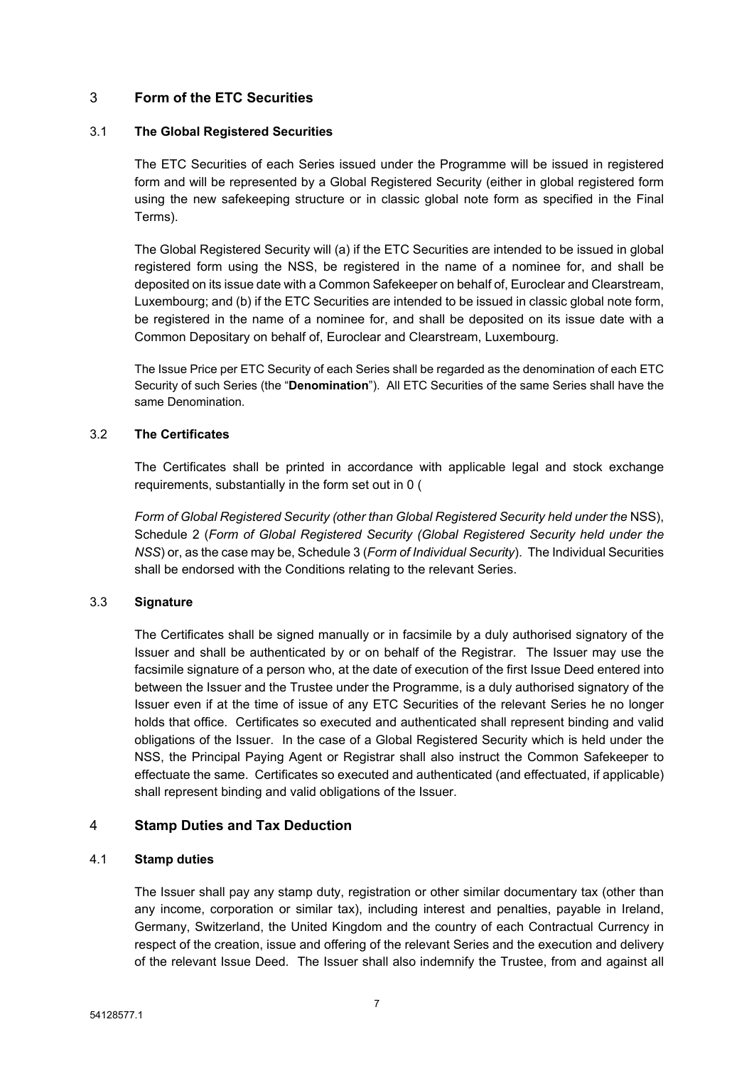# <span id="page-8-0"></span>3 **Form of the ETC Securities**

# 3.1 **The Global Registered Securities**

The ETC Securities of each Series issued under the Programme will be issued in registered form and will be represented by a Global Registered Security (either in global registered form using the new safekeeping structure or in classic global note form as specified in the Final Terms).

The Global Registered Security will (a) if the ETC Securities are intended to be issued in global registered form using the NSS, be registered in the name of a nominee for, and shall be deposited on its issue date with a Common Safekeeper on behalf of, Euroclear and Clearstream, Luxembourg; and (b) if the ETC Securities are intended to be issued in classic global note form, be registered in the name of a nominee for, and shall be deposited on its issue date with a Common Depositary on behalf of, Euroclear and Clearstream, Luxembourg.

The Issue Price per ETC Security of each Series shall be regarded as the denomination of each ETC Security of such Series (the "**Denomination**"). All ETC Securities of the same Series shall have the same Denomination.

# 3.2 **The Certificates**

The Certificates shall be printed in accordance with applicable legal and stock exchange requirements, substantially in the form set out in [0](#page-37-0) (

*Form of Global [Registered](#page-37-1) Security (other than Global Registered Security held under the* NSS), [Schedule](#page-44-0) 2 (*Form of Global [Registered](#page-44-1) Security (Global Registered Security held under the [NSS](#page-44-1)*) or, as the case may be, [Schedule](#page-51-0) 3 (*Form of [Individual](#page-51-1) Security*). The Individual Securities shall be endorsed with the Conditions relating to the relevant Series.

# 3.3 **Signature**

The Certificates shall be signed manually or in facsimile by a duly authorised signatory of the Issuer and shall be authenticated by or on behalf of the Registrar. The Issuer may use the facsimile signature of a person who, at the date of execution of the first Issue Deed entered into between the Issuer and the Trustee under the Programme, is a duly authorised signatory of the Issuer even if at the time of issue of any ETC Securities of the relevant Series he no longer holds that office. Certificates so executed and authenticated shall represent binding and valid obligations of the Issuer. In the case of a Global Registered Security which is held under the NSS, the Principal Paying Agent or Registrar shall also instruct the Common Safekeeper to effectuate the same. Certificates so executed and authenticated (and effectuated, if applicable) shall represent binding and valid obligations of the Issuer.

# <span id="page-8-1"></span>4 **Stamp Duties and Tax Deduction**

# 4.1 **Stamp duties**

The Issuer shall pay any stamp duty, registration or other similar documentary tax (other than any income, corporation or similar tax), including interest and penalties, payable in Ireland, Germany, Switzerland, the United Kingdom and the country of each Contractual Currency in respect of the creation, issue and offering of the relevant Series and the execution and delivery of the relevant Issue Deed. The Issuer shall also indemnify the Trustee, from and against all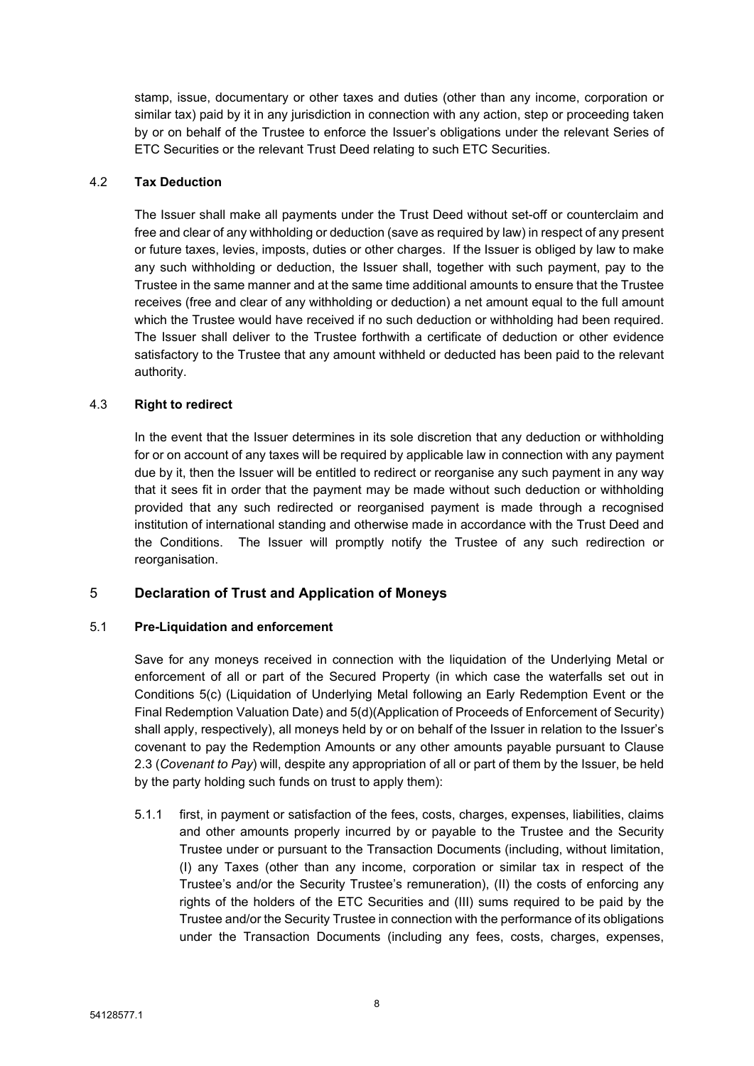stamp, issue, documentary or other taxes and duties (other than any income, corporation or similar tax) paid by it in any jurisdiction in connection with any action, step or proceeding taken by or on behalf of the Trustee to enforce the Issuer's obligations under the relevant Series of ETC Securities or the relevant Trust Deed relating to such ETC Securities.

# 4.2 **Tax Deduction**

The Issuer shall make all payments under the Trust Deed without set-off or counterclaim and free and clear of any withholding or deduction (save as required by law) in respect of any present or future taxes, levies, imposts, duties or other charges. If the Issuer is obliged by law to make any such withholding or deduction, the Issuer shall, together with such payment, pay to the Trustee in the same manner and at the same time additional amounts to ensure that the Trustee receives (free and clear of any withholding or deduction) a net amount equal to the full amount which the Trustee would have received if no such deduction or withholding had been required. The Issuer shall deliver to the Trustee forthwith a certificate of deduction or other evidence satisfactory to the Trustee that any amount withheld or deducted has been paid to the relevant authority.

# 4.3 **Right to redirect**

In the event that the Issuer determines in its sole discretion that any deduction or withholding for or on account of any taxes will be required by applicable law in connection with any payment due by it, then the Issuer will be entitled to redirect or reorganise any such payment in any way that it sees fit in order that the payment may be made without such deduction or withholding provided that any such redirected or reorganised payment is made through a recognised institution of international standing and otherwise made in accordance with the Trust Deed and the Conditions. The Issuer will promptly notify the Trustee of any such redirection or reorganisation.

# <span id="page-9-0"></span>5 **Declaration of Trust and Application of Moneys**

# 5.1 **Pre-Liquidation and enforcement**

Save for any moneys received in connection with the liquidation of the Underlying Metal or enforcement of all or part of the Secured Property (in which case the waterfalls set out in Conditions 5(c) (Liquidation of Underlying Metal following an Early Redemption Event or the Final Redemption Valuation Date) and 5(d)(Application of Proceeds of Enforcement of Security) shall apply, respectively), all moneys held by or on behalf of the Issuer in relation to the Issuer's covenant to pay the Redemption Amounts or any other amounts payable pursuant to Clause [2.3](#page-7-0) (*[Covenant](#page-7-0) to Pay*) will, despite any appropriation of all or part of them by the Issuer, be held by the party holding such funds on trust to apply them):

5.1.1 first, in payment or satisfaction of the fees, costs, charges, expenses, liabilities, claims and other amounts properly incurred by or payable to the Trustee and the Security Trustee under or pursuant to the Transaction Documents (including, without limitation, (I) any Taxes (other than any income, corporation or similar tax in respect of the Trustee's and/or the Security Trustee's remuneration), (II) the costs of enforcing any rights of the holders of the ETC Securities and (III) sums required to be paid by the Trustee and/or the Security Trustee in connection with the performance of its obligations under the Transaction Documents (including any fees, costs, charges, expenses,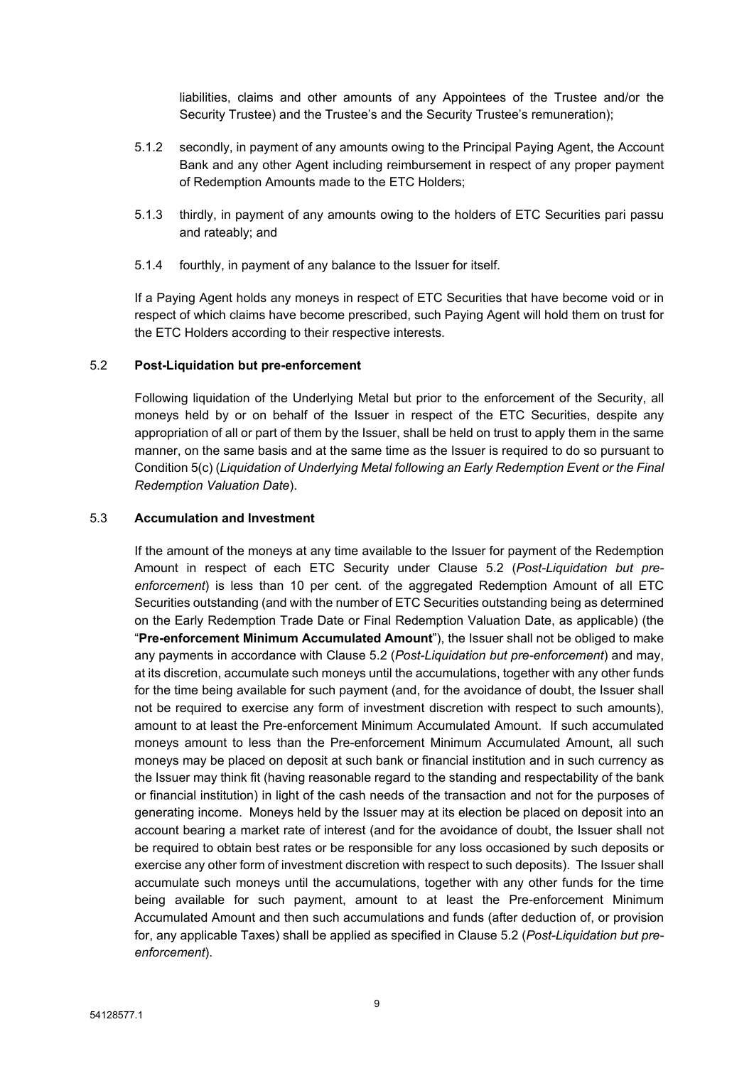liabilities, claims and other amounts of any Appointees of the Trustee and/or the Security Trustee) and the Trustee's and the Security Trustee's remuneration);

- 5.1.2 secondly, in payment of any amounts owing to the Principal Paying Agent, the Account Bank and any other Agent including reimbursement in respect of any proper payment of Redemption Amounts made to the ETC Holders;
- 5.1.3 thirdly, in payment of any amounts owing to the holders of ETC Securities pari passu and rateably; and
- 5.1.4 fourthly, in payment of any balance to the Issuer for itself.

If a Paying Agent holds any moneys in respect of ETC Securities that have become void or in respect of which claims have become prescribed, such Paying Agent will hold them on trust for the ETC Holders according to their respective interests.

### <span id="page-10-0"></span>5.2 **Post-Liquidation but pre-enforcement**

Following liquidation of the Underlying Metal but prior to the enforcement of the Security, all moneys held by or on behalf of the Issuer in respect of the ETC Securities, despite any appropriation of all or part of them by the Issuer, shall be held on trust to apply them in the same manner, on the same basis and at the same time as the Issuer is required to do so pursuant to Condition 5(c) (*Liquidation of Underlying Metal following an Early Redemption Event or the Final Redemption Valuation Date*).

### 5.3 **Accumulation and Investment**

If the amount of the moneys at any time available to the Issuer for payment of the Redemption Amount in respect of each ETC Security under Clause [5.2](#page-10-0) (*[Post-Liquidation](#page-10-0) but pre[enforcement](#page-10-0)*) is less than 10 per cent. of the aggregated Redemption Amount of all ETC Securities outstanding (and with the number of ETC Securities outstanding being as determined on the Early Redemption Trade Date or Final Redemption Valuation Date, as applicable) (the "**Pre-enforcement Minimum Accumulated Amount**"), the Issuer shall not be obliged to make any payments in accordance with Clause [5.2](#page-10-0) (*Post-Liquidation but [pre-enforcement](#page-10-0)*) and may, at its discretion, accumulate such moneys until the accumulations, together with any other funds for the time being available for such payment (and, for the avoidance of doubt, the Issuer shall not be required to exercise any form of investment discretion with respect to such amounts), amount to at least the Pre-enforcement Minimum Accumulated Amount. If such accumulated moneys amount to less than the Pre-enforcement Minimum Accumulated Amount, all such moneys may be placed on deposit at such bank or financial institution and in such currency as the Issuer may think fit (having reasonable regard to the standing and respectability of the bank or financial institution) in light of the cash needs of the transaction and not for the purposes of generating income. Moneys held by the Issuer may at its election be placed on deposit into an account bearing a market rate of interest (and for the avoidance of doubt, the Issuer shall not be required to obtain best rates or be responsible for any loss occasioned by such deposits or exercise any other form of investment discretion with respect to such deposits). The Issuer shall accumulate such moneys until the accumulations, together with any other funds for the time being available for such payment, amount to at least the Pre-enforcement Minimum Accumulated Amount and then such accumulations and funds (after deduction of, or provision for, any applicable Taxes) shall be applied as specified in Clause [5.2](#page-10-0) (*[Post-Liquidation](#page-10-0) but pre[enforcement](#page-10-0)*).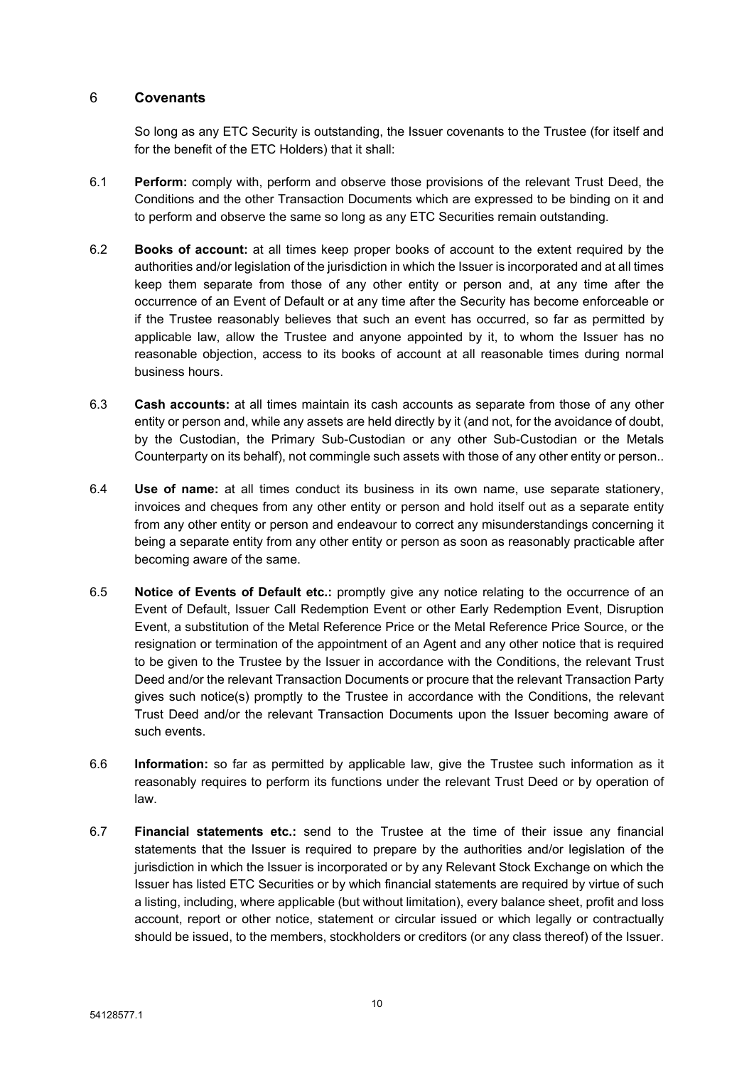# <span id="page-11-0"></span>6 **Covenants**

So long as any ETC Security is outstanding, the Issuer covenants to the Trustee (for itself and for the benefit of the ETC Holders) that it shall:

- 6.1 **Perform:** comply with, perform and observe those provisions of the relevant Trust Deed, the Conditions and the other Transaction Documents which are expressed to be binding on it and to perform and observe the same so long as any ETC Securities remain outstanding.
- 6.2 **Books of account:** at all times keep proper books of account to the extent required by the authorities and/or legislation of the jurisdiction in which the Issuer is incorporated and at all times keep them separate from those of any other entity or person and, at any time after the occurrence of an Event of Default or at any time after the Security has become enforceable or if the Trustee reasonably believes that such an event has occurred, so far as permitted by applicable law, allow the Trustee and anyone appointed by it, to whom the Issuer has no reasonable objection, access to its books of account at all reasonable times during normal business hours.
- 6.3 **Cash accounts:** at all times maintain its cash accounts as separate from those of any other entity or person and, while any assets are held directly by it (and not, for the avoidance of doubt, by the Custodian, the Primary Sub-Custodian or any other Sub-Custodian or the Metals Counterparty on its behalf), not commingle such assets with those of any other entity or person..
- 6.4 **Use of name:** at all times conduct its business in its own name, use separate stationery, invoices and cheques from any other entity or person and hold itself out as a separate entity from any other entity or person and endeavour to correct any misunderstandings concerning it being a separate entity from any other entity or person as soon as reasonably practicable after becoming aware of the same.
- 6.5 **Notice of Events of Default etc.:** promptly give any notice relating to the occurrence of an Event of Default, Issuer Call Redemption Event or other Early Redemption Event, Disruption Event, a substitution of the Metal Reference Price or the Metal Reference Price Source, or the resignation or termination of the appointment of an Agent and any other notice that is required to be given to the Trustee by the Issuer in accordance with the Conditions, the relevant Trust Deed and/or the relevant Transaction Documents or procure that the relevant Transaction Party gives such notice(s) promptly to the Trustee in accordance with the Conditions, the relevant Trust Deed and/or the relevant Transaction Documents upon the Issuer becoming aware of such events.
- 6.6 **Information:** so far as permitted by applicable law, give the Trustee such information as it reasonably requires to perform its functions under the relevant Trust Deed or by operation of law.
- <span id="page-11-1"></span>6.7 **Financial statements etc.:** send to the Trustee at the time of their issue any financial statements that the Issuer is required to prepare by the authorities and/or legislation of the jurisdiction in which the Issuer is incorporated or by any Relevant Stock Exchange on which the Issuer has listed ETC Securities or by which financial statements are required by virtue of such a listing, including, where applicable (but without limitation), every balance sheet, profit and loss account, report or other notice, statement or circular issued or which legally or contractually should be issued, to the members, stockholders or creditors (or any class thereof) of the Issuer.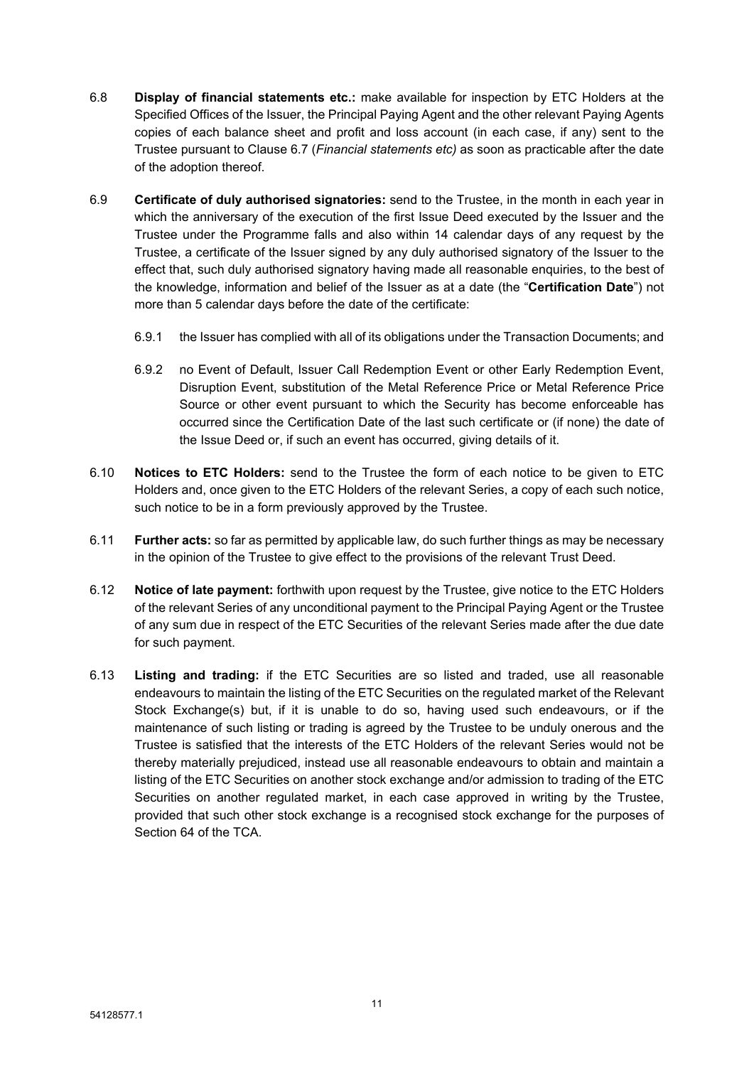- 6.8 **Display of financial statements etc.:** make available for inspection by ETC Holders at the Specified Offices of the Issuer, the Principal Paying Agent and the other relevant Paying Agents copies of each balance sheet and profit and loss account (in each case, if any) sent to the Trustee pursuant to Clause [6.7](#page-11-1) (*Financial [statements](#page-11-1) etc)* as soon as practicable after the date of the adoption thereof.
- 6.9 **Certificate of duly authorised signatories:** send to the Trustee, in the month in each year in which the anniversary of the execution of the first Issue Deed executed by the Issuer and the Trustee under the Programme falls and also within 14 calendar days of any request by the Trustee, a certificate of the Issuer signed by any duly authorised signatory of the Issuer to the effect that, such duly authorised signatory having made all reasonable enquiries, to the best of the knowledge, information and belief of the Issuer as at a date (the "**Certification Date**") not more than 5 calendar days before the date of the certificate:
	- 6.9.1 the Issuer has complied with all of its obligations under the Transaction Documents; and
	- 6.9.2 no Event of Default, Issuer Call Redemption Event or other Early Redemption Event, Disruption Event, substitution of the Metal Reference Price or Metal Reference Price Source or other event pursuant to which the Security has become enforceable has occurred since the Certification Date of the last such certificate or (if none) the date of the Issue Deed or, if such an event has occurred, giving details of it.
- 6.10 **Notices to ETC Holders:** send to the Trustee the form of each notice to be given to ETC Holders and, once given to the ETC Holders of the relevant Series, a copy of each such notice, such notice to be in a form previously approved by the Trustee.
- 6.11 **Further acts:** so far as permitted by applicable law, do such further things as may be necessary in the opinion of the Trustee to give effect to the provisions of the relevant Trust Deed.
- 6.12 **Notice of late payment:** forthwith upon request by the Trustee, give notice to the ETC Holders of the relevant Series of any unconditional payment to the Principal Paying Agent or the Trustee of any sum due in respect of the ETC Securities of the relevant Series made after the due date for such payment.
- 6.13 **Listing and trading:** if the ETC Securities are so listed and traded, use all reasonable endeavours to maintain the listing of the ETC Securities on the regulated market of the Relevant Stock Exchange(s) but, if it is unable to do so, having used such endeavours, or if the maintenance of such listing or trading is agreed by the Trustee to be unduly onerous and the Trustee is satisfied that the interests of the ETC Holders of the relevant Series would not be thereby materially prejudiced, instead use all reasonable endeavours to obtain and maintain a listing of the ETC Securities on another stock exchange and/or admission to trading of the ETC Securities on another regulated market, in each case approved in writing by the Trustee, provided that such other stock exchange is a recognised stock exchange for the purposes of Section 64 of the TCA.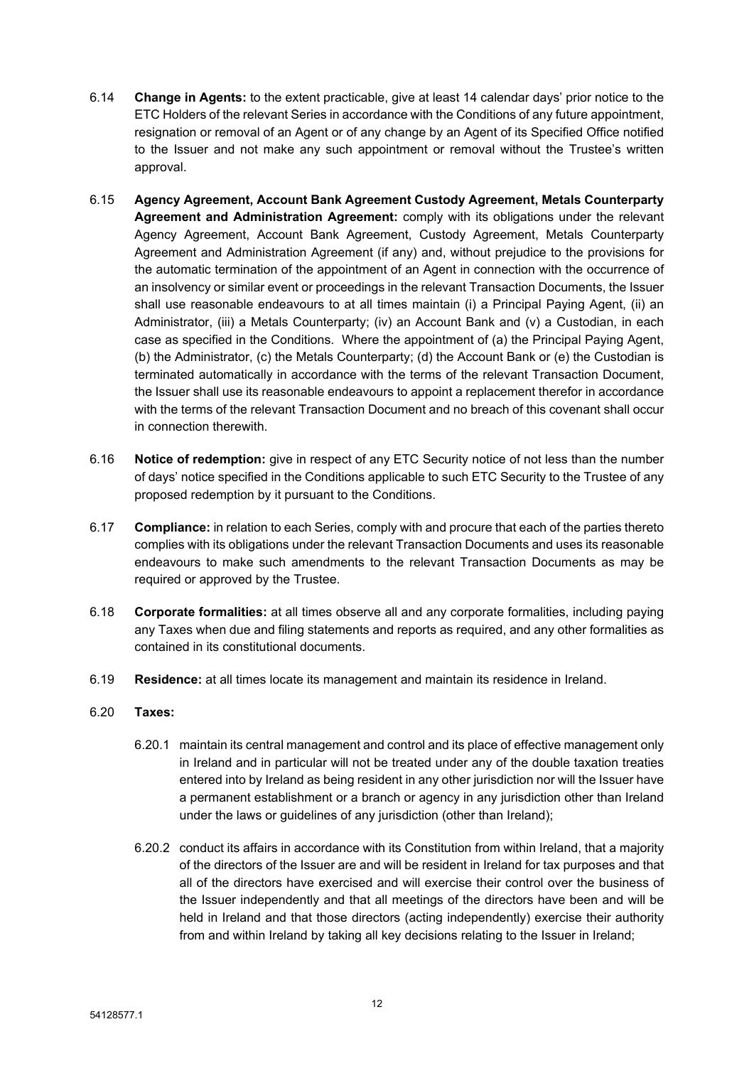- <span id="page-13-0"></span>6.14 **Change in Agents:** to the extent practicable, give at least 14 calendar days' prior notice to the ETC Holders of the relevant Series in accordance with the Conditions of any future appointment, resignation or removal of an Agent or of any change by an Agent of its Specified Office notified to the Issuer and not make any such appointment or removal without the Trustee's written approval.
- 6.15 **Agency Agreement, Account Bank Agreement Custody Agreement, Metals Counterparty Agreement and Administration Agreement:** comply with its obligations under the relevant Agency Agreement, Account Bank Agreement, Custody Agreement, Metals Counterparty Agreement and Administration Agreement (if any) and, without prejudice to the provisions for the automatic termination of the appointment of an Agent in connection with the occurrence of an insolvency or similar event or proceedings in the relevant Transaction Documents, the Issuer shall use reasonable endeavours to at all times maintain (i) a Principal Paying Agent, (ii) an Administrator, (iii) a Metals Counterparty; (iv) an Account Bank and (v) a Custodian, in each case as specified in the Conditions. Where the appointment of (a) the Principal Paying Agent, (b) the Administrator, (c) the Metals Counterparty; (d) the Account Bank or (e) the Custodian is terminated automatically in accordance with the terms of the relevant Transaction Document, the Issuer shall use its reasonable endeavours to appoint a replacement therefor in accordance with the terms of the relevant Transaction Document and no breach of this covenant shall occur in connection therewith.
- 6.16 **Notice of redemption:** give in respect of any ETC Security notice of not less than the number of days' notice specified in the Conditions applicable to such ETC Security to the Trustee of any proposed redemption by it pursuant to the Conditions.
- 6.17 **Compliance:** in relation to each Series, comply with and procure that each of the parties thereto complies with its obligations under the relevant Transaction Documents and uses its reasonable endeavours to make such amendments to the relevant Transaction Documents as may be required or approved by the Trustee.
- 6.18 **Corporate formalities:** at all times observe all and any corporate formalities, including paying any Taxes when due and filing statements and reports as required, and any other formalities as contained in its constitutional documents.
- 6.19 **Residence:** at all times locate its management and maintain its residence in Ireland.
- 6.20 **Taxes:**
	- 6.20.1 maintain its central management and control and its place of effective management only in Ireland and in particular will not be treated under any of the double taxation treaties entered into by Ireland as being resident in any other jurisdiction nor will the Issuer have a permanent establishment or a branch or agency in any jurisdiction other than Ireland under the laws or guidelines of any jurisdiction (other than Ireland);
	- 6.20.2 conduct its affairs in accordance with its Constitution from within Ireland, that a majority of the directors of the Issuer are and will be resident in Ireland for tax purposes and that all of the directors have exercised and will exercise their control over the business of the Issuer independently and that all meetings of the directors have been and will be held in Ireland and that those directors (acting independently) exercise their authority from and within Ireland by taking all key decisions relating to the Issuer in Ireland;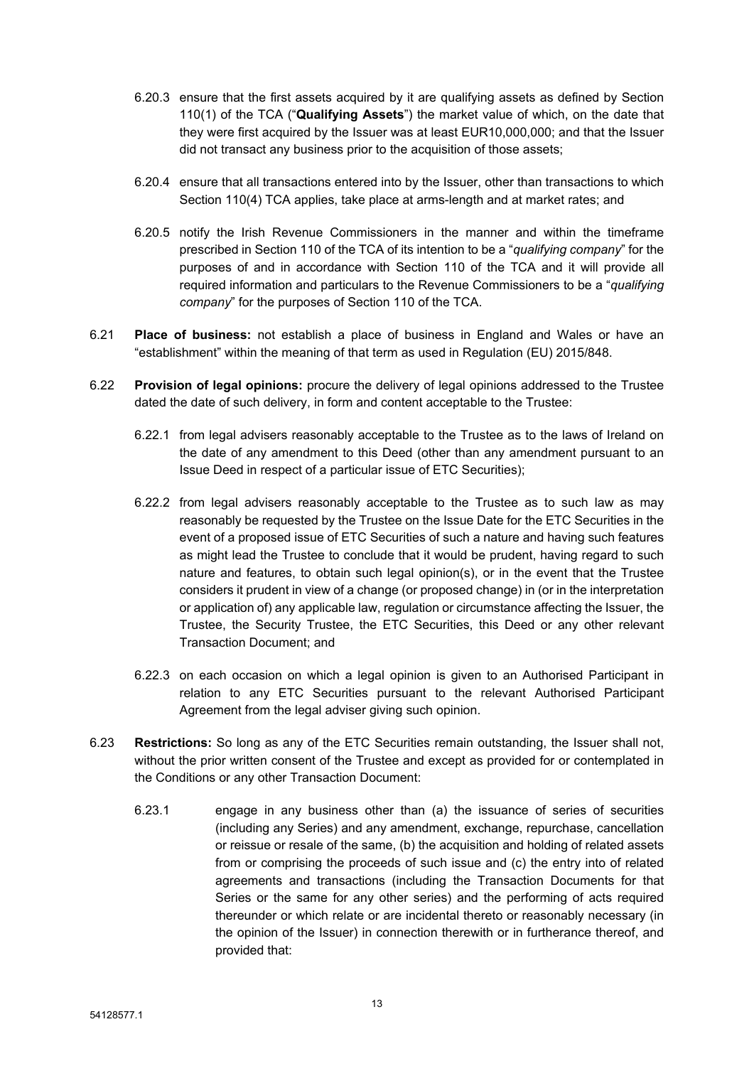- 6.20.3 ensure that the first assets acquired by it are qualifying assets as defined by Section 110(1) of the TCA ("**Qualifying Assets**") the market value of which, on the date that they were first acquired by the Issuer was at least EUR10,000,000; and that the Issuer did not transact any business prior to the acquisition of those assets;
- 6.20.4 ensure that all transactions entered into by the Issuer, other than transactions to which Section 110(4) TCA applies, take place at arms-length and at market rates; and
- 6.20.5 notify the Irish Revenue Commissioners in the manner and within the timeframe prescribed in Section 110 of the TCA of its intention to be a "*qualifying company*" for the purposes of and in accordance with Section 110 of the TCA and it will provide all required information and particulars to the Revenue Commissioners to be a "*qualifying company*" for the purposes of Section 110 of the TCA.
- 6.21 **Place of business:** not establish a place of business in England and Wales or have an "establishment" within the meaning of that term as used in Regulation (EU) 2015/848.
- 6.22 **Provision of legal opinions:** procure the delivery of legal opinions addressed to the Trustee dated the date of such delivery, in form and content acceptable to the Trustee:
	- 6.22.1 from legal advisers reasonably acceptable to the Trustee as to the laws of Ireland on the date of any amendment to this Deed (other than any amendment pursuant to an Issue Deed in respect of a particular issue of ETC Securities);
	- 6.22.2 from legal advisers reasonably acceptable to the Trustee as to such law as may reasonably be requested by the Trustee on the Issue Date for the ETC Securities in the event of a proposed issue of ETC Securities of such a nature and having such features as might lead the Trustee to conclude that it would be prudent, having regard to such nature and features, to obtain such legal opinion(s), or in the event that the Trustee considers it prudent in view of a change (or proposed change) in (or in the interpretation or application of) any applicable law, regulation or circumstance affecting the Issuer, the Trustee, the Security Trustee, the ETC Securities, this Deed or any other relevant Transaction Document; and
	- 6.22.3 on each occasion on which a legal opinion is given to an Authorised Participant in relation to any ETC Securities pursuant to the relevant Authorised Participant Agreement from the legal adviser giving such opinion.
- 6.23 **Restrictions:** So long as any of the ETC Securities remain outstanding, the Issuer shall not, without the prior written consent of the Trustee and except as provided for or contemplated in the Conditions or any other Transaction Document:
	- 6.23.1 engage in any business other than (a) the issuance of series of securities (including any Series) and any amendment, exchange, repurchase, cancellation or reissue or resale of the same, (b) the acquisition and holding of related assets from or comprising the proceeds of such issue and (c) the entry into of related agreements and transactions (including the Transaction Documents for that Series or the same for any other series) and the performing of acts required thereunder or which relate or are incidental thereto or reasonably necessary (in the opinion of the Issuer) in connection therewith or in furtherance thereof, and provided that: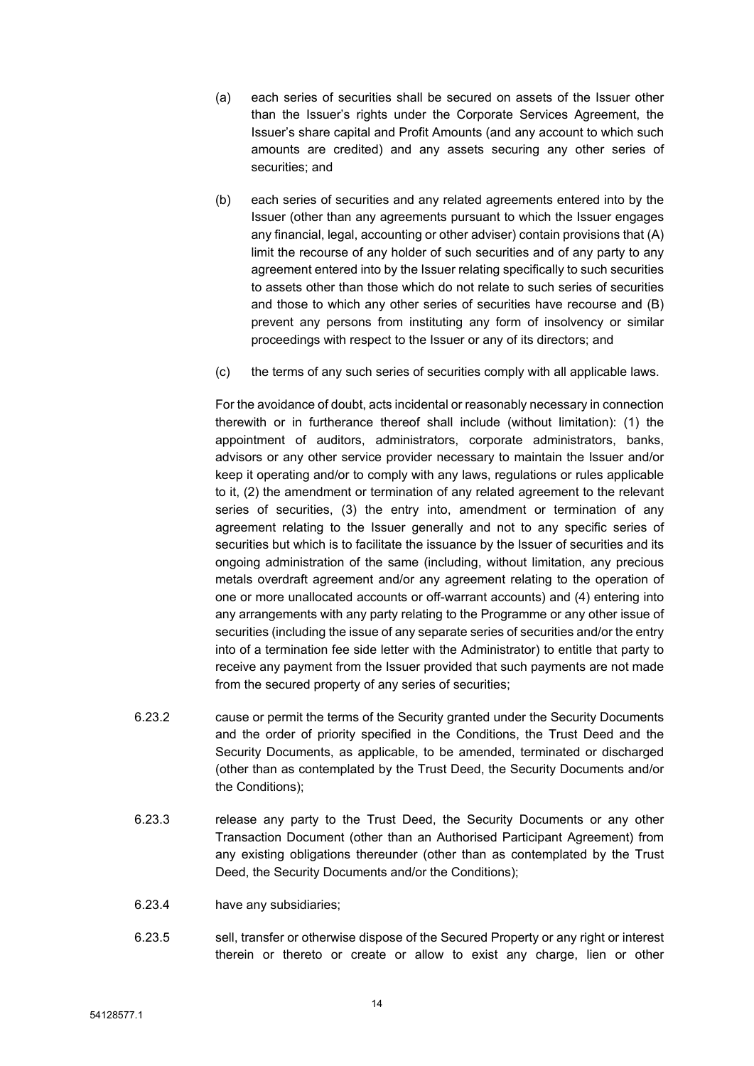- (a) each series of securities shall be secured on assets of the Issuer other than the Issuer's rights under the Corporate Services Agreement, the Issuer's share capital and Profit Amounts (and any account to which such amounts are credited) and any assets securing any other series of securities; and
- (b) each series of securities and any related agreements entered into by the Issuer (other than any agreements pursuant to which the Issuer engages any financial, legal, accounting or other adviser) contain provisions that (A) limit the recourse of any holder of such securities and of any party to any agreement entered into by the Issuer relating specifically to such securities to assets other than those which do not relate to such series of securities and those to which any other series of securities have recourse and (B) prevent any persons from instituting any form of insolvency or similar proceedings with respect to the Issuer or any of its directors; and
- (c) the terms of any such series of securities comply with all applicable laws.

For the avoidance of doubt, acts incidental or reasonably necessary in connection therewith or in furtherance thereof shall include (without limitation): (1) the appointment of auditors, administrators, corporate administrators, banks, advisors or any other service provider necessary to maintain the Issuer and/or keep it operating and/or to comply with any laws, regulations or rules applicable to it, (2) the amendment or termination of any related agreement to the relevant series of securities, (3) the entry into, amendment or termination of any agreement relating to the Issuer generally and not to any specific series of securities but which is to facilitate the issuance by the Issuer of securities and its ongoing administration of the same (including, without limitation, any precious metals overdraft agreement and/or any agreement relating to the operation of one or more unallocated accounts or off-warrant accounts) and (4) entering into any arrangements with any party relating to the Programme or any other issue of securities (including the issue of any separate series of securities and/or the entry into of a termination fee side letter with the Administrator) to entitle that party to receive any payment from the Issuer provided that such payments are not made from the secured property of any series of securities;

- 6.23.2 cause or permit the terms of the Security granted under the Security Documents and the order of priority specified in the Conditions, the Trust Deed and the Security Documents, as applicable, to be amended, terminated or discharged (other than as contemplated by the Trust Deed, the Security Documents and/or the Conditions);
- 6.23.3 release any party to the Trust Deed, the Security Documents or any other Transaction Document (other than an Authorised Participant Agreement) from any existing obligations thereunder (other than as contemplated by the Trust Deed, the Security Documents and/or the Conditions);
- 6.23.4 have any subsidiaries;
- 6.23.5 sell, transfer or otherwise dispose of the Secured Property or any right or interest therein or thereto or create or allow to exist any charge, lien or other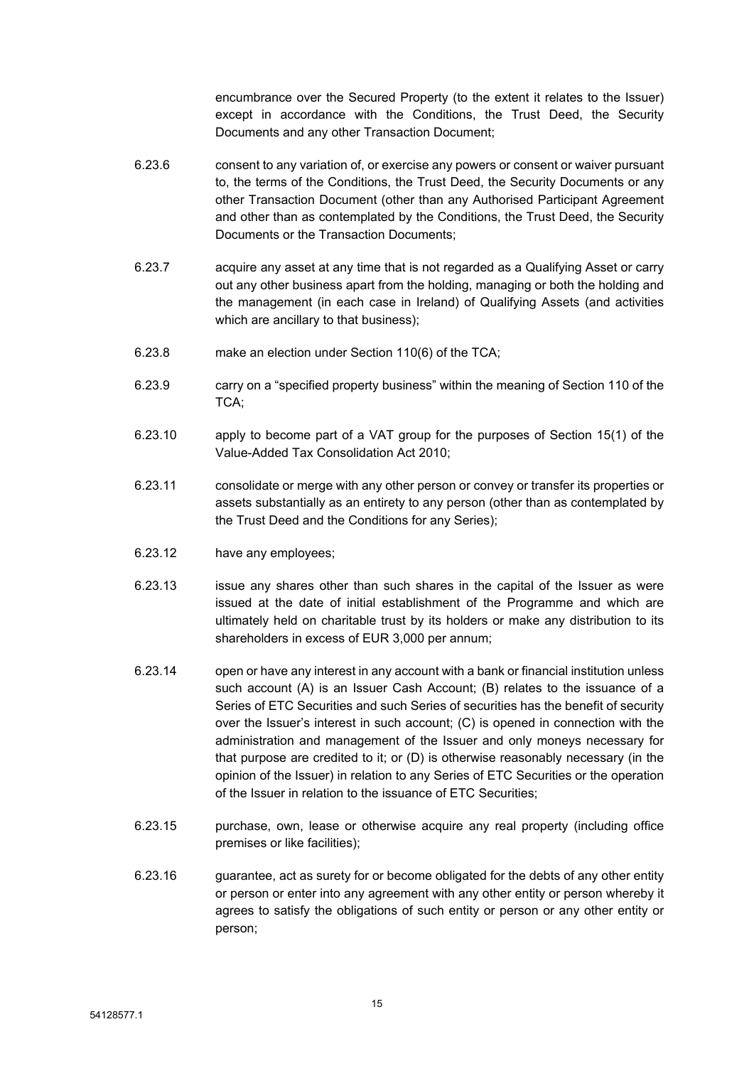encumbrance over the Secured Property (to the extent it relates to the Issuer) except in accordance with the Conditions, the Trust Deed, the Security Documents and any other Transaction Document;

- 6.23.6 consent to any variation of, or exercise any powers or consent or waiver pursuant to, the terms of the Conditions, the Trust Deed, the Security Documents or any other Transaction Document (other than any Authorised Participant Agreement and other than as contemplated by the Conditions, the Trust Deed, the Security Documents or the Transaction Documents;
- 6.23.7 acquire any asset at any time that is not regarded as a Qualifying Asset or carry out any other business apart from the holding, managing or both the holding and the management (in each case in Ireland) of Qualifying Assets (and activities which are ancillary to that business);
- 6.23.8 make an election under Section 110(6) of the TCA;
- 6.23.9 carry on a "specified property business" within the meaning of Section 110 of the TCA;
- 6.23.10 apply to become part of a VAT group for the purposes of Section 15(1) of the Value-Added Tax Consolidation Act 2010;
- 6.23.11 consolidate or merge with any other person or convey or transfer its properties or assets substantially as an entirety to any person (other than as contemplated by the Trust Deed and the Conditions for any Series);
- 6.23.12 have any employees;
- 6.23.13 issue any shares other than such shares in the capital of the Issuer as were issued at the date of initial establishment of the Programme and which are ultimately held on charitable trust by its holders or make any distribution to its shareholders in excess of EUR 3,000 per annum;
- 6.23.14 open or have any interest in any account with a bank or financial institution unless such account (A) is an Issuer Cash Account; (B) relates to the issuance of a Series of ETC Securities and such Series of securities has the benefit of security over the Issuer's interest in such account; (C) is opened in connection with the administration and management of the Issuer and only moneys necessary for that purpose are credited to it; or (D) is otherwise reasonably necessary (in the opinion of the Issuer) in relation to any Series of ETC Securities or the operation of the Issuer in relation to the issuance of ETC Securities;
- 6.23.15 purchase, own, lease or otherwise acquire any real property (including office premises or like facilities);
- 6.23.16 guarantee, act as surety for or become obligated for the debts of any other entity or person or enter into any agreement with any other entity or person whereby it agrees to satisfy the obligations of such entity or person or any other entity or person;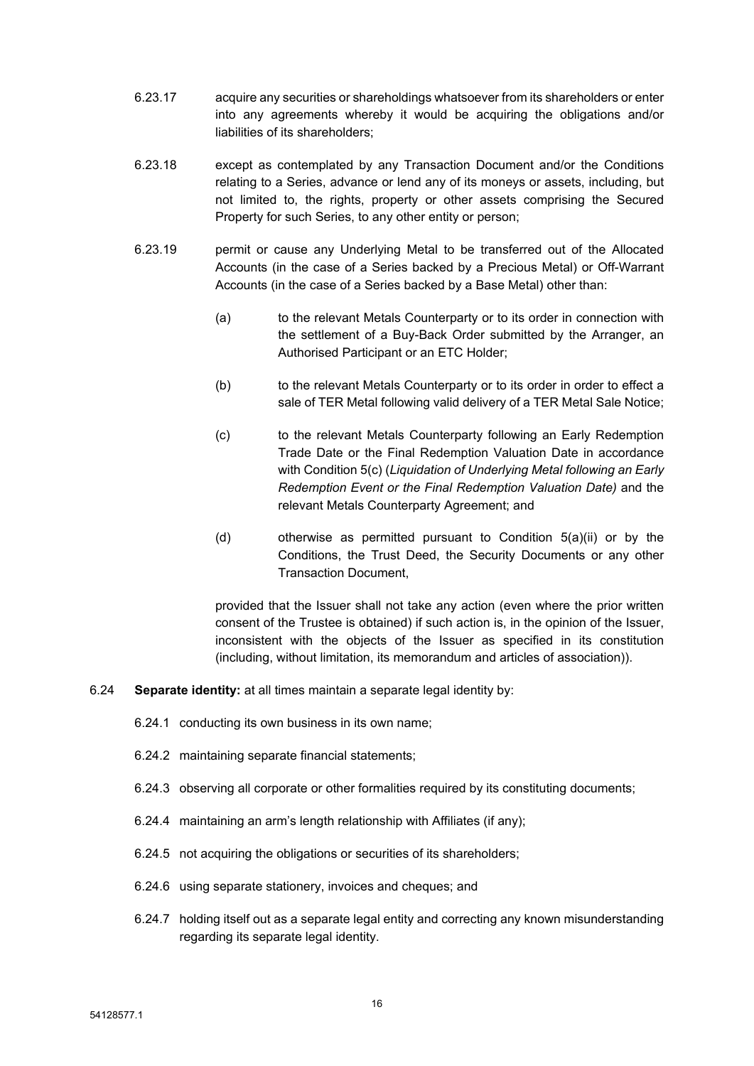- 6.23.17 acquire any securities or shareholdings whatsoever from its shareholders or enter into any agreements whereby it would be acquiring the obligations and/or liabilities of its shareholders;
- 6.23.18 except as contemplated by any Transaction Document and/or the Conditions relating to a Series, advance or lend any of its moneys or assets, including, but not limited to, the rights, property or other assets comprising the Secured Property for such Series, to any other entity or person;
- 6.23.19 permit or cause any Underlying Metal to be transferred out of the Allocated Accounts (in the case of a Series backed by a Precious Metal) or Off-Warrant Accounts (in the case of a Series backed by a Base Metal) other than:
	- (a) to the relevant Metals Counterparty or to its order in connection with the settlement of a Buy-Back Order submitted by the Arranger, an Authorised Participant or an ETC Holder;
	- (b) to the relevant Metals Counterparty or to its order in order to effect a sale of TER Metal following valid delivery of a TER Metal Sale Notice;
	- (c) to the relevant Metals Counterparty following an Early Redemption Trade Date or the Final Redemption Valuation Date in accordance with Condition 5(c) (*Liquidation of Underlying Metal following an Early Redemption Event or the Final Redemption Valuation Date)* and the relevant Metals Counterparty Agreement; and
	- (d) otherwise as permitted pursuant to Condition 5(a)(ii) or by the Conditions, the Trust Deed, the Security Documents or any other Transaction Document,

provided that the Issuer shall not take any action (even where the prior written consent of the Trustee is obtained) if such action is, in the opinion of the Issuer, inconsistent with the objects of the Issuer as specified in its constitution (including, without limitation, its memorandum and articles of association)).

- 6.24 **Separate identity:** at all times maintain a separate legal identity by:
	- 6.24.1 conducting its own business in its own name;
	- 6.24.2 maintaining separate financial statements;
	- 6.24.3 observing all corporate or other formalities required by its constituting documents;
	- 6.24.4 maintaining an arm's length relationship with Affiliates (if any);
	- 6.24.5 not acquiring the obligations or securities of its shareholders;
	- 6.24.6 using separate stationery, invoices and cheques; and
	- 6.24.7 holding itself out as a separate legal entity and correcting any known misunderstanding regarding its separate legal identity.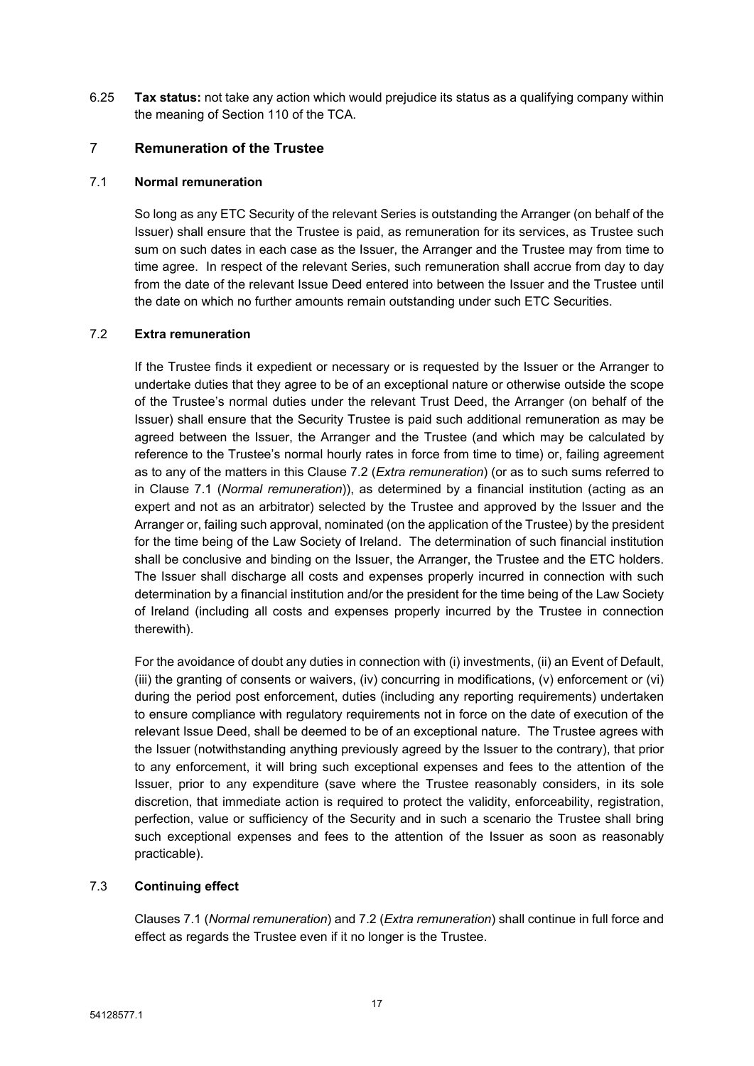6.25 **Tax status:** not take any action which would prejudice its status as a qualifying company within the meaning of Section 110 of the TCA.

# <span id="page-18-0"></span>7 **Remuneration of the Trustee**

# <span id="page-18-2"></span>7.1 **Normal remuneration**

So long as any ETC Security of the relevant Series is outstanding the Arranger (on behalf of the Issuer) shall ensure that the Trustee is paid, as remuneration for its services, as Trustee such sum on such dates in each case as the Issuer, the Arranger and the Trustee may from time to time agree. In respect of the relevant Series, such remuneration shall accrue from day to day from the date of the relevant Issue Deed entered into between the Issuer and the Trustee until the date on which no further amounts remain outstanding under such ETC Securities.

### <span id="page-18-1"></span>7.2 **Extra remuneration**

If the Trustee finds it expedient or necessary or is requested by the Issuer or the Arranger to undertake duties that they agree to be of an exceptional nature or otherwise outside the scope of the Trustee's normal duties under the relevant Trust Deed, the Arranger (on behalf of the Issuer) shall ensure that the Security Trustee is paid such additional remuneration as may be agreed between the Issuer, the Arranger and the Trustee (and which may be calculated by reference to the Trustee's normal hourly rates in force from time to time) or, failing agreement as to any of the matters in this Clause [7.2](#page-18-1) (*Extra [remuneration](#page-18-1)*) (or as to such sums referred to in Clause [7.1](#page-18-2) (*Normal [remuneration](#page-18-2)*)), as determined by a financial institution (acting as an expert and not as an arbitrator) selected by the Trustee and approved by the Issuer and the Arranger or, failing such approval, nominated (on the application of the Trustee) by the president for the time being of the Law Society of Ireland. The determination of such financial institution shall be conclusive and binding on the Issuer, the Arranger, the Trustee and the ETC holders. The Issuer shall discharge all costs and expenses properly incurred in connection with such determination by a financial institution and/or the president for the time being of the Law Society of Ireland (including all costs and expenses properly incurred by the Trustee in connection therewith).

For the avoidance of doubt any duties in connection with (i) investments, (ii) an Event of Default, (iii) the granting of consents or waivers, (iv) concurring in modifications, (v) enforcement or (vi) during the period post enforcement, duties (including any reporting requirements) undertaken to ensure compliance with regulatory requirements not in force on the date of execution of the relevant Issue Deed, shall be deemed to be of an exceptional nature. The Trustee agrees with the Issuer (notwithstanding anything previously agreed by the Issuer to the contrary), that prior to any enforcement, it will bring such exceptional expenses and fees to the attention of the Issuer, prior to any expenditure (save where the Trustee reasonably considers, in its sole discretion, that immediate action is required to protect the validity, enforceability, registration, perfection, value or sufficiency of the Security and in such a scenario the Trustee shall bring such exceptional expenses and fees to the attention of the Issuer as soon as reasonably practicable).

# 7.3 **Continuing effect**

Clauses [7.1](#page-18-2) (*Normal [remuneration](#page-18-2)*) and [7.2](#page-18-1) (*Extra [remuneration](#page-18-1)*) shall continue in full force and effect as regards the Trustee even if it no longer is the Trustee.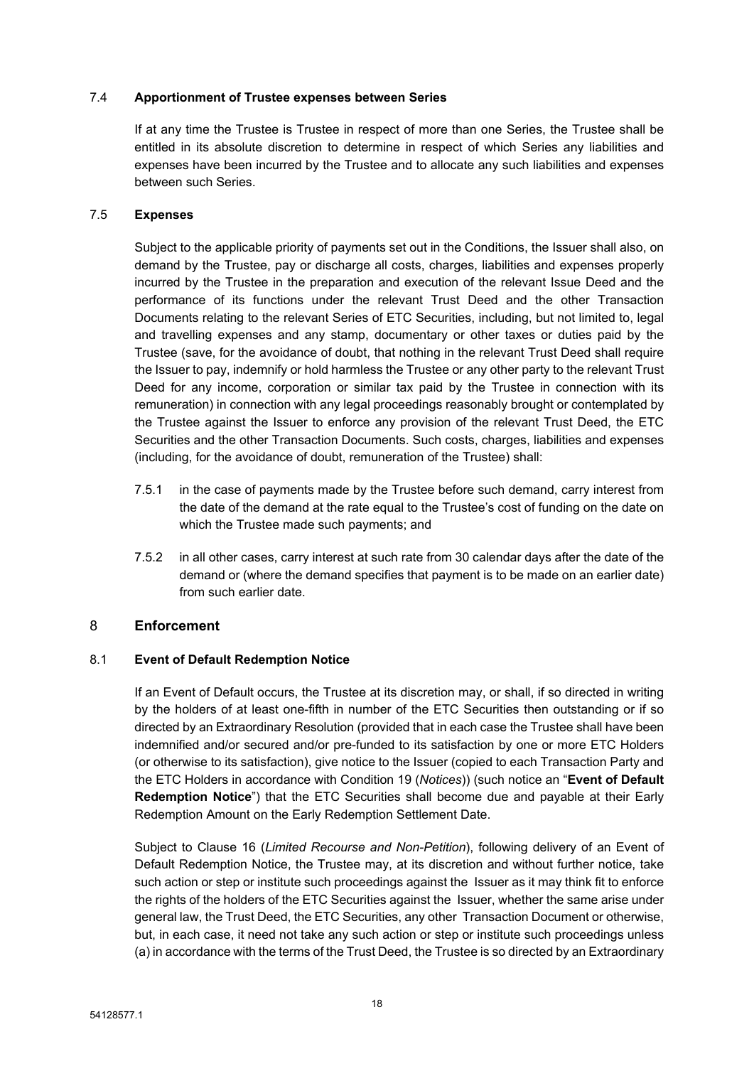# 7.4 **Apportionment of Trustee expenses between Series**

If at any time the Trustee is Trustee in respect of more than one Series, the Trustee shall be entitled in its absolute discretion to determine in respect of which Series any liabilities and expenses have been incurred by the Trustee and to allocate any such liabilities and expenses between such Series.

# 7.5 **Expenses**

Subject to the applicable priority of payments set out in the Conditions, the Issuer shall also, on demand by the Trustee, pay or discharge all costs, charges, liabilities and expenses properly incurred by the Trustee in the preparation and execution of the relevant Issue Deed and the performance of its functions under the relevant Trust Deed and the other Transaction Documents relating to the relevant Series of ETC Securities, including, but not limited to, legal and travelling expenses and any stamp, documentary or other taxes or duties paid by the Trustee (save, for the avoidance of doubt, that nothing in the relevant Trust Deed shall require the Issuer to pay, indemnify or hold harmless the Trustee or any other party to the relevant Trust Deed for any income, corporation or similar tax paid by the Trustee in connection with its remuneration) in connection with any legal proceedings reasonably brought or contemplated by the Trustee against the Issuer to enforce any provision of the relevant Trust Deed, the ETC Securities and the other Transaction Documents. Such costs, charges, liabilities and expenses (including, for the avoidance of doubt, remuneration of the Trustee) shall:

- 7.5.1 in the case of payments made by the Trustee before such demand, carry interest from the date of the demand at the rate equal to the Trustee's cost of funding on the date on which the Trustee made such payments; and
- 7.5.2 in all other cases, carry interest at such rate from 30 calendar days after the date of the demand or (where the demand specifies that payment is to be made on an earlier date) from such earlier date.

# <span id="page-19-0"></span>8 **Enforcement**

# 8.1 **Event of Default Redemption Notice**

If an Event of Default occurs, the Trustee at its discretion may, or shall, if so directed in writing by the holders of at least one-fifth in number of the ETC Securities then outstanding or if so directed by an Extraordinary Resolution (provided that in each case the Trustee shall have been indemnified and/or secured and/or pre-funded to its satisfaction by one or more ETC Holders (or otherwise to its satisfaction), give notice to the Issuer (copied to each Transaction Party and the ETC Holders in accordance with Condition 19 (*Notices*)) (such notice an "**Event of Default Redemption Notice**") that the ETC Securities shall become due and payable at their Early Redemption Amount on the Early Redemption Settlement Date.

Subject to Clause [16](#page-34-1) (*Limited Recourse and [Non-Petition](#page-34-1)*), following delivery of an Event of Default Redemption Notice, the Trustee may, at its discretion and without further notice, take such action or step or institute such proceedings against the Issuer as it may think fit to enforce the rights of the holders of the ETC Securities against the Issuer, whether the same arise under general law, the Trust Deed, the ETC Securities, any other Transaction Document or otherwise, but, in each case, it need not take any such action or step or institute such proceedings unless (a) in accordance with the terms of the Trust Deed, the Trustee is so directed by an Extraordinary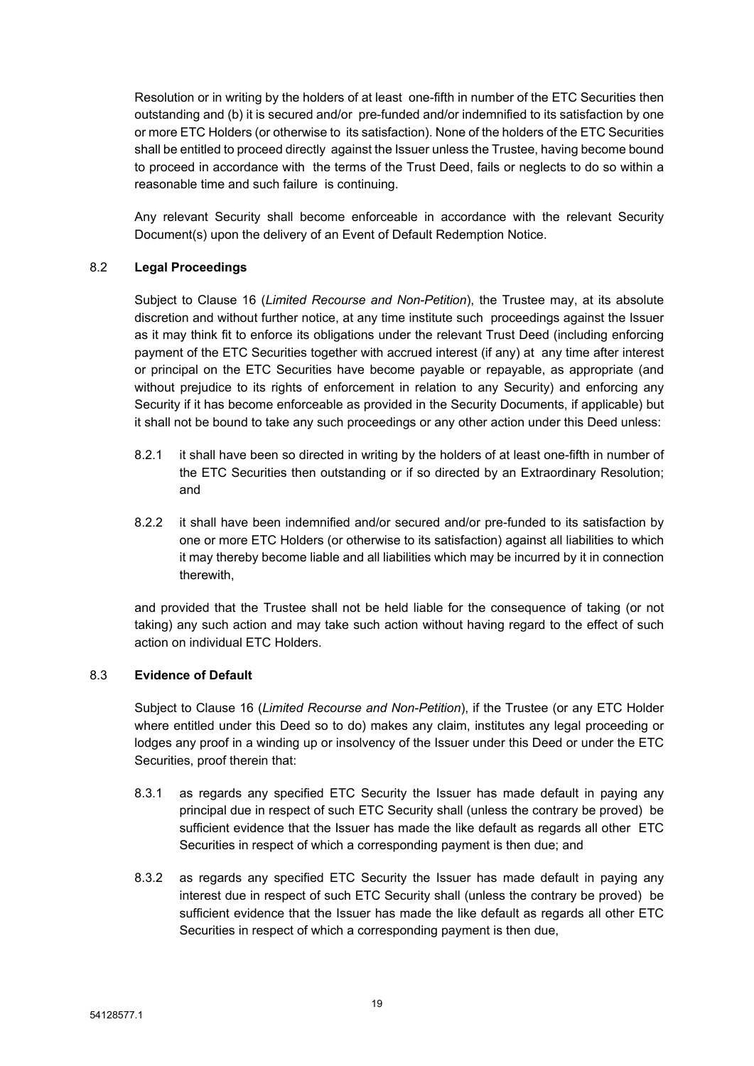Resolution or in writing by the holders of at least one-fifth in number of the ETC Securities then outstanding and (b) it is secured and/or pre-funded and/or indemnified to its satisfaction by one or more ETC Holders (or otherwise to its satisfaction). None of the holders of the ETC Securities shall be entitled to proceed directly against the Issuer unless the Trustee, having become bound to proceed in accordance with the terms of the Trust Deed, fails or neglects to do so within a reasonable time and such failure is continuing.

Any relevant Security shall become enforceable in accordance with the relevant Security Document(s) upon the delivery of an Event of Default Redemption Notice.

# 8.2 **Legal Proceedings**

Subject to Clause [16](#page-34-1) (*Limited Recourse and [Non-Petition](#page-34-1)*), the Trustee may, at its absolute discretion and without further notice, at any time institute such proceedings against the Issuer as it may think fit to enforce its obligations under the relevant Trust Deed (including enforcing payment of the ETC Securities together with accrued interest (if any) at any time after interest or principal on the ETC Securities have become payable or repayable, as appropriate (and without prejudice to its rights of enforcement in relation to any Security) and enforcing any Security if it has become enforceable as provided in the Security Documents, if applicable) but it shall not be bound to take any such proceedings or any other action under this Deed unless:

- 8.2.1 it shall have been so directed in writing by the holders of at least one-fifth in number of the ETC Securities then outstanding or if so directed by an Extraordinary Resolution; and
- 8.2.2 it shall have been indemnified and/or secured and/or pre-funded to its satisfaction by one or more ETC Holders (or otherwise to its satisfaction) against all liabilities to which it may thereby become liable and all liabilities which may be incurred by it in connection therewith,

and provided that the Trustee shall not be held liable for the consequence of taking (or not taking) any such action and may take such action without having regard to the effect of such action on individual ETC Holders.

# 8.3 **Evidence of Default**

Subject to Clause [16](#page-34-1) (*Limited Recourse and [Non-Petition](#page-34-1)*), if the Trustee (or any ETC Holder where entitled under this Deed so to do) makes any claim, institutes any legal proceeding or lodges any proof in a winding up or insolvency of the Issuer under this Deed or under the ETC Securities, proof therein that:

- <span id="page-20-0"></span>8.3.1 as regards any specified ETC Security the Issuer has made default in paying any principal due in respect of such ETC Security shall (unless the contrary be proved) be sufficient evidence that the Issuer has made the like default as regards all other ETC Securities in respect of which a corresponding payment is then due; and
- <span id="page-20-1"></span>8.3.2 as regards any specified ETC Security the Issuer has made default in paying any interest due in respect of such ETC Security shall (unless the contrary be proved) be sufficient evidence that the Issuer has made the like default as regards all other ETC Securities in respect of which a corresponding payment is then due,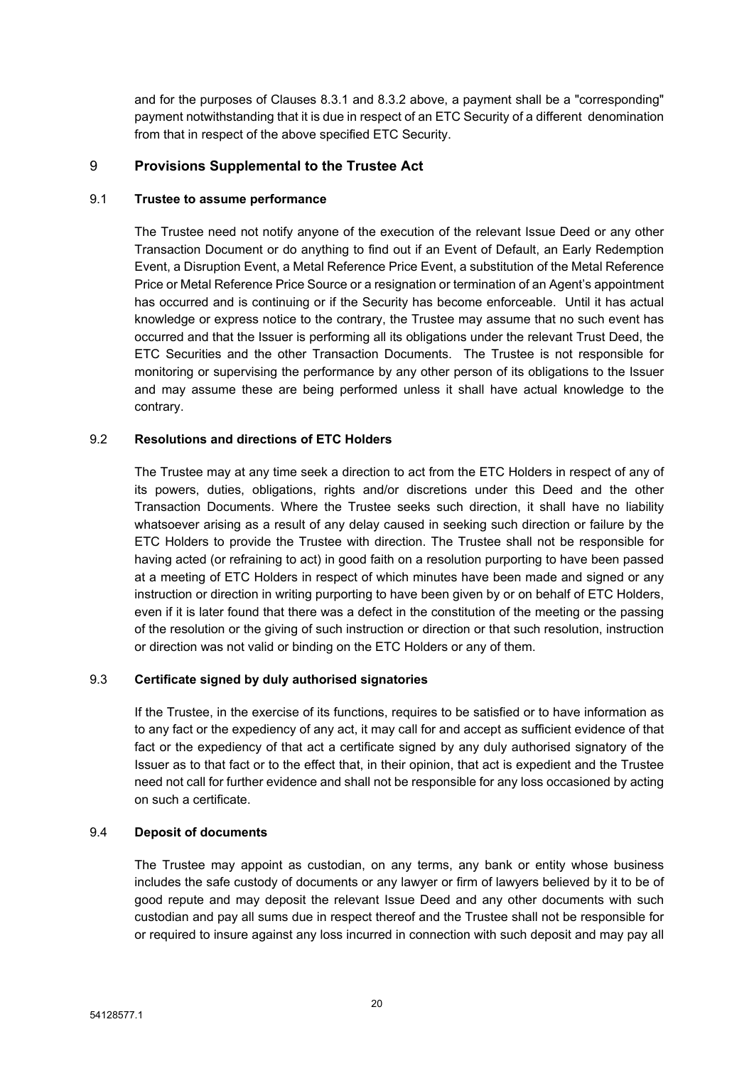and for the purposes of Clauses [8.3.1](#page-20-0) and [8.3.2](#page-20-1) above, a payment shall be a "corresponding" payment notwithstanding that it is due in respect of an ETC Security of a different denomination from that in respect of the above specified ETC Security.

# 9 **Provisions Supplemental to the Trustee Act**

### 9.1 **Trustee to assume performance**

The Trustee need not notify anyone of the execution of the relevant Issue Deed or any other Transaction Document or do anything to find out if an Event of Default, an Early Redemption Event, a Disruption Event, a Metal Reference Price Event, a substitution of the Metal Reference Price or Metal Reference Price Source or a resignation or termination of an Agent's appointment has occurred and is continuing or if the Security has become enforceable. Until it has actual knowledge or express notice to the contrary, the Trustee may assume that no such event has occurred and that the Issuer is performing all its obligations under the relevant Trust Deed, the ETC Securities and the other Transaction Documents. The Trustee is not responsible for monitoring or supervising the performance by any other person of its obligations to the Issuer and may assume these are being performed unless it shall have actual knowledge to the contrary.

# 9.2 **Resolutions and directions of ETC Holders**

The Trustee may at any time seek a direction to act from the ETC Holders in respect of any of its powers, duties, obligations, rights and/or discretions under this Deed and the other Transaction Documents. Where the Trustee seeks such direction, it shall have no liability whatsoever arising as a result of any delay caused in seeking such direction or failure by the ETC Holders to provide the Trustee with direction. The Trustee shall not be responsible for having acted (or refraining to act) in good faith on a resolution purporting to have been passed at a meeting of ETC Holders in respect of which minutes have been made and signed or any instruction or direction in writing purporting to have been given by or on behalf of ETC Holders, even if it is later found that there was a defect in the constitution of the meeting or the passing of the resolution or the giving of such instruction or direction or that such resolution, instruction or direction was not valid or binding on the ETC Holders or any of them.

# 9.3 **Certificate signed by duly authorised signatories**

If the Trustee, in the exercise of its functions, requires to be satisfied or to have information as to any fact or the expediency of any act, it may call for and accept as sufficient evidence of that fact or the expediency of that act a certificate signed by any duly authorised signatory of the Issuer as to that fact or to the effect that, in their opinion, that act is expedient and the Trustee need not call for further evidence and shall not be responsible for any loss occasioned by acting on such a certificate.

# 9.4 **Deposit of documents**

The Trustee may appoint as custodian, on any terms, any bank or entity whose business includes the safe custody of documents or any lawyer or firm of lawyers believed by it to be of good repute and may deposit the relevant Issue Deed and any other documents with such custodian and pay all sums due in respect thereof and the Trustee shall not be responsible for or required to insure against any loss incurred in connection with such deposit and may pay all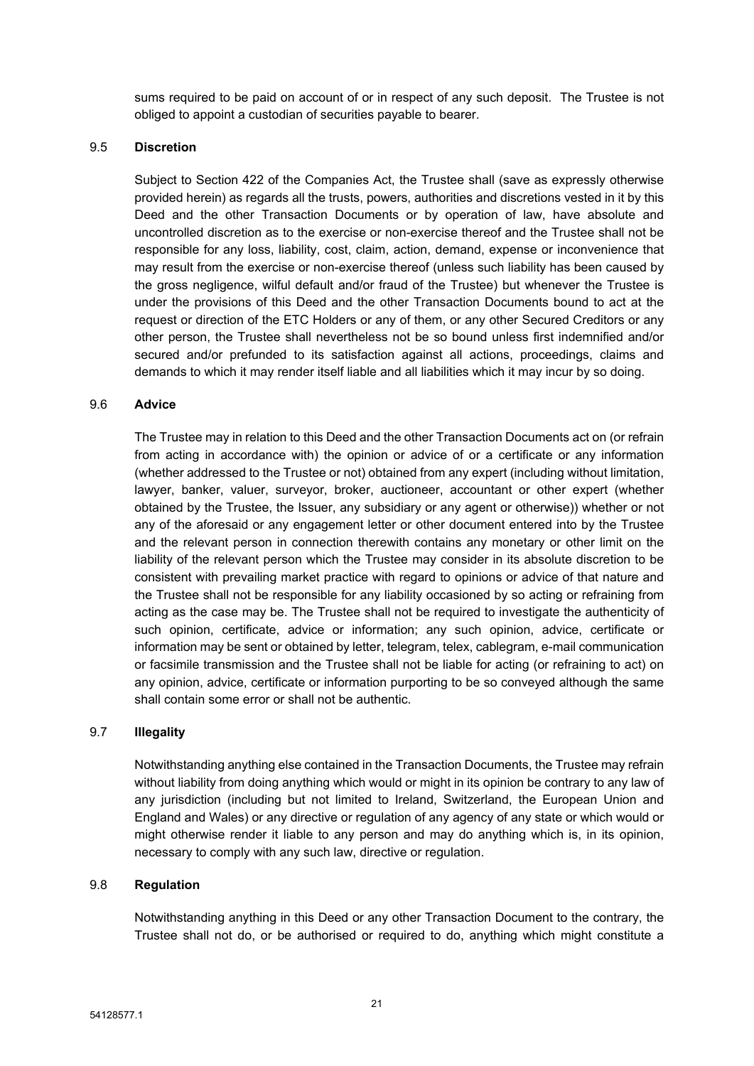sums required to be paid on account of or in respect of any such deposit. The Trustee is not obliged to appoint a custodian of securities payable to bearer.

### 9.5 **Discretion**

Subject to Section 422 of the Companies Act, the Trustee shall (save as expressly otherwise provided herein) as regards all the trusts, powers, authorities and discretions vested in it by this Deed and the other Transaction Documents or by operation of law, have absolute and uncontrolled discretion as to the exercise or non-exercise thereof and the Trustee shall not be responsible for any loss, liability, cost, claim, action, demand, expense or inconvenience that may result from the exercise or non-exercise thereof (unless such liability has been caused by the gross negligence, wilful default and/or fraud of the Trustee) but whenever the Trustee is under the provisions of this Deed and the other Transaction Documents bound to act at the request or direction of the ETC Holders or any of them, or any other Secured Creditors or any other person, the Trustee shall nevertheless not be so bound unless first indemnified and/or secured and/or prefunded to its satisfaction against all actions, proceedings, claims and demands to which it may render itself liable and all liabilities which it may incur by so doing.

### 9.6 **Advice**

The Trustee may in relation to this Deed and the other Transaction Documents act on (or refrain from acting in accordance with) the opinion or advice of or a certificate or any information (whether addressed to the Trustee or not) obtained from any expert (including without limitation, lawyer, banker, valuer, surveyor, broker, auctioneer, accountant or other expert (whether obtained by the Trustee, the Issuer, any subsidiary or any agent or otherwise)) whether or not any of the aforesaid or any engagement letter or other document entered into by the Trustee and the relevant person in connection therewith contains any monetary or other limit on the liability of the relevant person which the Trustee may consider in its absolute discretion to be consistent with prevailing market practice with regard to opinions or advice of that nature and the Trustee shall not be responsible for any liability occasioned by so acting or refraining from acting as the case may be. The Trustee shall not be required to investigate the authenticity of such opinion, certificate, advice or information; any such opinion, advice, certificate or information may be sent or obtained by letter, telegram, telex, cablegram, e-mail communication or facsimile transmission and the Trustee shall not be liable for acting (or refraining to act) on any opinion, advice, certificate or information purporting to be so conveyed although the same shall contain some error or shall not be authentic.

# 9.7 **Illegality**

Notwithstanding anything else contained in the Transaction Documents, the Trustee may refrain without liability from doing anything which would or might in its opinion be contrary to any law of any jurisdiction (including but not limited to Ireland, Switzerland, the European Union and England and Wales) or any directive or regulation of any agency of any state or which would or might otherwise render it liable to any person and may do anything which is, in its opinion, necessary to comply with any such law, directive or regulation.

#### 9.8 **Regulation**

Notwithstanding anything in this Deed or any other Transaction Document to the contrary, the Trustee shall not do, or be authorised or required to do, anything which might constitute a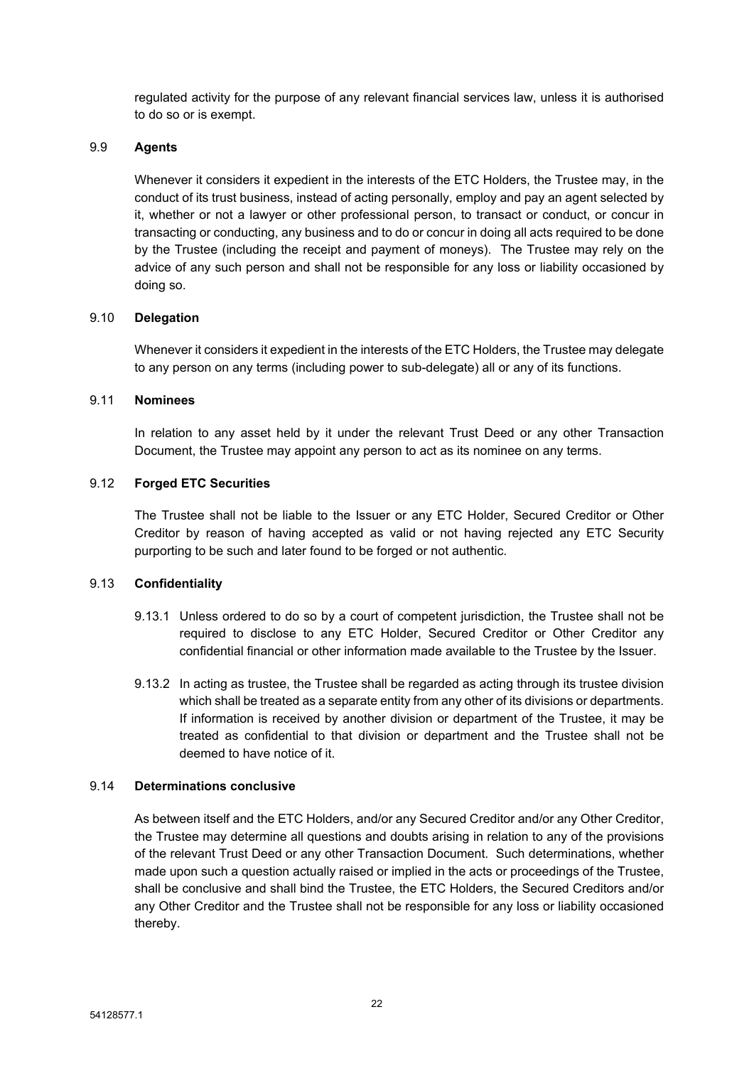regulated activity for the purpose of any relevant financial services law, unless it is authorised to do so or is exempt.

### 9.9 **Agents**

Whenever it considers it expedient in the interests of the ETC Holders, the Trustee may, in the conduct of its trust business, instead of acting personally, employ and pay an agent selected by it, whether or not a lawyer or other professional person, to transact or conduct, or concur in transacting or conducting, any business and to do or concur in doing all acts required to be done by the Trustee (including the receipt and payment of moneys). The Trustee may rely on the advice of any such person and shall not be responsible for any loss or liability occasioned by doing so.

### 9.10 **Delegation**

Whenever it considers it expedient in the interests of the ETC Holders, the Trustee may delegate to any person on any terms (including power to sub-delegate) all or any of its functions.

# 9.11 **Nominees**

In relation to any asset held by it under the relevant Trust Deed or any other Transaction Document, the Trustee may appoint any person to act as its nominee on any terms.

### 9.12 **Forged ETC Securities**

The Trustee shall not be liable to the Issuer or any ETC Holder, Secured Creditor or Other Creditor by reason of having accepted as valid or not having rejected any ETC Security purporting to be such and later found to be forged or not authentic.

# 9.13 **Confidentiality**

- 9.13.1 Unless ordered to do so by a court of competent jurisdiction, the Trustee shall not be required to disclose to any ETC Holder, Secured Creditor or Other Creditor any confidential financial or other information made available to the Trustee by the Issuer.
- 9.13.2 In acting as trustee, the Trustee shall be regarded as acting through its trustee division which shall be treated as a separate entity from any other of its divisions or departments. If information is received by another division or department of the Trustee, it may be treated as confidential to that division or department and the Trustee shall not be deemed to have notice of it.

# 9.14 **Determinations conclusive**

As between itself and the ETC Holders, and/or any Secured Creditor and/or any Other Creditor, the Trustee may determine all questions and doubts arising in relation to any of the provisions of the relevant Trust Deed or any other Transaction Document. Such determinations, whether made upon such a question actually raised or implied in the acts or proceedings of the Trustee, shall be conclusive and shall bind the Trustee, the ETC Holders, the Secured Creditors and/or any Other Creditor and the Trustee shall not be responsible for any loss or liability occasioned thereby.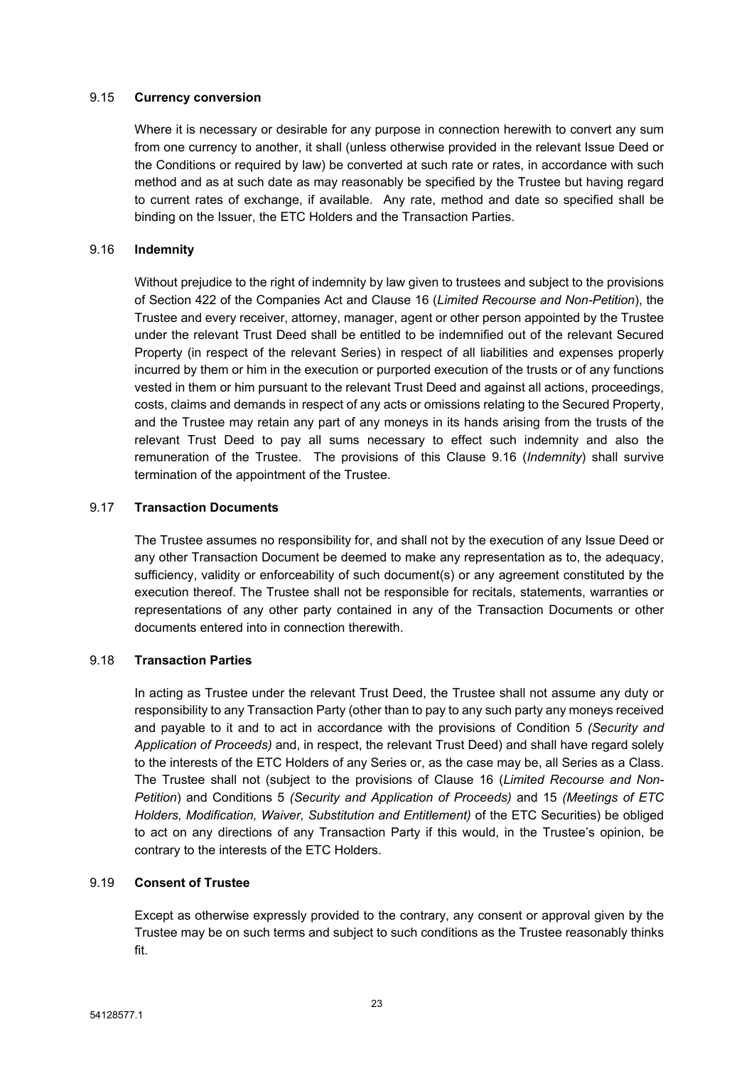### 9.15 **Currency conversion**

Where it is necessary or desirable for any purpose in connection herewith to convert any sum from one currency to another, it shall (unless otherwise provided in the relevant Issue Deed or the Conditions or required by law) be converted at such rate or rates, in accordance with such method and as at such date as may reasonably be specified by the Trustee but having regard to current rates of exchange, if available. Any rate, method and date so specified shall be binding on the Issuer, the ETC Holders and the Transaction Parties.

### <span id="page-24-0"></span>9.16 **Indemnity**

Without prejudice to the right of indemnity by law given to trustees and subject to the provisions of Section 422 of the Companies Act and Clause [16](#page-34-1) (*Limited Recourse and [Non-Petition](#page-34-1)*), the Trustee and every receiver, attorney, manager, agent or other person appointed by the Trustee under the relevant Trust Deed shall be entitled to be indemnified out of the relevant Secured Property (in respect of the relevant Series) in respect of all liabilities and expenses properly incurred by them or him in the execution or purported execution of the trusts or of any functions vested in them or him pursuant to the relevant Trust Deed and against all actions, proceedings, costs, claims and demands in respect of any acts or omissions relating to the Secured Property, and the Trustee may retain any part of any moneys in its hands arising from the trusts of the relevant Trust Deed to pay all sums necessary to effect such indemnity and also the remuneration of the Trustee. The provisions of this Clause [9.16](#page-24-0) (*[Indemnity](#page-24-0)*) shall survive termination of the appointment of the Trustee.

# 9.17 **Transaction Documents**

The Trustee assumes no responsibility for, and shall not by the execution of any Issue Deed or any other Transaction Document be deemed to make any representation as to, the adequacy, sufficiency, validity or enforceability of such document(s) or any agreement constituted by the execution thereof. The Trustee shall not be responsible for recitals, statements, warranties or representations of any other party contained in any of the Transaction Documents or other documents entered into in connection therewith.

# 9.18 **Transaction Parties**

In acting as Trustee under the relevant Trust Deed, the Trustee shall not assume any duty or responsibility to any Transaction Party (other than to pay to any such party any moneys received and payable to it and to act in accordance with the provisions of Condition 5 *(Security and Application of Proceeds)* and, in respect, the relevant Trust Deed) and shall have regard solely to the interests of the ETC Holders of any Series or, as the case may be, all Series as a Class. The Trustee shall not (subject to the provisions of Clause [16](#page-34-1) (*Limited [Recourse](#page-34-1) and Non-[Petition](#page-34-1)*) and Conditions 5 *(Security and Application of Proceeds)* and 15 *(Meetings of ETC Holders, Modification, Waiver, Substitution and Entitlement)* of the ETC Securities) be obliged to act on any directions of any Transaction Party if this would, in the Trustee's opinion, be contrary to the interests of the ETC Holders.

# 9.19 **Consent of Trustee**

Except as otherwise expressly provided to the contrary, any consent or approval given by the Trustee may be on such terms and subject to such conditions as the Trustee reasonably thinks fit.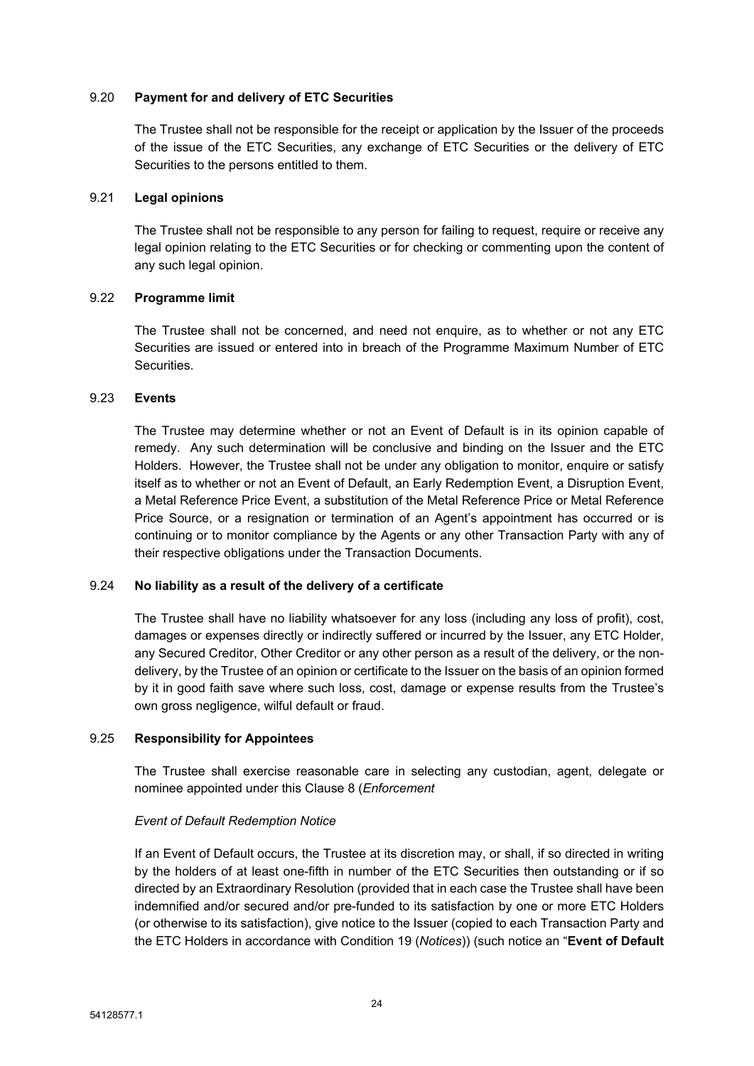### 9.20 **Payment for and delivery of ETC Securities**

The Trustee shall not be responsible for the receipt or application by the Issuer of the proceeds of the issue of the ETC Securities, any exchange of ETC Securities or the delivery of ETC Securities to the persons entitled to them.

# 9.21 **Legal opinions**

The Trustee shall not be responsible to any person for failing to request, require or receive any legal opinion relating to the ETC Securities or for checking or commenting upon the content of any such legal opinion.

### 9.22 **Programme limit**

The Trustee shall not be concerned, and need not enquire, as to whether or not any ETC Securities are issued or entered into in breach of the Programme Maximum Number of ETC Securities.

### 9.23 **Events**

The Trustee may determine whether or not an Event of Default is in its opinion capable of remedy. Any such determination will be conclusive and binding on the Issuer and the ETC Holders. However, the Trustee shall not be under any obligation to monitor, enquire or satisfy itself as to whether or not an Event of Default, an Early Redemption Event, a Disruption Event, a Metal Reference Price Event, a substitution of the Metal Reference Price or Metal Reference Price Source, or a resignation or termination of an Agent's appointment has occurred or is continuing or to monitor compliance by the Agents or any other Transaction Party with any of their respective obligations under the Transaction Documents.

# 9.24 **No liability as a result of the delivery of a certificate**

The Trustee shall have no liability whatsoever for any loss (including any loss of profit), cost, damages or expenses directly or indirectly suffered or incurred by the Issuer, any ETC Holder, any Secured Creditor, Other Creditor or any other person as a result of the delivery, or the nondelivery, by the Trustee of an opinion or certificate to the Issuer on the basis of an opinion formed by it in good faith save where such loss, cost, damage or expense results from the Trustee's own gross negligence, wilful default or fraud.

# 9.25 **Responsibility for Appointees**

The Trustee shall exercise reasonable care in selecting any custodian, agent, delegate or nominee appointed under this Clause [8](#page-19-0) (*[Enforcement](#page-19-0)*

# *Event of Default [Redemption](#page-19-0) Notice*

If an Event of Default occurs, the Trustee at its [discretion](#page-19-0) may, or shall, if so directed in writing by the holders of at least one-fifth in number of the ETC Securities then [outstanding](#page-19-0) or if so directed by an [Extraordinary](#page-19-0) Resolution (provided that in each case the Trustee shall have been [indemnified](#page-19-0) and/or secured and/or pre-funded to its satisfaction by one or more ETC Holders (or otherwise to its [satisfaction\),](#page-19-0) give notice to the Issuer (copied to each Transaction Party and the ETC Holders in [accordance](#page-19-0) with Condition 19 (*Notices*)) (such notice an "**Event of Default**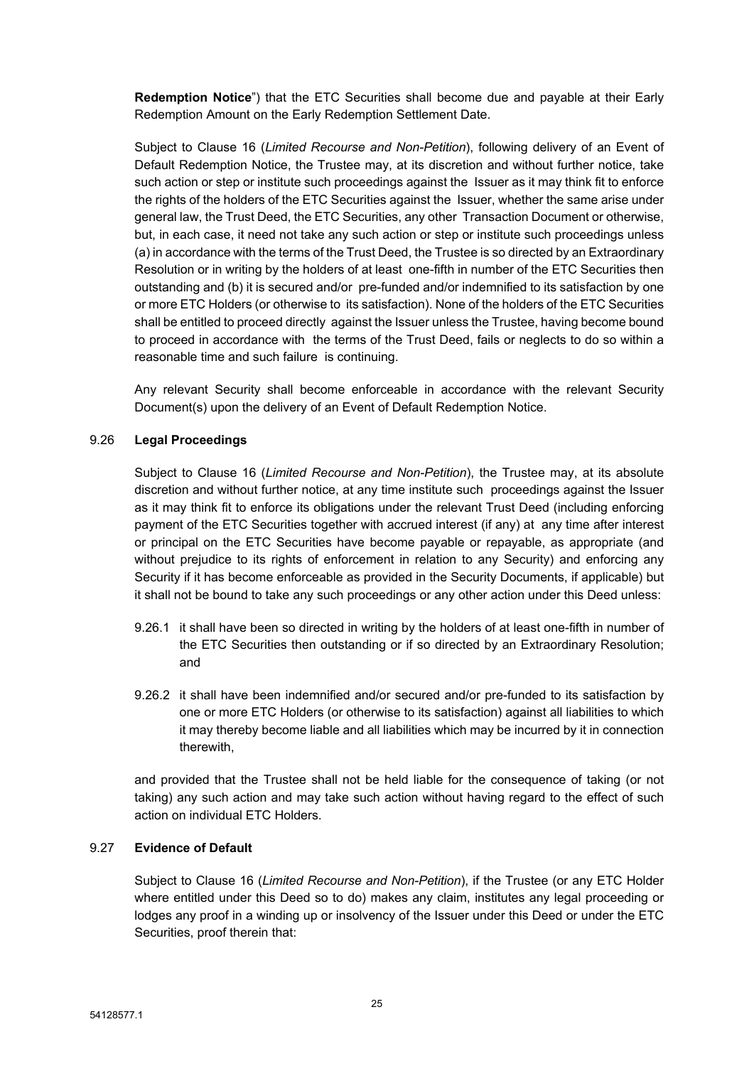**[Redemption](#page-19-0) Notice**") that the ETC Securities shall become due and payable at their Early [Redemption](#page-19-0) Amount on the Early Redemption Settlement Date.

Subject to Clause 16 (*Limited Recourse and [Non-Petition](#page-19-0)*), following delivery of an Event of Default [Redemption](#page-19-0) Notice, the Trustee may, at its discretion and without further notice, take such action or step or institute such [proceedings](#page-19-0) against the Issuer as it may think fit to enforce the rights of the holders of the ETC Securities against [the Issuer,](#page-19-0) whether the same arise under general law, the Trust Deed, the ETC Securities, any [other Transaction](#page-19-0) Document or otherwise, but, in each case, it need not take any such action or step or institute such [proceedings](#page-19-0) unless (a) in accordance with the terms of the Trust Deed, the Trustee is so directed by an [Extraordinary](#page-19-0) Resolution or in writing by the holders of at [least one-fifth](#page-19-0) in number of the ETC Securities then outstanding and (b) it is secured [and/or pre-funded](#page-19-0) and/or indemnified to its satisfaction by one or more ETC Holders (or otherwise to its [satisfaction\).](#page-19-0) None of the holders of the ETC Securities shall be entitled to proceed [directly against](#page-19-0) the Issuer unless the Trustee, having become bound to proceed in [accordance](#page-19-0) with the terms of the Trust Deed, fails or neglects to do so within a [reasonable](#page-19-0) time and such failure is continuing.

Any relevant Security shall become [enforceable](#page-19-0) in accordance with the relevant Security [Document\(s\)](#page-19-0) upon the delivery of an Event of Default Redemption Notice.

# 9.26 **Legal [Proceedings](#page-19-0)**

Subject to Clause 16 (*Limited Recourse and [Non-Petition](#page-19-0)*), the Trustee may, at its absolute discretion and without further notice, at any time institute [such proceedings](#page-19-0) against the Issuer as it may think fit to enforce its [obligations](#page-19-0) under the relevant Trust Deed (including enforcing payment of the ETC [Securities](#page-19-0) together with accrued interest (if any) at any time after interest or principal on the ETC Securities have become payable or repayable, as [appropriate](#page-19-0) (and without prejudice to its rights of [enforcement](#page-19-0) in relation to any Security) and enforcing any Security if it has become enforceable as provided in the Security [Documents,](#page-19-0) if applicable) but it shall not be bound to take any such [proceedings](#page-19-0) or any other action under this Deed unless:

- 9.26.1 it shall have been so directed in writing by the holders of at least [one-fifth](#page-19-0) in number of the ETC Securities then outstanding or if so directed by an [Extraordinary](#page-19-0) Resolution; [and](#page-19-0)
- 9.26.2 it shall have been [indemnified](#page-19-0) and/or secured and/or pre-funded to its satisfaction by one or more ETC Holders (or otherwise to its [satisfaction\)](#page-19-0) against all liabilities to which it may thereby become liable and all liabilities which may be incurred by it in [connection](#page-19-0)  [therewith,](#page-19-0)

and provided that the Trustee shall not be held liable for the [consequence](#page-19-0) of taking (or not taking) any such action and may take such action [without](#page-19-0) having regard to the effect of such action on [individual](#page-19-0) ETC Holders.

# 9.27 **[Evidence](#page-19-0) of Default**

Subject to Clause 16 (*Limited Recourse and [Non-Petition](#page-19-0)*), if the Trustee (or any ETC Holder where entitled under this Deed so to do) makes any claim, institutes any legal [proceeding](#page-19-0) or lodges any proof in a winding up or [insolvency](#page-19-0) of the Issuer under this Deed or under the ETC [Securities,](#page-19-0) proof therein that: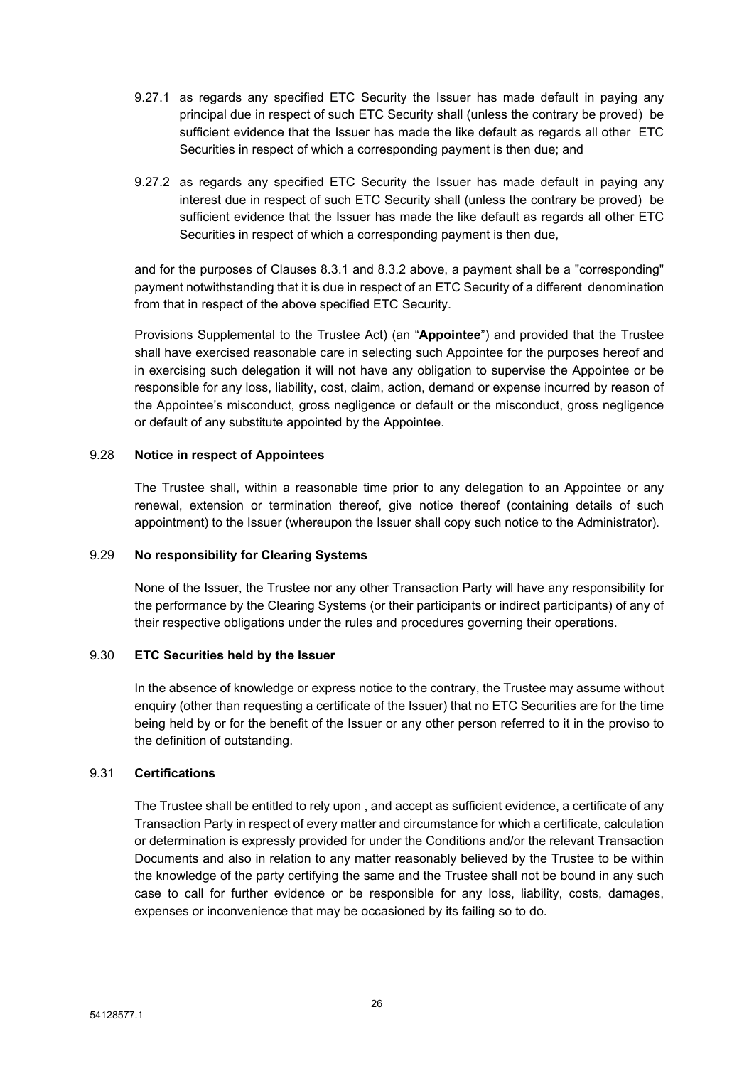- 9.27.1 as regards any [specified](#page-19-0) ETC Security the Issuer has made default in paying any principal due in respect of such ETC Security shall (unless the contrary be [proved\) be](#page-19-0) sufficient evidence that the Issuer has made the like default as regards all [other ETC](#page-19-0) Securities in respect of which a [corresponding](#page-19-0) payment is then due; and
- 9.27.2 as regards any [specified](#page-19-0) ETC Security the Issuer has made default in paying any interest due in respect of such ETC Security shall (unless the contrary be [proved\) be](#page-19-0) sufficient [evidence](#page-19-0) that the Issuer has made the like default as regards all other ETC Securities in respect of which a [corresponding](#page-19-0) payment is then due,

and for the purposes of Clauses 8.3.1 and 8.3.2 above, a payment shall be a ["corresponding"](#page-19-0)  payment notwithstanding that it is due in respect of an ETC Security of a [different denomination](#page-19-0) from that in respect of the above [specified](#page-19-0) ETC Security.

Provisions [Supplemental](#page-19-0) to the Trustee Act) (an "**Appointee**") and provided that the Trustee shall have exercised reasonable care in selecting such Appointee for the purposes hereof and in exercising such delegation it will not have any obligation to supervise the Appointee or be responsible for any loss, liability, cost, claim, action, demand or expense incurred by reason of the Appointee's misconduct, gross negligence or default or the misconduct, gross negligence or default of any substitute appointed by the Appointee.

# 9.28 **Notice in respect of Appointees**

The Trustee shall, within a reasonable time prior to any delegation to an Appointee or any renewal, extension or termination thereof, give notice thereof (containing details of such appointment) to the Issuer (whereupon the Issuer shall copy such notice to the Administrator).

# 9.29 **No responsibility for Clearing Systems**

None of the Issuer, the Trustee nor any other Transaction Party will have any responsibility for the performance by the Clearing Systems (or their participants or indirect participants) of any of their respective obligations under the rules and procedures governing their operations.

# 9.30 **ETC Securities held by the Issuer**

In the absence of knowledge or express notice to the contrary, the Trustee may assume without enquiry (other than requesting a certificate of the Issuer) that no ETC Securities are for the time being held by or for the benefit of the Issuer or any other person referred to it in the proviso to the definition of outstanding.

# 9.31 **Certifications**

The Trustee shall be entitled to rely upon , and accept as sufficient evidence, a certificate of any Transaction Party in respect of every matter and circumstance for which a certificate, calculation or determination is expressly provided for under the Conditions and/or the relevant Transaction Documents and also in relation to any matter reasonably believed by the Trustee to be within the knowledge of the party certifying the same and the Trustee shall not be bound in any such case to call for further evidence or be responsible for any loss, liability, costs, damages, expenses or inconvenience that may be occasioned by its failing so to do.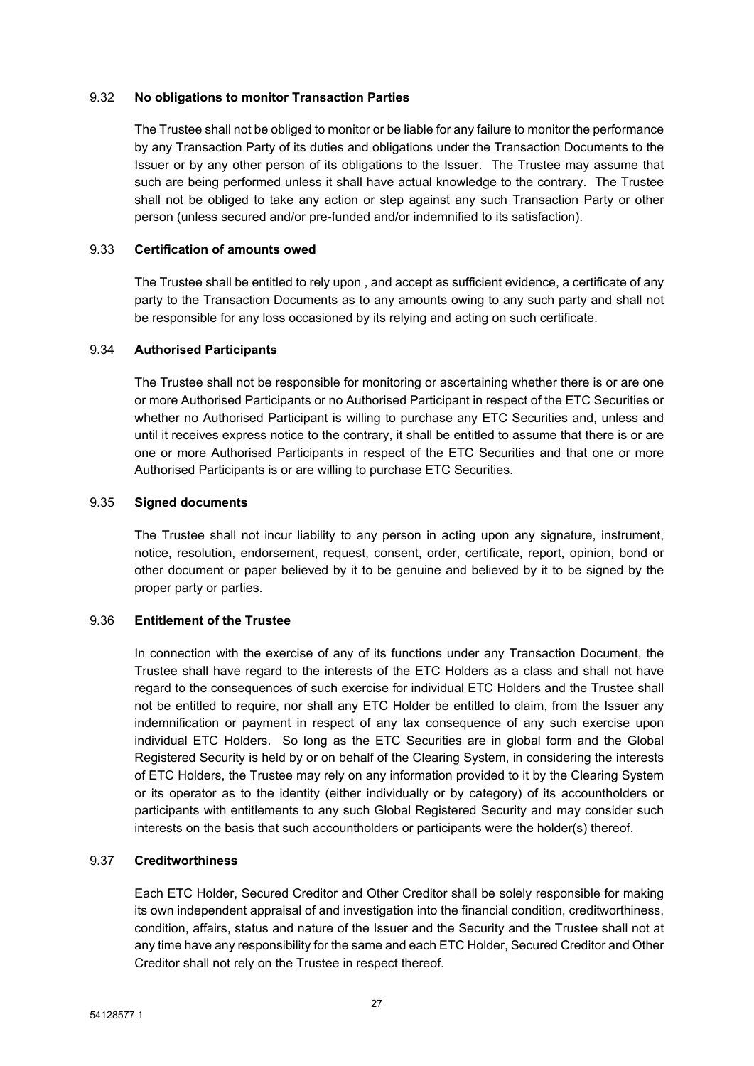### 9.32 **No obligations to monitor Transaction Parties**

The Trustee shall not be obliged to monitor or be liable for any failure to monitor the performance by any Transaction Party of its duties and obligations under the Transaction Documents to the Issuer or by any other person of its obligations to the Issuer. The Trustee may assume that such are being performed unless it shall have actual knowledge to the contrary. The Trustee shall not be obliged to take any action or step against any such Transaction Party or other person (unless secured and/or pre-funded and/or indemnified to its satisfaction).

### 9.33 **Certification of amounts owed**

The Trustee shall be entitled to rely upon , and accept as sufficient evidence, a certificate of any party to the Transaction Documents as to any amounts owing to any such party and shall not be responsible for any loss occasioned by its relying and acting on such certificate.

# 9.34 **Authorised Participants**

The Trustee shall not be responsible for monitoring or ascertaining whether there is or are one or more Authorised Participants or no Authorised Participant in respect of the ETC Securities or whether no Authorised Participant is willing to purchase any ETC Securities and, unless and until it receives express notice to the contrary, it shall be entitled to assume that there is or are one or more Authorised Participants in respect of the ETC Securities and that one or more Authorised Participants is or are willing to purchase ETC Securities.

### 9.35 **Signed documents**

The Trustee shall not incur liability to any person in acting upon any signature, instrument, notice, resolution, endorsement, request, consent, order, certificate, report, opinion, bond or other document or paper believed by it to be genuine and believed by it to be signed by the proper party or parties.

# 9.36 **Entitlement of the Trustee**

In connection with the exercise of any of its functions under any Transaction Document, the Trustee shall have regard to the interests of the ETC Holders as a class and shall not have regard to the consequences of such exercise for individual ETC Holders and the Trustee shall not be entitled to require, nor shall any ETC Holder be entitled to claim, from the Issuer any indemnification or payment in respect of any tax consequence of any such exercise upon individual ETC Holders. So long as the ETC Securities are in global form and the Global Registered Security is held by or on behalf of the Clearing System, in considering the interests of ETC Holders, the Trustee may rely on any information provided to it by the Clearing System or its operator as to the identity (either individually or by category) of its accountholders or participants with entitlements to any such Global Registered Security and may consider such interests on the basis that such accountholders or participants were the holder(s) thereof.

#### 9.37 **Creditworthiness**

Each ETC Holder, Secured Creditor and Other Creditor shall be solely responsible for making its own independent appraisal of and investigation into the financial condition, creditworthiness, condition, affairs, status and nature of the Issuer and the Security and the Trustee shall not at any time have any responsibility for the same and each ETC Holder, Secured Creditor and Other Creditor shall not rely on the Trustee in respect thereof.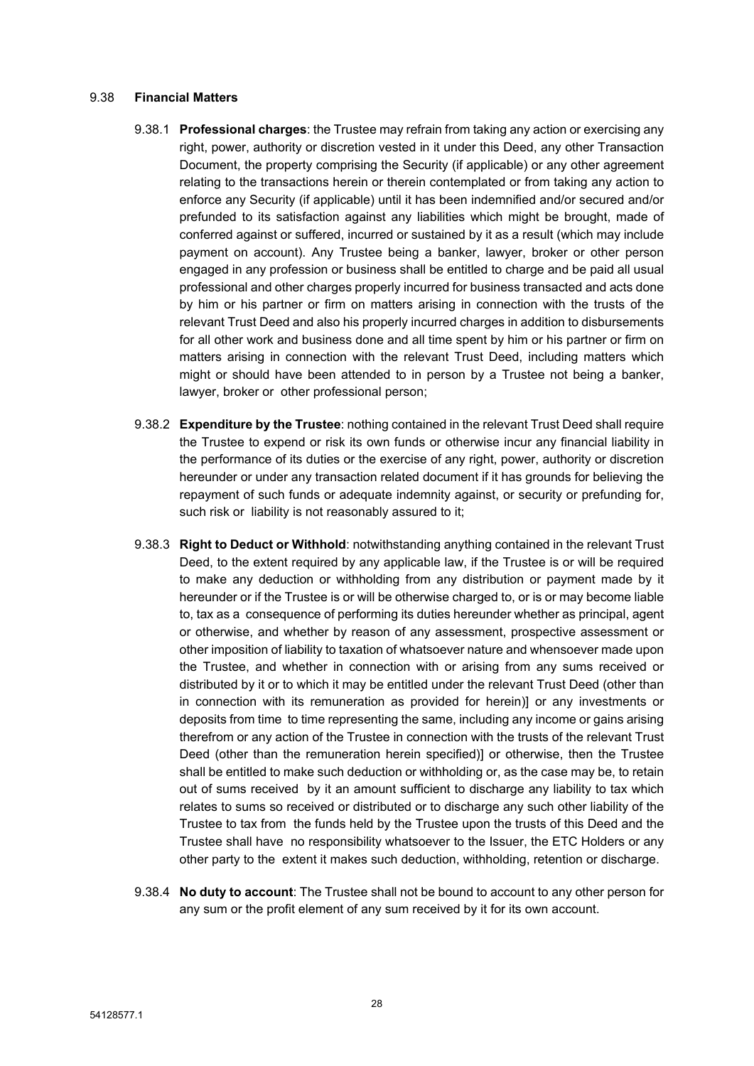#### 9.38 **Financial Matters**

- 9.38.1 **Professional charges**: the Trustee may refrain from taking any action or exercising any right, power, authority or discretion vested in it under this Deed, any other Transaction Document, the property comprising the Security (if applicable) or any other agreement relating to the transactions herein or therein contemplated or from taking any action to enforce any Security (if applicable) until it has been indemnified and/or secured and/or prefunded to its satisfaction against any liabilities which might be brought, made of conferred against or suffered, incurred or sustained by it as a result (which may include payment on account). Any Trustee being a banker, lawyer, broker or other person engaged in any profession or business shall be entitled to charge and be paid all usual professional and other charges properly incurred for business transacted and acts done by him or his partner or firm on matters arising in connection with the trusts of the relevant Trust Deed and also his properly incurred charges in addition to disbursements for all other work and business done and all time spent by him or his partner or firm on matters arising in connection with the relevant Trust Deed, including matters which might or should have been attended to in person by a Trustee not being a banker, lawyer, broker or other professional person;
- 9.38.2 **Expenditure by the Trustee**: nothing contained in the relevant Trust Deed shall require the Trustee to expend or risk its own funds or otherwise incur any financial liability in the performance of its duties or the exercise of any right, power, authority or discretion hereunder or under any transaction related document if it has grounds for believing the repayment of such funds or adequate indemnity against, or security or prefunding for, such risk or liability is not reasonably assured to it;
- 9.38.3 **Right to Deduct or Withhold**: notwithstanding anything contained in the relevant Trust Deed, to the extent required by any applicable law, if the Trustee is or will be required to make any deduction or withholding from any distribution or payment made by it hereunder or if the Trustee is or will be otherwise charged to, or is or may become liable to, tax as a consequence of performing its duties hereunder whether as principal, agent or otherwise, and whether by reason of any assessment, prospective assessment or other imposition of liability to taxation of whatsoever nature and whensoever made upon the Trustee, and whether in connection with or arising from any sums received or distributed by it or to which it may be entitled under the relevant Trust Deed (other than in connection with its remuneration as provided for herein)] or any investments or deposits from time to time representing the same, including any income or gains arising therefrom or any action of the Trustee in connection with the trusts of the relevant Trust Deed (other than the remuneration herein specified)] or otherwise, then the Trustee shall be entitled to make such deduction or withholding or, as the case may be, to retain out of sums received by it an amount sufficient to discharge any liability to tax which relates to sums so received or distributed or to discharge any such other liability of the Trustee to tax from the funds held by the Trustee upon the trusts of this Deed and the Trustee shall have no responsibility whatsoever to the Issuer, the ETC Holders or any other party to the extent it makes such deduction, withholding, retention or discharge.
- 9.38.4 **No duty to account**: The Trustee shall not be bound to account to any other person for any sum or the profit element of any sum received by it for its own account.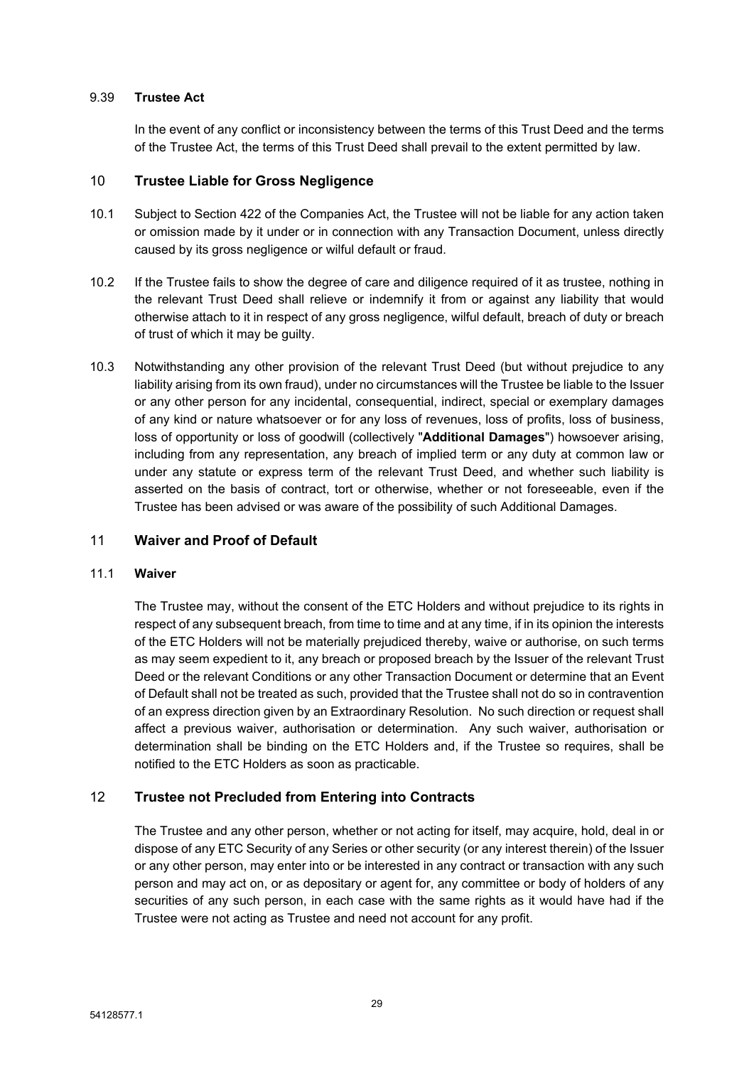# 9.39 **Trustee Act**

In the event of any conflict or inconsistency between the terms of this Trust Deed and the terms of the Trustee Act, the terms of this Trust Deed shall prevail to the extent permitted by law.

# <span id="page-30-0"></span>10 **Trustee Liable for Gross Negligence**

- 10.1 Subject to Section 422 of the Companies Act, the Trustee will not be liable for any action taken or omission made by it under or in connection with any Transaction Document, unless directly caused by its gross negligence or wilful default or fraud.
- 10.2 If the Trustee fails to show the degree of care and diligence required of it as trustee, nothing in the relevant Trust Deed shall relieve or indemnify it from or against any liability that would otherwise attach to it in respect of any gross negligence, wilful default, breach of duty or breach of trust of which it may be guilty.
- 10.3 Notwithstanding any other provision of the relevant Trust Deed (but without prejudice to any liability arising from its own fraud), under no circumstances will the Trustee be liable to the Issuer or any other person for any incidental, consequential, indirect, special or exemplary damages of any kind or nature whatsoever or for any loss of revenues, loss of profits, loss of business, loss of opportunity or loss of goodwill (collectively "**Additional Damages**") howsoever arising, including from any representation, any breach of implied term or any duty at common law or under any statute or express term of the relevant Trust Deed, and whether such liability is asserted on the basis of contract, tort or otherwise, whether or not foreseeable, even if the Trustee has been advised or was aware of the possibility of such Additional Damages.

# <span id="page-30-1"></span>11 **Waiver and Proof of Default**

# 11.1 **Waiver**

The Trustee may, without the consent of the ETC Holders and without prejudice to its rights in respect of any subsequent breach, from time to time and at any time, if in its opinion the interests of the ETC Holders will not be materially prejudiced thereby, waive or authorise, on such terms as may seem expedient to it, any breach or proposed breach by the Issuer of the relevant Trust Deed or the relevant Conditions or any other Transaction Document or determine that an Event of Default shall not be treated as such, provided that the Trustee shall not do so in contravention of an express direction given by an Extraordinary Resolution. No such direction or request shall affect a previous waiver, authorisation or determination. Any such waiver, authorisation or determination shall be binding on the ETC Holders and, if the Trustee so requires, shall be notified to the ETC Holders as soon as practicable.

# <span id="page-30-2"></span>12 **Trustee not Precluded from Entering into Contracts**

The Trustee and any other person, whether or not acting for itself, may acquire, hold, deal in or dispose of any ETC Security of any Series or other security (or any interest therein) of the Issuer or any other person, may enter into or be interested in any contract or transaction with any such person and may act on, or as depositary or agent for, any committee or body of holders of any securities of any such person, in each case with the same rights as it would have had if the Trustee were not acting as Trustee and need not account for any profit.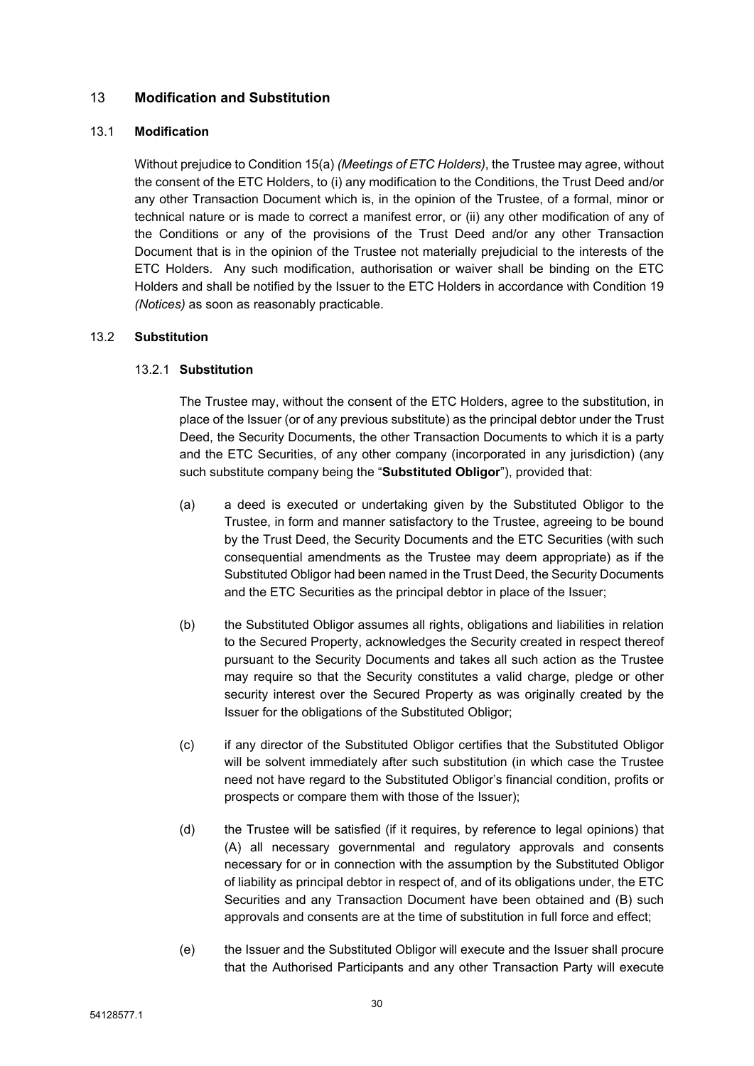# <span id="page-31-0"></span>13 **Modification and Substitution**

# 13.1 **Modification**

Without prejudice to Condition 15(a) *(Meetings of ETC Holders)*, the Trustee may agree, without the consent of the ETC Holders, to (i) any modification to the Conditions, the Trust Deed and/or any other Transaction Document which is, in the opinion of the Trustee, of a formal, minor or technical nature or is made to correct a manifest error, or (ii) any other modification of any of the Conditions or any of the provisions of the Trust Deed and/or any other Transaction Document that is in the opinion of the Trustee not materially prejudicial to the interests of the ETC Holders. Any such modification, authorisation or waiver shall be binding on the ETC Holders and shall be notified by the Issuer to the ETC Holders in accordance with Condition 19 *(Notices)* as soon as reasonably practicable.

# 13.2 **Substitution**

# 13.2.1 **Substitution**

The Trustee may, without the consent of the ETC Holders, agree to the substitution, in place of the Issuer (or of any previous substitute) as the principal debtor under the Trust Deed, the Security Documents, the other Transaction Documents to which it is a party and the ETC Securities, of any other company (incorporated in any jurisdiction) (any such substitute company being the "**Substituted Obligor**"), provided that:

- (a) a deed is executed or undertaking given by the Substituted Obligor to the Trustee, in form and manner satisfactory to the Trustee, agreeing to be bound by the Trust Deed, the Security Documents and the ETC Securities (with such consequential amendments as the Trustee may deem appropriate) as if the Substituted Obligor had been named in the Trust Deed, the Security Documents and the ETC Securities as the principal debtor in place of the Issuer;
- (b) the Substituted Obligor assumes all rights, obligations and liabilities in relation to the Secured Property, acknowledges the Security created in respect thereof pursuant to the Security Documents and takes all such action as the Trustee may require so that the Security constitutes a valid charge, pledge or other security interest over the Secured Property as was originally created by the Issuer for the obligations of the Substituted Obligor;
- (c) if any director of the Substituted Obligor certifies that the Substituted Obligor will be solvent immediately after such substitution (in which case the Trustee need not have regard to the Substituted Obligor's financial condition, profits or prospects or compare them with those of the Issuer);
- (d) the Trustee will be satisfied (if it requires, by reference to legal opinions) that (A) all necessary governmental and regulatory approvals and consents necessary for or in connection with the assumption by the Substituted Obligor of liability as principal debtor in respect of, and of its obligations under, the ETC Securities and any Transaction Document have been obtained and (B) such approvals and consents are at the time of substitution in full force and effect;
- (e) the Issuer and the Substituted Obligor will execute and the Issuer shall procure that the Authorised Participants and any other Transaction Party will execute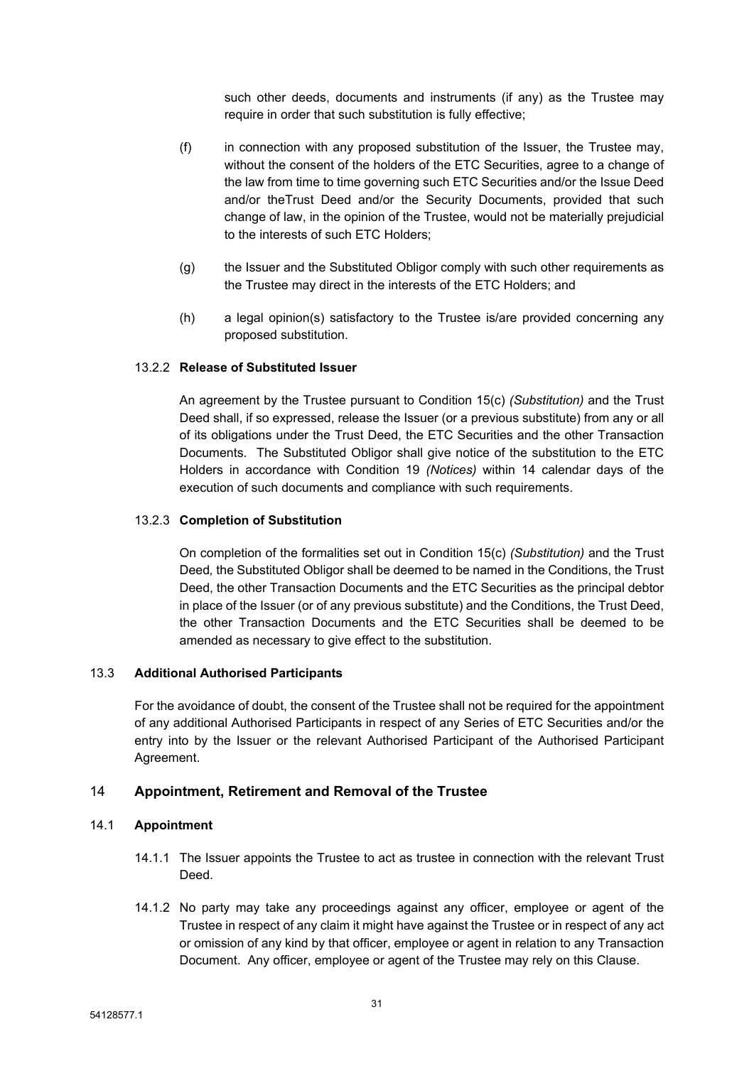such other deeds, documents and instruments (if any) as the Trustee may require in order that such substitution is fully effective;

- (f) in connection with any proposed substitution of the Issuer, the Trustee may, without the consent of the holders of the ETC Securities, agree to a change of the law from time to time governing such ETC Securities and/or the Issue Deed and/or theTrust Deed and/or the Security Documents, provided that such change of law, in the opinion of the Trustee, would not be materially prejudicial to the interests of such ETC Holders;
- (g) the Issuer and the Substituted Obligor comply with such other requirements as the Trustee may direct in the interests of the ETC Holders; and
- (h) a legal opinion(s) satisfactory to the Trustee is/are provided concerning any proposed substitution.

# 13.2.2 **Release of Substituted Issuer**

An agreement by the Trustee pursuant to Condition 15(c) *(Substitution)* and the Trust Deed shall, if so expressed, release the Issuer (or a previous substitute) from any or all of its obligations under the Trust Deed, the ETC Securities and the other Transaction Documents. The Substituted Obligor shall give notice of the substitution to the ETC Holders in accordance with Condition 19 *(Notices)* within 14 calendar days of the execution of such documents and compliance with such requirements.

# 13.2.3 **Completion of Substitution**

On completion of the formalities set out in Condition 15(c) *(Substitution)* and the Trust Deed*,* the Substituted Obligor shall be deemed to be named in the Conditions, the Trust Deed, the other Transaction Documents and the ETC Securities as the principal debtor in place of the Issuer (or of any previous substitute) and the Conditions, the Trust Deed, the other Transaction Documents and the ETC Securities shall be deemed to be amended as necessary to give effect to the substitution.

# 13.3 **Additional Authorised Participants**

For the avoidance of doubt, the consent of the Trustee shall not be required for the appointment of any additional Authorised Participants in respect of any Series of ETC Securities and/or the entry into by the Issuer or the relevant Authorised Participant of the Authorised Participant Agreement.

# <span id="page-32-0"></span>14 **Appointment, Retirement and Removal of the Trustee**

# <span id="page-32-1"></span>14.1 **Appointment**

- 14.1.1 The Issuer appoints the Trustee to act as trustee in connection with the relevant Trust Deed.
- 14.1.2 No party may take any proceedings against any officer, employee or agent of the Trustee in respect of any claim it might have against the Trustee or in respect of any act or omission of any kind by that officer, employee or agent in relation to any Transaction Document. Any officer, employee or agent of the Trustee may rely on this Clause.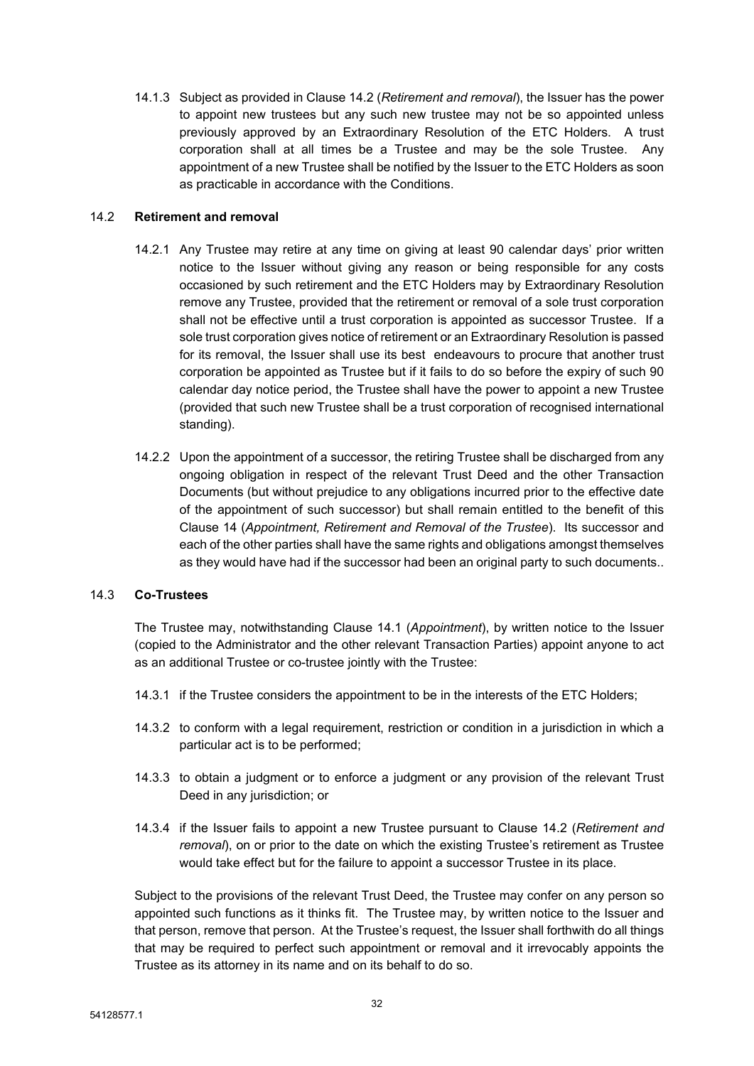14.1.3 Subject as provided in Clause [14.2](#page-33-0) (*[Retirement](#page-33-0) and removal*), the Issuer has the power to appoint new trustees but any such new trustee may not be so appointed unless previously approved by an Extraordinary Resolution of the ETC Holders. A trust corporation shall at all times be a Trustee and may be the sole Trustee. Any appointment of a new Trustee shall be notified by the Issuer to the ETC Holders as soon as practicable in accordance with the Conditions.

# <span id="page-33-0"></span>14.2 **Retirement and removal**

- 14.2.1 Any Trustee may retire at any time on giving at least 90 calendar days' prior written notice to the Issuer without giving any reason or being responsible for any costs occasioned by such retirement and the ETC Holders may by Extraordinary Resolution remove any Trustee, provided that the retirement or removal of a sole trust corporation shall not be effective until a trust corporation is appointed as successor Trustee. If a sole trust corporation gives notice of retirement or an Extraordinary Resolution is passed for its removal, the Issuer shall use its best endeavours to procure that another trust corporation be appointed as Trustee but if it fails to do so before the expiry of such 90 calendar day notice period, the Trustee shall have the power to appoint a new Trustee (provided that such new Trustee shall be a trust corporation of recognised international standing).
- 14.2.2 Upon the appointment of a successor, the retiring Trustee shall be discharged from any ongoing obligation in respect of the relevant Trust Deed and the other Transaction Documents (but without prejudice to any obligations incurred prior to the effective date of the appointment of such successor) but shall remain entitled to the benefit of this Clause [14](#page-32-0) (*[Appointment,](#page-32-0) Retirement and Removal of the Trustee*). Its successor and each of the other parties shall have the same rights and obligations amongst themselves as they would have had if the successor had been an original party to such documents..

# 14.3 **Co-Trustees**

The Trustee may, notwithstanding Clause [14.1](#page-32-1) (*[Appointment](#page-32-1)*), by written notice to the Issuer (copied to the Administrator and the other relevant Transaction Parties) appoint anyone to act as an additional Trustee or co-trustee jointly with the Trustee:

- 14.3.1 if the Trustee considers the appointment to be in the interests of the ETC Holders;
- 14.3.2 to conform with a legal requirement, restriction or condition in a jurisdiction in which a particular act is to be performed;
- 14.3.3 to obtain a judgment or to enforce a judgment or any provision of the relevant Trust Deed in any jurisdiction; or
- 14.3.4 if the Issuer fails to appoint a new Trustee pursuant to Clause [14.2](#page-33-0) (*[Retirement](#page-33-0) and [removal](#page-33-0)*), on or prior to the date on which the existing Trustee's retirement as Trustee would take effect but for the failure to appoint a successor Trustee in its place.

Subject to the provisions of the relevant Trust Deed, the Trustee may confer on any person so appointed such functions as it thinks fit. The Trustee may, by written notice to the Issuer and that person, remove that person. At the Trustee's request, the Issuer shall forthwith do all things that may be required to perfect such appointment or removal and it irrevocably appoints the Trustee as its attorney in its name and on its behalf to do so.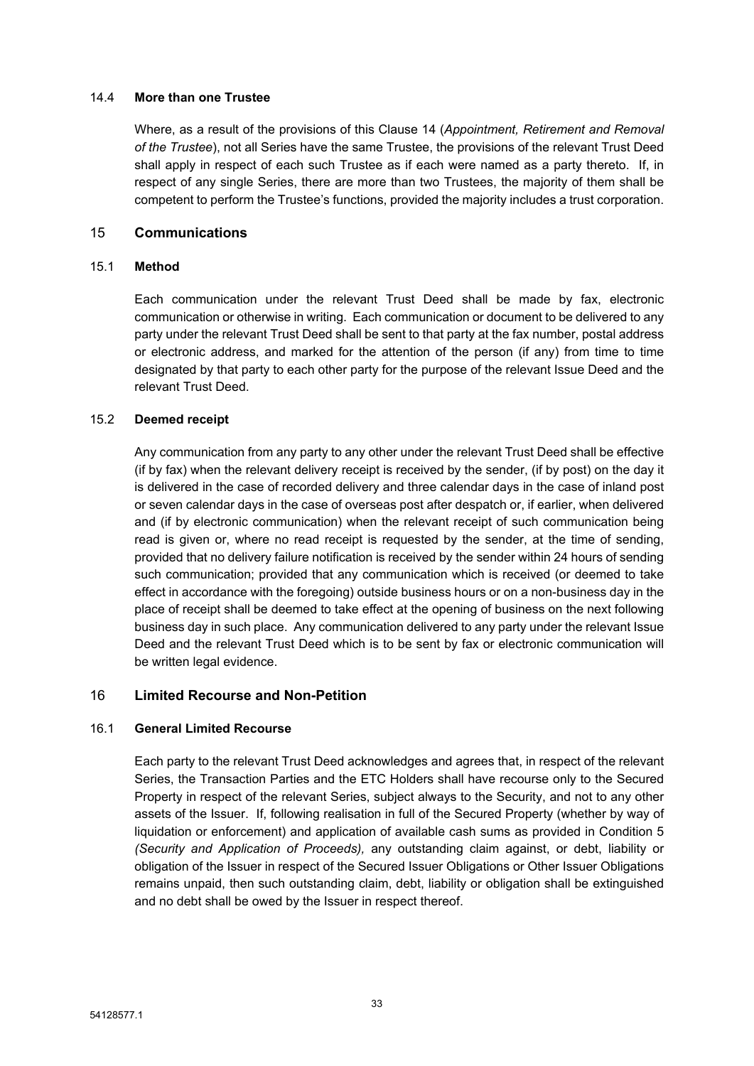### 14.4 **More than one Trustee**

Where, as a result of the provisions of this Clause [14](#page-32-0) (*[Appointment,](#page-32-0) Retirement and Removal of the [Trustee](#page-32-0)*), not all Series have the same Trustee, the provisions of the relevant Trust Deed shall apply in respect of each such Trustee as if each were named as a party thereto. If, in respect of any single Series, there are more than two Trustees, the majority of them shall be competent to perform the Trustee's functions, provided the majority includes a trust corporation.

# <span id="page-34-0"></span>15 **Communications**

### 15.1 **Method**

Each communication under the relevant Trust Deed shall be made by fax, electronic communication or otherwise in writing. Each communication or document to be delivered to any party under the relevant Trust Deed shall be sent to that party at the fax number, postal address or electronic address, and marked for the attention of the person (if any) from time to time designated by that party to each other party for the purpose of the relevant Issue Deed and the relevant Trust Deed.

# 15.2 **Deemed receipt**

Any communication from any party to any other under the relevant Trust Deed shall be effective (if by fax) when the relevant delivery receipt is received by the sender, (if by post) on the day it is delivered in the case of recorded delivery and three calendar days in the case of inland post or seven calendar days in the case of overseas post after despatch or, if earlier, when delivered and (if by electronic communication) when the relevant receipt of such communication being read is given or, where no read receipt is requested by the sender, at the time of sending, provided that no delivery failure notification is received by the sender within 24 hours of sending such communication; provided that any communication which is received (or deemed to take effect in accordance with the foregoing) outside business hours or on a non-business day in the place of receipt shall be deemed to take effect at the opening of business on the next following business day in such place. Any communication delivered to any party under the relevant Issue Deed and the relevant Trust Deed which is to be sent by fax or electronic communication will be written legal evidence.

# <span id="page-34-1"></span>16 **Limited Recourse and Non-Petition**

# 16.1 **General Limited Recourse**

Each party to the relevant Trust Deed acknowledges and agrees that, in respect of the relevant Series, the Transaction Parties and the ETC Holders shall have recourse only to the Secured Property in respect of the relevant Series, subject always to the Security, and not to any other assets of the Issuer. If, following realisation in full of the Secured Property (whether by way of liquidation or enforcement) and application of available cash sums as provided in Condition 5 *(Security and Application of Proceeds),* any outstanding claim against, or debt, liability or obligation of the Issuer in respect of the Secured Issuer Obligations or Other Issuer Obligations remains unpaid, then such outstanding claim, debt, liability or obligation shall be extinguished and no debt shall be owed by the Issuer in respect thereof.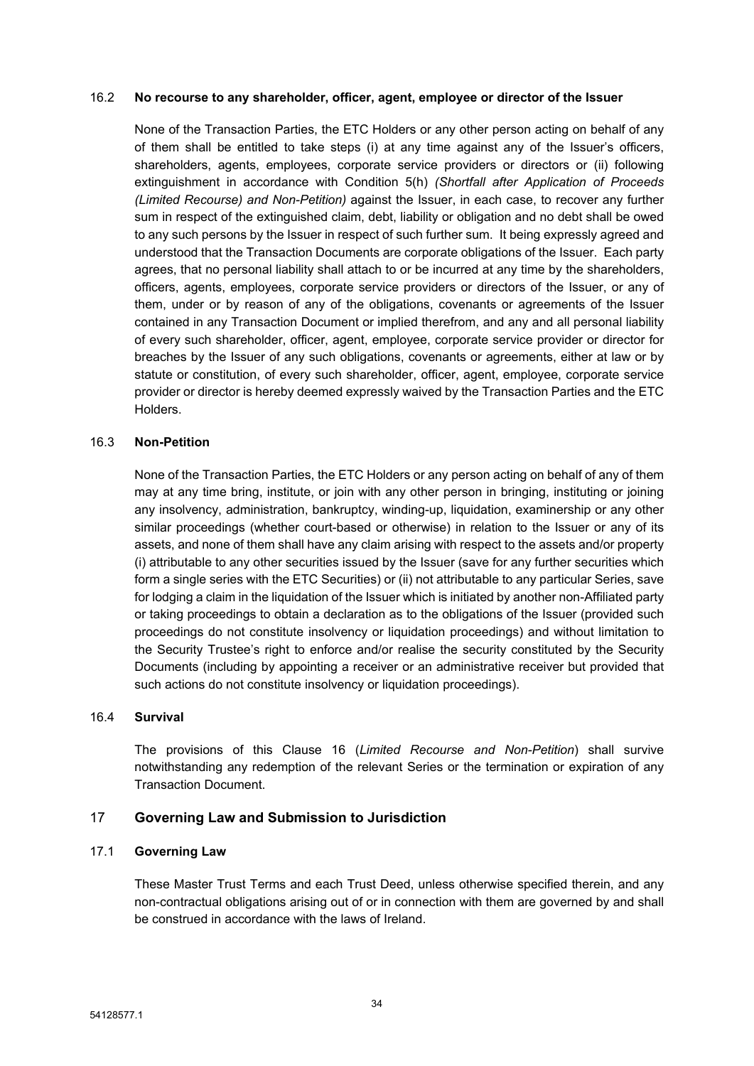#### 16.2 **No recourse to any shareholder, officer, agent, employee or director of the Issuer**

None of the Transaction Parties, the ETC Holders or any other person acting on behalf of any of them shall be entitled to take steps (i) at any time against any of the Issuer's officers, shareholders, agents, employees, corporate service providers or directors or (ii) following extinguishment in accordance with Condition 5(h) *(Shortfall after Application of Proceeds (Limited Recourse) and Non-Petition)* against the Issuer, in each case, to recover any further sum in respect of the extinguished claim, debt, liability or obligation and no debt shall be owed to any such persons by the Issuer in respect of such further sum. It being expressly agreed and understood that the Transaction Documents are corporate obligations of the Issuer. Each party agrees, that no personal liability shall attach to or be incurred at any time by the shareholders, officers, agents, employees, corporate service providers or directors of the Issuer, or any of them, under or by reason of any of the obligations, covenants or agreements of the Issuer contained in any Transaction Document or implied therefrom, and any and all personal liability of every such shareholder, officer, agent, employee, corporate service provider or director for breaches by the Issuer of any such obligations, covenants or agreements, either at law or by statute or constitution, of every such shareholder, officer, agent, employee, corporate service provider or director is hereby deemed expressly waived by the Transaction Parties and the ETC Holders.

### 16.3 **Non-Petition**

None of the Transaction Parties, the ETC Holders or any person acting on behalf of any of them may at any time bring, institute, or join with any other person in bringing, instituting or joining any insolvency, administration, bankruptcy, winding-up, liquidation, examinership or any other similar proceedings (whether court-based or otherwise) in relation to the Issuer or any of its assets, and none of them shall have any claim arising with respect to the assets and/or property (i) attributable to any other securities issued by the Issuer (save for any further securities which form a single series with the ETC Securities) or (ii) not attributable to any particular Series, save for lodging a claim in the liquidation of the Issuer which is initiated by another non-Affiliated party or taking proceedings to obtain a declaration as to the obligations of the Issuer (provided such proceedings do not constitute insolvency or liquidation proceedings) and without limitation to the Security Trustee's right to enforce and/or realise the security constituted by the Security Documents (including by appointing a receiver or an administrative receiver but provided that such actions do not constitute insolvency or liquidation proceedings).

#### 16.4 **Survival**

The provisions of this Clause [16](#page-34-1) (*Limited Recourse and [Non-Petition](#page-34-1)*) shall survive notwithstanding any redemption of the relevant Series or the termination or expiration of any Transaction Document.

# <span id="page-35-0"></span>17 **Governing Law and Submission to Jurisdiction**

# 17.1 **Governing Law**

These Master Trust Terms and each Trust Deed, unless otherwise specified therein, and any non-contractual obligations arising out of or in connection with them are governed by and shall be construed in accordance with the laws of Ireland.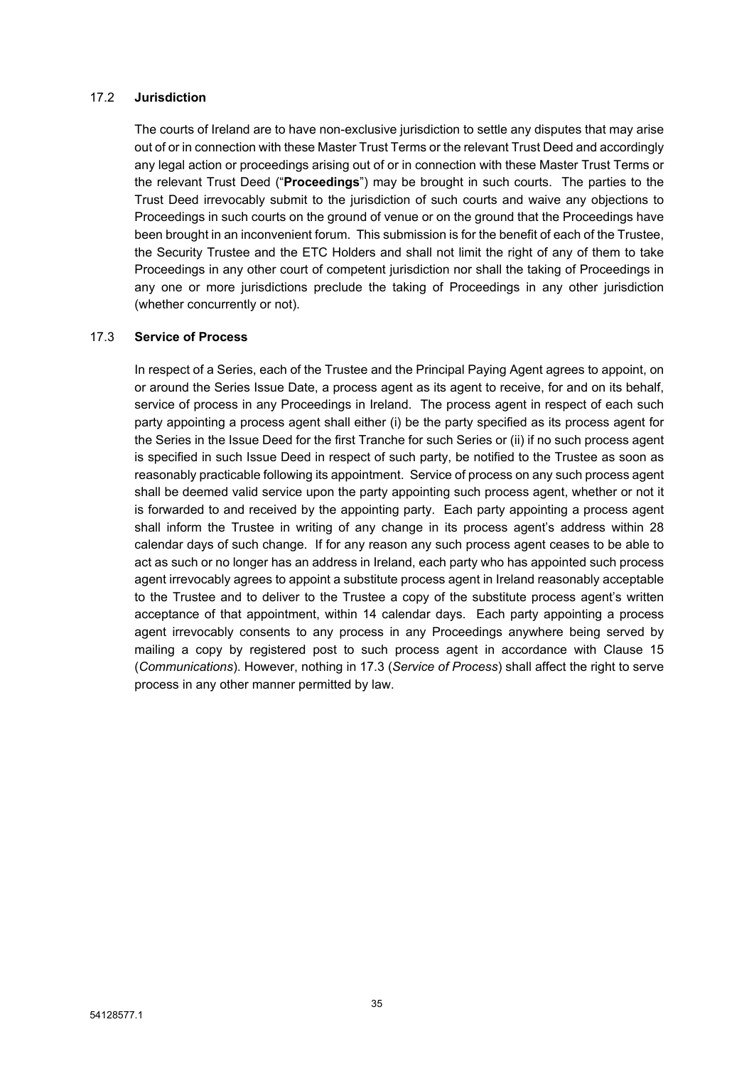#### 17.2 **Jurisdiction**

The courts of Ireland are to have non-exclusive jurisdiction to settle any disputes that may arise out of or in connection with these Master Trust Terms or the relevant Trust Deed and accordingly any legal action or proceedings arising out of or in connection with these Master Trust Terms or the relevant Trust Deed ("**Proceedings**") may be brought in such courts. The parties to the Trust Deed irrevocably submit to the jurisdiction of such courts and waive any objections to Proceedings in such courts on the ground of venue or on the ground that the Proceedings have been brought in an inconvenient forum. This submission is for the benefit of each of the Trustee, the Security Trustee and the ETC Holders and shall not limit the right of any of them to take Proceedings in any other court of competent jurisdiction nor shall the taking of Proceedings in any one or more jurisdictions preclude the taking of Proceedings in any other jurisdiction (whether concurrently or not).

#### <span id="page-36-0"></span>17.3 **Service of Process**

In respect of a Series, each of the Trustee and the Principal Paying Agent agrees to appoint, on or around the Series Issue Date, a process agent as its agent to receive, for and on its behalf, service of process in any Proceedings in Ireland. The process agent in respect of each such party appointing a process agent shall either (i) be the party specified as its process agent for the Series in the Issue Deed for the first Tranche for such Series or (ii) if no such process agent is specified in such Issue Deed in respect of such party, be notified to the Trustee as soon as reasonably practicable following its appointment. Service of process on any such process agent shall be deemed valid service upon the party appointing such process agent, whether or not it is forwarded to and received by the appointing party. Each party appointing a process agent shall inform the Trustee in writing of any change in its process agent's address within 28 calendar days of such change. If for any reason any such process agent ceases to be able to act as such or no longer has an address in Ireland, each party who has appointed such process agent irrevocably agrees to appoint a substitute process agent in Ireland reasonably acceptable to the Trustee and to deliver to the Trustee a copy of the substitute process agent's written acceptance of that appointment, within 14 calendar days. Each party appointing a process agent irrevocably consents to any process in any Proceedings anywhere being served by mailing a copy by registered post to such process agent in accordance with Clause [15](#page-34-0) (*[Communications](#page-34-0)*). However, nothing in [17.3](#page-36-0) (*Service of [Process](#page-36-0)*) shall affect the right to serve process in any other manner permitted by law.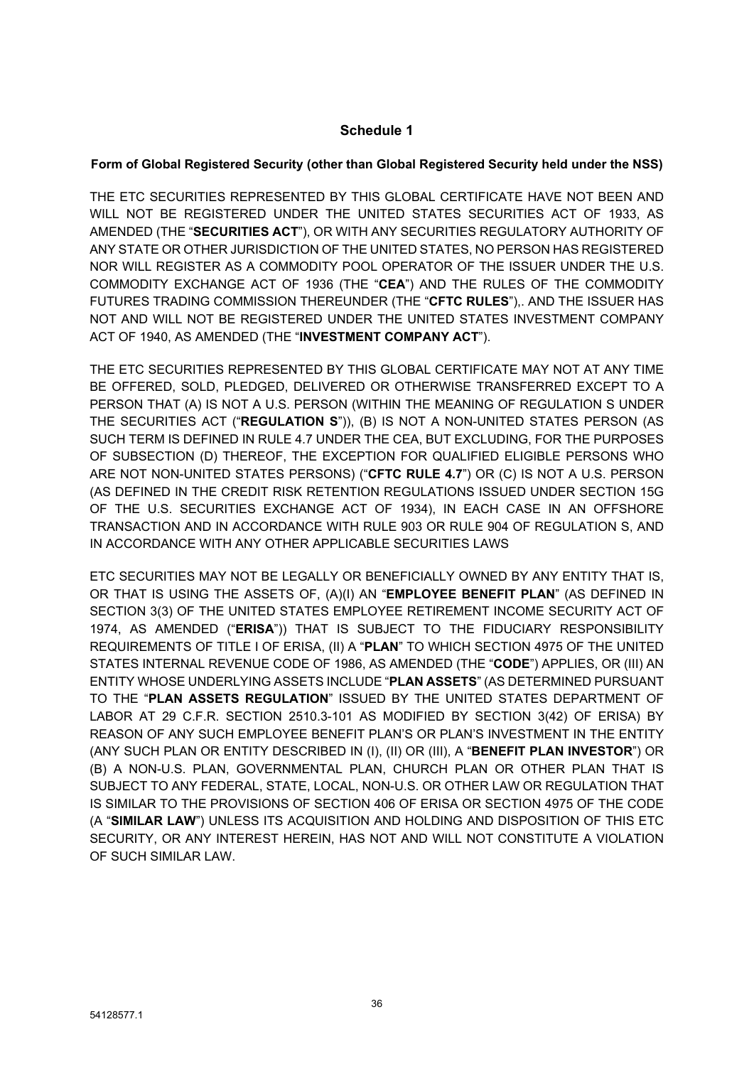## **Schedule 1**

### **Form of Global Registered Security (other than Global Registered Security held under the NSS)**

THE ETC SECURITIES REPRESENTED BY THIS GLOBAL CERTIFICATE HAVE NOT BEEN AND WILL NOT BE REGISTERED UNDER THE UNITED STATES SECURITIES ACT OF 1933, AS AMENDED (THE "**SECURITIES ACT**"), OR WITH ANY SECURITIES REGULATORY AUTHORITY OF ANY STATE OR OTHER JURISDICTION OF THE UNITED STATES, NO PERSON HAS REGISTERED NOR WILL REGISTER AS A COMMODITY POOL OPERATOR OF THE ISSUER UNDER THE U.S. COMMODITY EXCHANGE ACT OF 1936 (THE "**CEA**") AND THE RULES OF THE COMMODITY FUTURES TRADING COMMISSION THEREUNDER (THE "**CFTC RULES**"),. AND THE ISSUER HAS NOT AND WILL NOT BE REGISTERED UNDER THE UNITED STATES INVESTMENT COMPANY ACT OF 1940, AS AMENDED (THE "**INVESTMENT COMPANY ACT**").

THE ETC SECURITIES REPRESENTED BY THIS GLOBAL CERTIFICATE MAY NOT AT ANY TIME BE OFFERED, SOLD, PLEDGED, DELIVERED OR OTHERWISE TRANSFERRED EXCEPT TO A PERSON THAT (A) IS NOT A U.S. PERSON (WITHIN THE MEANING OF REGULATION S UNDER THE SECURITIES ACT ("**REGULATION S**")), (B) IS NOT A NON-UNITED STATES PERSON (AS SUCH TERM IS DEFINED IN RULE 4.7 UNDER THE CEA, BUT EXCLUDING, FOR THE PURPOSES OF SUBSECTION (D) THEREOF, THE EXCEPTION FOR QUALIFIED ELIGIBLE PERSONS WHO ARE NOT NON-UNITED STATES PERSONS) ("**CFTC RULE 4.7**") OR (C) IS NOT A U.S. PERSON (AS DEFINED IN THE CREDIT RISK RETENTION REGULATIONS ISSUED UNDER SECTION 15G OF THE U.S. SECURITIES EXCHANGE ACT OF 1934), IN EACH CASE IN AN OFFSHORE TRANSACTION AND IN ACCORDANCE WITH RULE 903 OR RULE 904 OF REGULATION S, AND IN ACCORDANCE WITH ANY OTHER APPLICABLE SECURITIES LAWS

ETC SECURITIES MAY NOT BE LEGALLY OR BENEFICIALLY OWNED BY ANY ENTITY THAT IS, OR THAT IS USING THE ASSETS OF, (A)(I) AN "**EMPLOYEE BENEFIT PLAN**" (AS DEFINED IN SECTION 3(3) OF THE UNITED STATES EMPLOYEE RETIREMENT INCOME SECURITY ACT OF 1974, AS AMENDED ("**ERISA**")) THAT IS SUBJECT TO THE FIDUCIARY RESPONSIBILITY REQUIREMENTS OF TITLE I OF ERISA, (II) A "**PLAN**" TO WHICH SECTION 4975 OF THE UNITED STATES INTERNAL REVENUE CODE OF 1986, AS AMENDED (THE "**CODE**") APPLIES, OR (III) AN ENTITY WHOSE UNDERLYING ASSETS INCLUDE "**PLAN ASSETS**" (AS DETERMINED PURSUANT TO THE "**PLAN ASSETS REGULATION**" ISSUED BY THE UNITED STATES DEPARTMENT OF LABOR AT 29 C.F.R. SECTION 2510.3-101 AS MODIFIED BY SECTION 3(42) OF ERISA) BY REASON OF ANY SUCH EMPLOYEE BENEFIT PLAN'S OR PLAN'S INVESTMENT IN THE ENTITY (ANY SUCH PLAN OR ENTITY DESCRIBED IN (I), (II) OR (III), A "**BENEFIT PLAN INVESTOR**") OR (B) A NON-U.S. PLAN, GOVERNMENTAL PLAN, CHURCH PLAN OR OTHER PLAN THAT IS SUBJECT TO ANY FEDERAL, STATE, LOCAL, NON-U.S. OR OTHER LAW OR REGULATION THAT IS SIMILAR TO THE PROVISIONS OF SECTION 406 OF ERISA OR SECTION 4975 OF THE CODE (A "**SIMILAR LAW**") UNLESS ITS ACQUISITION AND HOLDING AND DISPOSITION OF THIS ETC SECURITY, OR ANY INTEREST HEREIN, HAS NOT AND WILL NOT CONSTITUTE A VIOLATION OF SUCH SIMILAR LAW.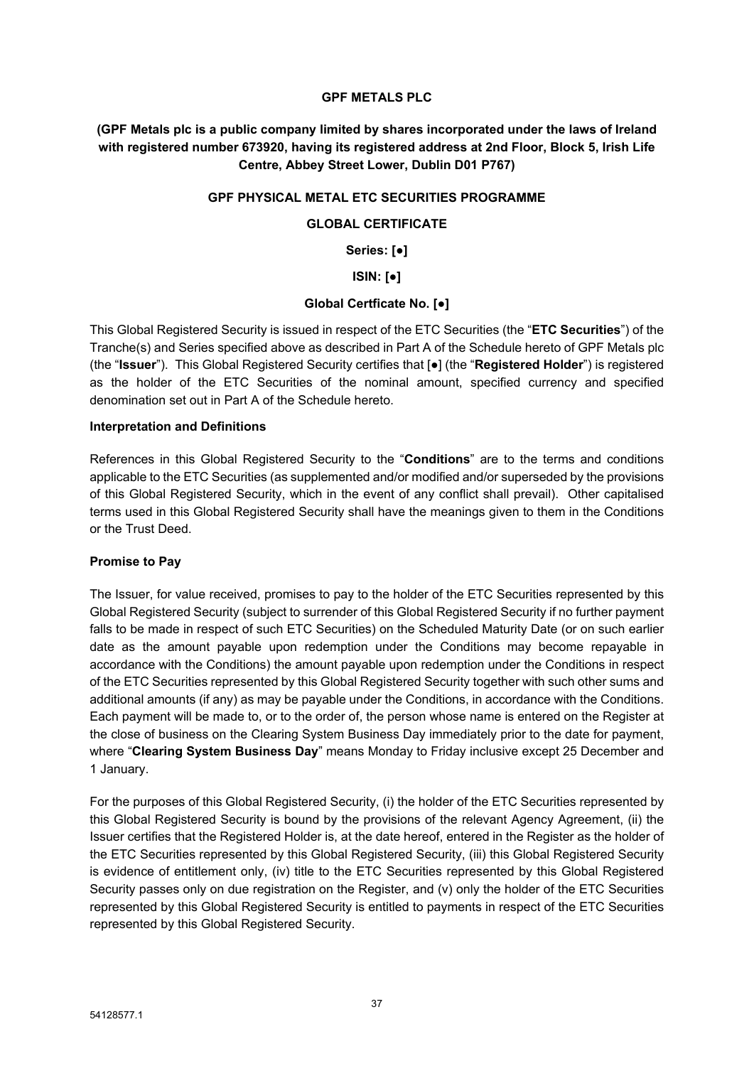#### **GPF METALS PLC**

**(GPF Metals plc is a public company limited by shares incorporated under the laws of Ireland with registered number 673920, having its registered address at 2nd Floor, Block 5, Irish Life Centre, Abbey Street Lower, Dublin D01 P767)**

#### **GPF PHYSICAL METAL ETC SECURITIES PROGRAMME**

### **GLOBAL CERTIFICATE**

**Series: [●]**

**ISIN: [●]**

#### **Global Certficate No. [●]**

This Global Registered Security is issued in respect of the ETC Securities (the "**ETC Securities**") of the Tranche(s) and Series specified above as described in Part A of the Schedule hereto of GPF Metals plc (the "**Issuer**"). This Global Registered Security certifies that [●] (the "**Registered Holder**") is registered as the holder of the ETC Securities of the nominal amount, specified currency and specified denomination set out in Part A of the Schedule hereto.

#### **Interpretation and Definitions**

References in this Global Registered Security to the "**Conditions**" are to the terms and conditions applicable to the ETC Securities (as supplemented and/or modified and/or superseded by the provisions of this Global Registered Security, which in the event of any conflict shall prevail). Other capitalised terms used in this Global Registered Security shall have the meanings given to them in the Conditions or the Trust Deed.

### **Promise to Pay**

The Issuer, for value received, promises to pay to the holder of the ETC Securities represented by this Global Registered Security (subject to surrender of this Global Registered Security if no further payment falls to be made in respect of such ETC Securities) on the Scheduled Maturity Date (or on such earlier date as the amount payable upon redemption under the Conditions may become repayable in accordance with the Conditions) the amount payable upon redemption under the Conditions in respect of the ETC Securities represented by this Global Registered Security together with such other sums and additional amounts (if any) as may be payable under the Conditions, in accordance with the Conditions. Each payment will be made to, or to the order of, the person whose name is entered on the Register at the close of business on the Clearing System Business Day immediately prior to the date for payment, where "**Clearing System Business Day**" means Monday to Friday inclusive except 25 December and 1 January.

For the purposes of this Global Registered Security, (i) the holder of the ETC Securities represented by this Global Registered Security is bound by the provisions of the relevant Agency Agreement, (ii) the Issuer certifies that the Registered Holder is, at the date hereof, entered in the Register as the holder of the ETC Securities represented by this Global Registered Security, (iii) this Global Registered Security is evidence of entitlement only, (iv) title to the ETC Securities represented by this Global Registered Security passes only on due registration on the Register, and (v) only the holder of the ETC Securities represented by this Global Registered Security is entitled to payments in respect of the ETC Securities represented by this Global Registered Security.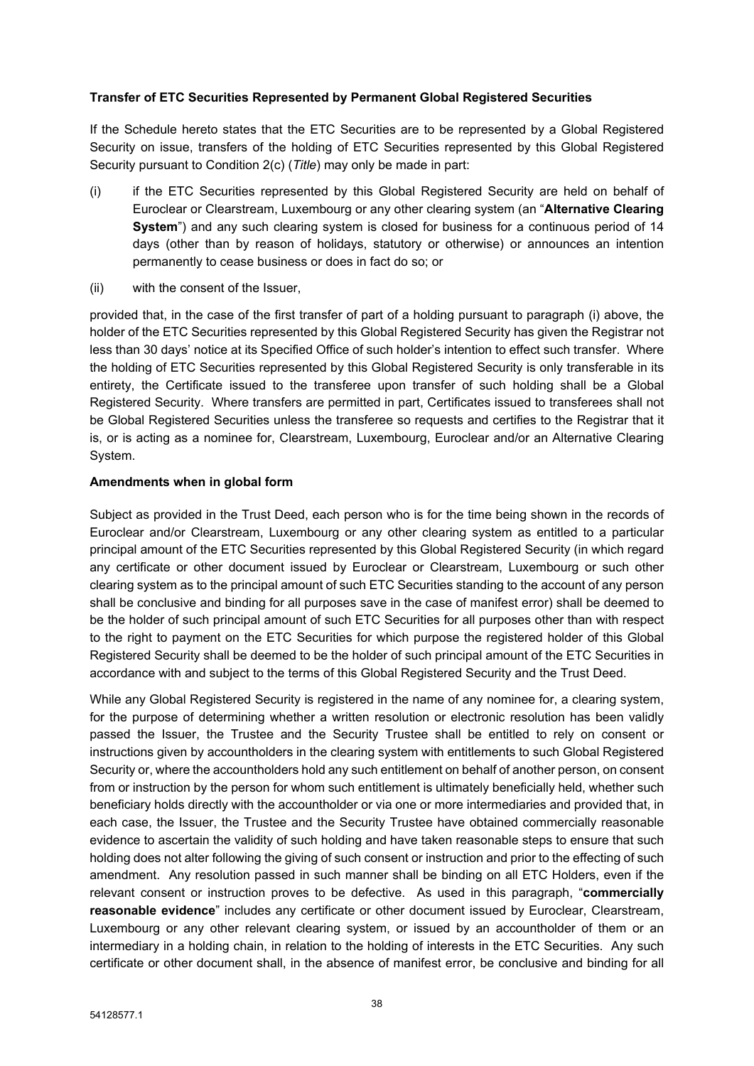### **Transfer of ETC Securities Represented by Permanent Global Registered Securities**

If the Schedule hereto states that the ETC Securities are to be represented by a Global Registered Security on issue, transfers of the holding of ETC Securities represented by this Global Registered Security pursuant to Condition 2(c) (*Title*) may only be made in part:

- (i) if the ETC Securities represented by this Global Registered Security are held on behalf of Euroclear or Clearstream, Luxembourg or any other clearing system (an "**Alternative Clearing System**") and any such clearing system is closed for business for a continuous period of 14 days (other than by reason of holidays, statutory or otherwise) or announces an intention permanently to cease business or does in fact do so; or
- (ii) with the consent of the Issuer,

provided that, in the case of the first transfer of part of a holding pursuant to paragraph (i) above, the holder of the ETC Securities represented by this Global Registered Security has given the Registrar not less than 30 days' notice at its Specified Office of such holder's intention to effect such transfer. Where the holding of ETC Securities represented by this Global Registered Security is only transferable in its entirety, the Certificate issued to the transferee upon transfer of such holding shall be a Global Registered Security. Where transfers are permitted in part, Certificates issued to transferees shall not be Global Registered Securities unless the transferee so requests and certifies to the Registrar that it is, or is acting as a nominee for, Clearstream, Luxembourg, Euroclear and/or an Alternative Clearing System.

### **Amendments when in global form**

Subject as provided in the Trust Deed, each person who is for the time being shown in the records of Euroclear and/or Clearstream, Luxembourg or any other clearing system as entitled to a particular principal amount of the ETC Securities represented by this Global Registered Security (in which regard any certificate or other document issued by Euroclear or Clearstream, Luxembourg or such other clearing system as to the principal amount of such ETC Securities standing to the account of any person shall be conclusive and binding for all purposes save in the case of manifest error) shall be deemed to be the holder of such principal amount of such ETC Securities for all purposes other than with respect to the right to payment on the ETC Securities for which purpose the registered holder of this Global Registered Security shall be deemed to be the holder of such principal amount of the ETC Securities in accordance with and subject to the terms of this Global Registered Security and the Trust Deed.

While any Global Registered Security is registered in the name of any nominee for, a clearing system, for the purpose of determining whether a written resolution or electronic resolution has been validly passed the Issuer, the Trustee and the Security Trustee shall be entitled to rely on consent or instructions given by accountholders in the clearing system with entitlements to such Global Registered Security or, where the accountholders hold any such entitlement on behalf of another person, on consent from or instruction by the person for whom such entitlement is ultimately beneficially held, whether such beneficiary holds directly with the accountholder or via one or more intermediaries and provided that, in each case, the Issuer, the Trustee and the Security Trustee have obtained commercially reasonable evidence to ascertain the validity of such holding and have taken reasonable steps to ensure that such holding does not alter following the giving of such consent or instruction and prior to the effecting of such amendment. Any resolution passed in such manner shall be binding on all ETC Holders, even if the relevant consent or instruction proves to be defective. As used in this paragraph, "**commercially reasonable evidence**" includes any certificate or other document issued by Euroclear, Clearstream, Luxembourg or any other relevant clearing system, or issued by an accountholder of them or an intermediary in a holding chain, in relation to the holding of interests in the ETC Securities. Any such certificate or other document shall, in the absence of manifest error, be conclusive and binding for all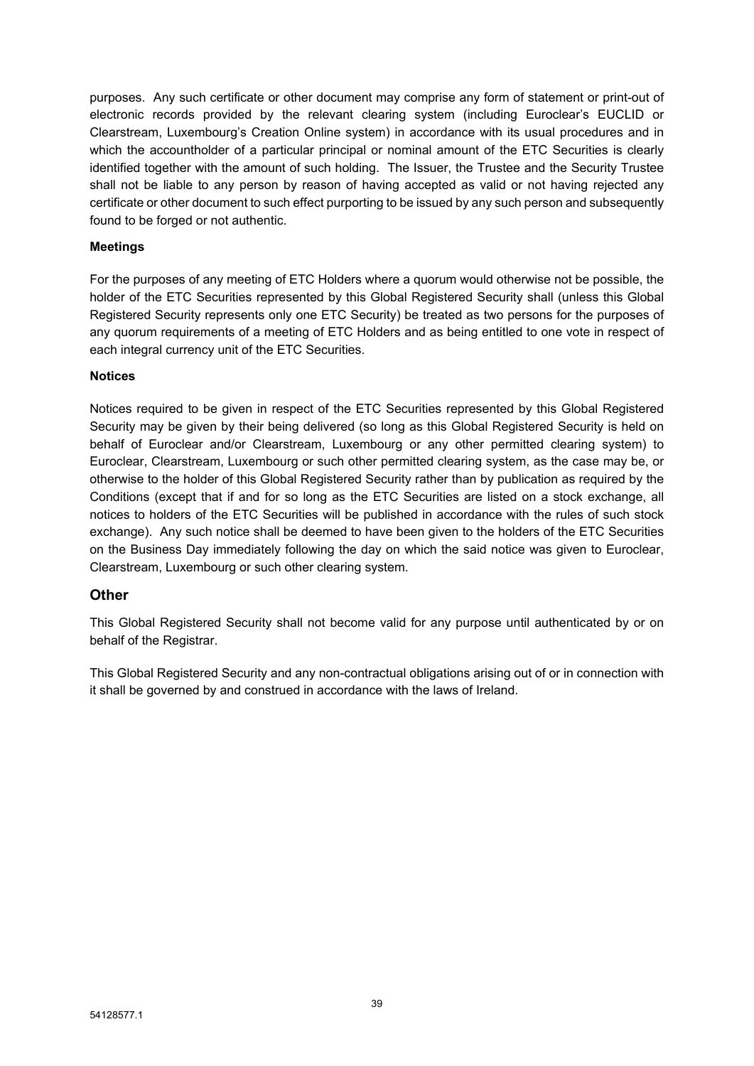purposes. Any such certificate or other document may comprise any form of statement or print-out of electronic records provided by the relevant clearing system (including Euroclear's EUCLID or Clearstream, Luxembourg's Creation Online system) in accordance with its usual procedures and in which the accountholder of a particular principal or nominal amount of the ETC Securities is clearly identified together with the amount of such holding. The Issuer, the Trustee and the Security Trustee shall not be liable to any person by reason of having accepted as valid or not having rejected any certificate or other document to such effect purporting to be issued by any such person and subsequently found to be forged or not authentic.

### **Meetings**

For the purposes of any meeting of ETC Holders where a quorum would otherwise not be possible, the holder of the ETC Securities represented by this Global Registered Security shall (unless this Global Registered Security represents only one ETC Security) be treated as two persons for the purposes of any quorum requirements of a meeting of ETC Holders and as being entitled to one vote in respect of each integral currency unit of the ETC Securities.

### **Notices**

Notices required to be given in respect of the ETC Securities represented by this Global Registered Security may be given by their being delivered (so long as this Global Registered Security is held on behalf of Euroclear and/or Clearstream, Luxembourg or any other permitted clearing system) to Euroclear, Clearstream, Luxembourg or such other permitted clearing system, as the case may be, or otherwise to the holder of this Global Registered Security rather than by publication as required by the Conditions (except that if and for so long as the ETC Securities are listed on a stock exchange, all notices to holders of the ETC Securities will be published in accordance with the rules of such stock exchange). Any such notice shall be deemed to have been given to the holders of the ETC Securities on the Business Day immediately following the day on which the said notice was given to Euroclear, Clearstream, Luxembourg or such other clearing system.

### **Other**

This Global Registered Security shall not become valid for any purpose until authenticated by or on behalf of the Registrar.

This Global Registered Security and any non-contractual obligations arising out of or in connection with it shall be governed by and construed in accordance with the laws of Ireland.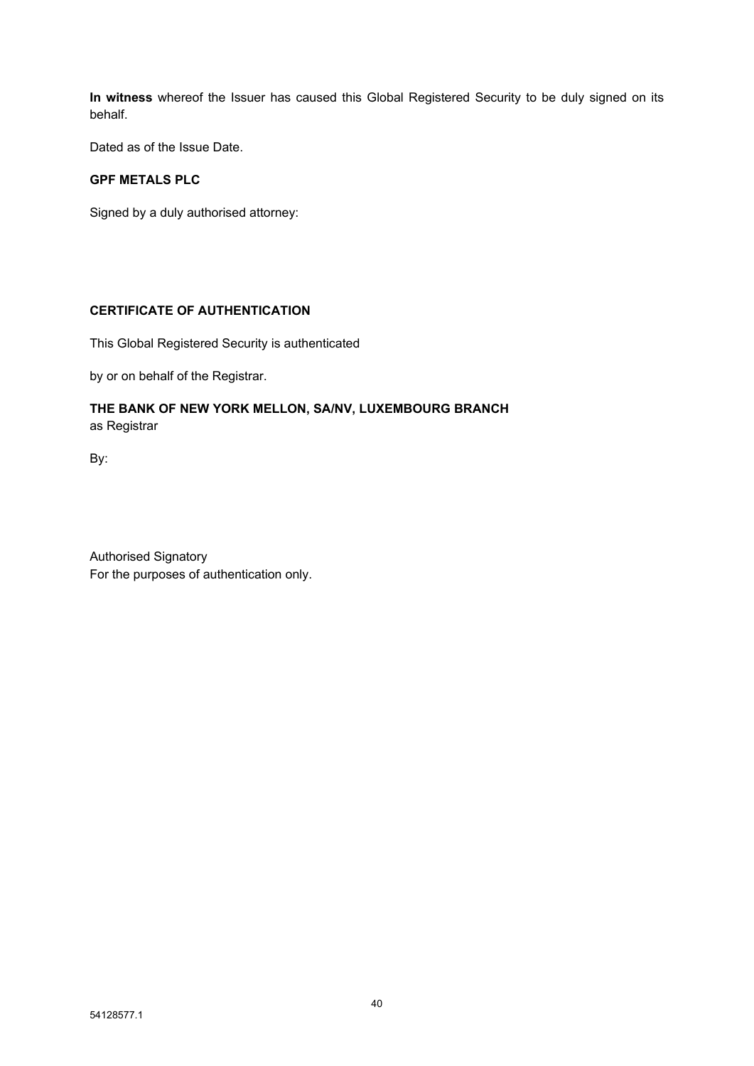**In witness** whereof the Issuer has caused this Global Registered Security to be duly signed on its behalf.

Dated as of the Issue Date.

### **GPF METALS PLC**

Signed by a duly authorised attorney:

### **CERTIFICATE OF AUTHENTICATION**

This Global Registered Security is authenticated

by or on behalf of the Registrar.

### **THE BANK OF NEW YORK MELLON, SA/NV, LUXEMBOURG BRANCH** as Registrar

By:

Authorised Signatory For the purposes of authentication only.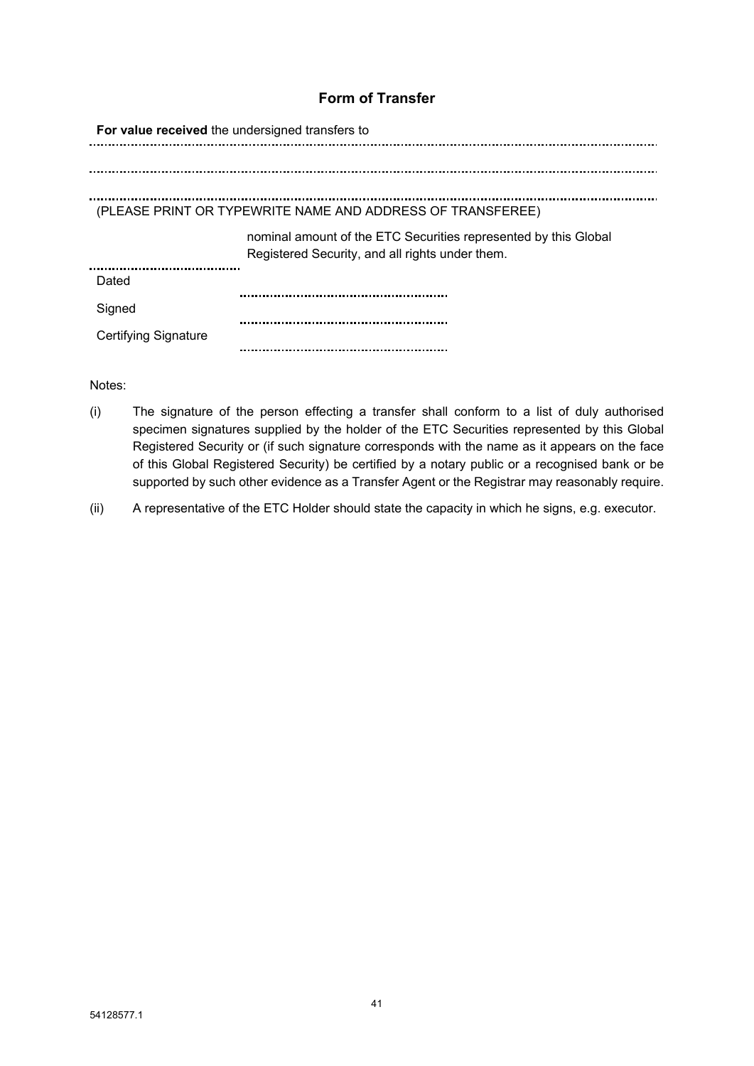# **Form of Transfer**

| For value received the undersigned transfers to            |                                                                                                                    |  |
|------------------------------------------------------------|--------------------------------------------------------------------------------------------------------------------|--|
|                                                            |                                                                                                                    |  |
|                                                            |                                                                                                                    |  |
| (PLEASE PRINT OR TYPEWRITE NAME AND ADDRESS OF TRANSFEREE) |                                                                                                                    |  |
|                                                            | nominal amount of the ETC Securities represented by this Global<br>Registered Security, and all rights under them. |  |
| Dated                                                      |                                                                                                                    |  |
| Signed                                                     |                                                                                                                    |  |
| Certifying Signature                                       |                                                                                                                    |  |
|                                                            |                                                                                                                    |  |

Notes:

- (i) The signature of the person effecting a transfer shall conform to a list of duly authorised specimen signatures supplied by the holder of the ETC Securities represented by this Global Registered Security or (if such signature corresponds with the name as it appears on the face of this Global Registered Security) be certified by a notary public or a recognised bank or be supported by such other evidence as a Transfer Agent or the Registrar may reasonably require.
- (ii) A representative of the ETC Holder should state the capacity in which he signs, e.g. executor.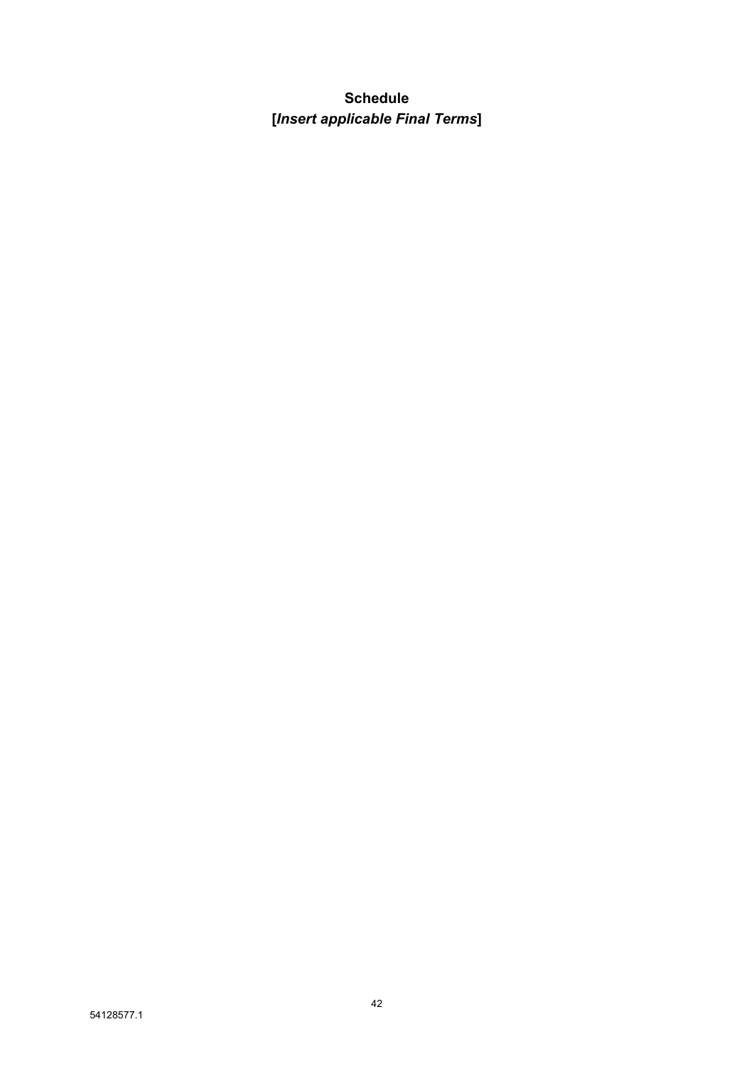# **Schedule [***Insert applicable Final Terms***]**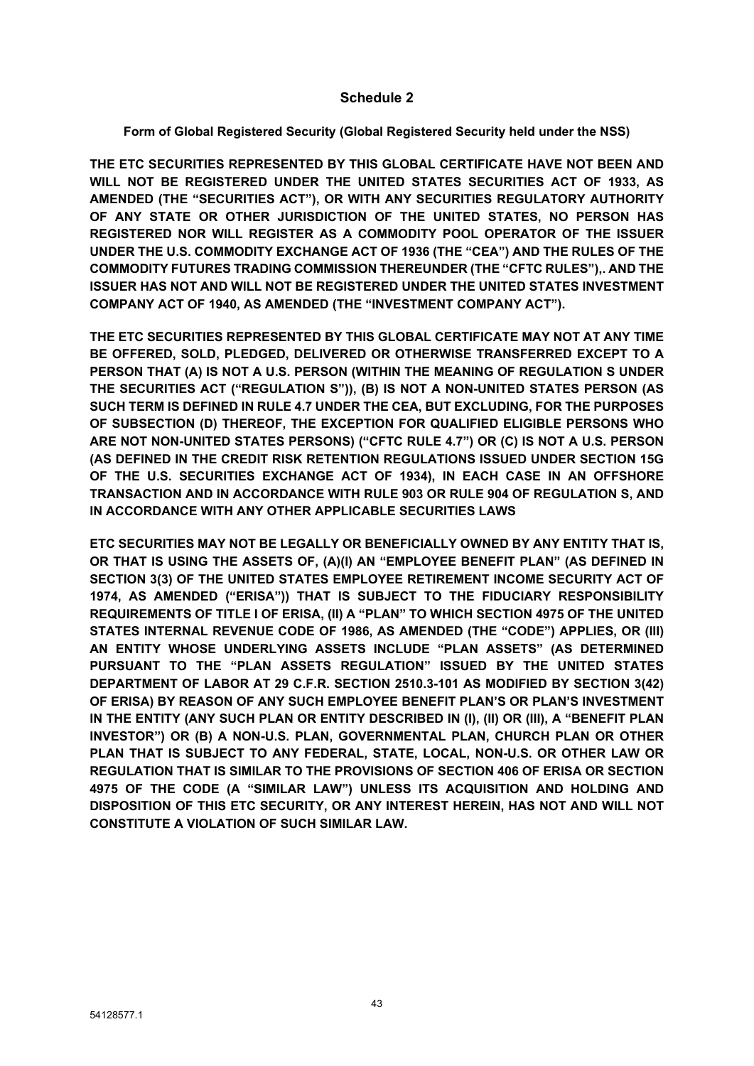### **Schedule 2**

### **Form of Global Registered Security (Global Registered Security held under the NSS)**

**THE ETC SECURITIES REPRESENTED BY THIS GLOBAL CERTIFICATE HAVE NOT BEEN AND WILL NOT BE REGISTERED UNDER THE UNITED STATES SECURITIES ACT OF 1933, AS AMENDED (THE "SECURITIES ACT"), OR WITH ANY SECURITIES REGULATORY AUTHORITY OF ANY STATE OR OTHER JURISDICTION OF THE UNITED STATES, NO PERSON HAS REGISTERED NOR WILL REGISTER AS A COMMODITY POOL OPERATOR OF THE ISSUER UNDER THE U.S. COMMODITY EXCHANGE ACT OF 1936 (THE "CEA") AND THE RULES OF THE COMMODITY FUTURES TRADING COMMISSION THEREUNDER (THE "CFTC RULES"),. AND THE ISSUER HAS NOT AND WILL NOT BE REGISTERED UNDER THE UNITED STATES INVESTMENT COMPANY ACT OF 1940, AS AMENDED (THE "INVESTMENT COMPANY ACT").** 

**THE ETC SECURITIES REPRESENTED BY THIS GLOBAL CERTIFICATE MAY NOT AT ANY TIME BE OFFERED, SOLD, PLEDGED, DELIVERED OR OTHERWISE TRANSFERRED EXCEPT TO A PERSON THAT (A) IS NOT A U.S. PERSON (WITHIN THE MEANING OF REGULATION S UNDER THE SECURITIES ACT ("REGULATION S")), (B) IS NOT A NON-UNITED STATES PERSON (AS SUCH TERM IS DEFINED IN RULE 4.7 UNDER THE CEA, BUT EXCLUDING, FOR THE PURPOSES OF SUBSECTION (D) THEREOF, THE EXCEPTION FOR QUALIFIED ELIGIBLE PERSONS WHO ARE NOT NON-UNITED STATES PERSONS) ("CFTC RULE 4.7") OR (C) IS NOT A U.S. PERSON (AS DEFINED IN THE CREDIT RISK RETENTION REGULATIONS ISSUED UNDER SECTION 15G OF THE U.S. SECURITIES EXCHANGE ACT OF 1934), IN EACH CASE IN AN OFFSHORE TRANSACTION AND IN ACCORDANCE WITH RULE 903 OR RULE 904 OF REGULATION S, AND IN ACCORDANCE WITH ANY OTHER APPLICABLE SECURITIES LAWS**

**ETC SECURITIES MAY NOT BE LEGALLY OR BENEFICIALLY OWNED BY ANY ENTITY THAT IS, OR THAT IS USING THE ASSETS OF, (A)(I) AN "EMPLOYEE BENEFIT PLAN" (AS DEFINED IN SECTION 3(3) OF THE UNITED STATES EMPLOYEE RETIREMENT INCOME SECURITY ACT OF 1974, AS AMENDED ("ERISA")) THAT IS SUBJECT TO THE FIDUCIARY RESPONSIBILITY REQUIREMENTS OF TITLE I OF ERISA, (II) A "PLAN" TO WHICH SECTION 4975 OF THE UNITED STATES INTERNAL REVENUE CODE OF 1986, AS AMENDED (THE "CODE") APPLIES, OR (III) AN ENTITY WHOSE UNDERLYING ASSETS INCLUDE "PLAN ASSETS" (AS DETERMINED PURSUANT TO THE "PLAN ASSETS REGULATION" ISSUED BY THE UNITED STATES DEPARTMENT OF LABOR AT 29 C.F.R. SECTION 2510.3-101 AS MODIFIED BY SECTION 3(42) OF ERISA) BY REASON OF ANY SUCH EMPLOYEE BENEFIT PLAN'S OR PLAN'S INVESTMENT IN THE ENTITY (ANY SUCH PLAN OR ENTITY DESCRIBED IN (I), (II) OR (III), A "BENEFIT PLAN INVESTOR") OR (B) A NON-U.S. PLAN, GOVERNMENTAL PLAN, CHURCH PLAN OR OTHER PLAN THAT IS SUBJECT TO ANY FEDERAL, STATE, LOCAL, NON-U.S. OR OTHER LAW OR REGULATION THAT IS SIMILAR TO THE PROVISIONS OF SECTION 406 OF ERISA OR SECTION 4975 OF THE CODE (A "SIMILAR LAW") UNLESS ITS ACQUISITION AND HOLDING AND DISPOSITION OF THIS ETC SECURITY, OR ANY INTEREST HEREIN, HAS NOT AND WILL NOT CONSTITUTE A VIOLATION OF SUCH SIMILAR LAW.**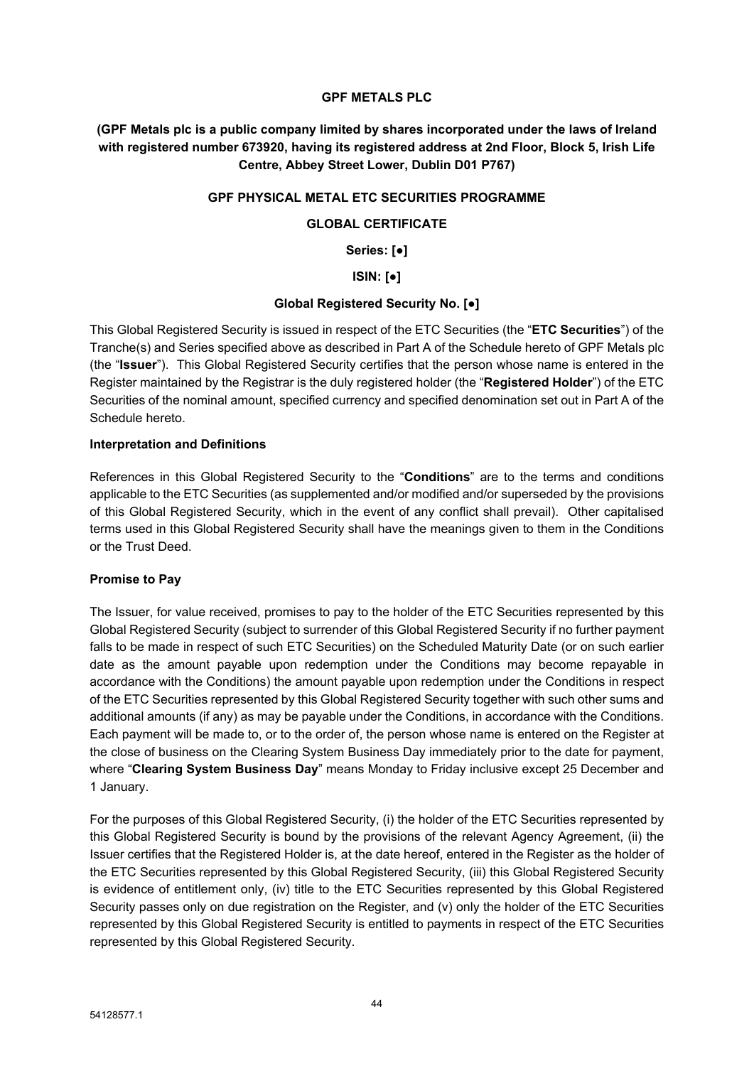### **GPF METALS PLC**

**(GPF Metals plc is a public company limited by shares incorporated under the laws of Ireland with registered number 673920, having its registered address at 2nd Floor, Block 5, Irish Life Centre, Abbey Street Lower, Dublin D01 P767)**

#### **GPF PHYSICAL METAL ETC SECURITIES PROGRAMME**

### **GLOBAL CERTIFICATE**

**Series: [●]**

**ISIN: [●]**

#### **Global Registered Security No. [●]**

This Global Registered Security is issued in respect of the ETC Securities (the "**ETC Securities**") of the Tranche(s) and Series specified above as described in Part A of the Schedule hereto of GPF Metals plc (the "**Issuer**"). This Global Registered Security certifies that the person whose name is entered in the Register maintained by the Registrar is the duly registered holder (the "**Registered Holder**") of the ETC Securities of the nominal amount, specified currency and specified denomination set out in Part A of the Schedule hereto.

#### **Interpretation and Definitions**

References in this Global Registered Security to the "**Conditions**" are to the terms and conditions applicable to the ETC Securities (as supplemented and/or modified and/or superseded by the provisions of this Global Registered Security, which in the event of any conflict shall prevail). Other capitalised terms used in this Global Registered Security shall have the meanings given to them in the Conditions or the Trust Deed.

### **Promise to Pay**

The Issuer, for value received, promises to pay to the holder of the ETC Securities represented by this Global Registered Security (subject to surrender of this Global Registered Security if no further payment falls to be made in respect of such ETC Securities) on the Scheduled Maturity Date (or on such earlier date as the amount payable upon redemption under the Conditions may become repayable in accordance with the Conditions) the amount payable upon redemption under the Conditions in respect of the ETC Securities represented by this Global Registered Security together with such other sums and additional amounts (if any) as may be payable under the Conditions, in accordance with the Conditions. Each payment will be made to, or to the order of, the person whose name is entered on the Register at the close of business on the Clearing System Business Day immediately prior to the date for payment, where "**Clearing System Business Day**" means Monday to Friday inclusive except 25 December and 1 January.

For the purposes of this Global Registered Security, (i) the holder of the ETC Securities represented by this Global Registered Security is bound by the provisions of the relevant Agency Agreement, (ii) the Issuer certifies that the Registered Holder is, at the date hereof, entered in the Register as the holder of the ETC Securities represented by this Global Registered Security, (iii) this Global Registered Security is evidence of entitlement only, (iv) title to the ETC Securities represented by this Global Registered Security passes only on due registration on the Register, and (v) only the holder of the ETC Securities represented by this Global Registered Security is entitled to payments in respect of the ETC Securities represented by this Global Registered Security.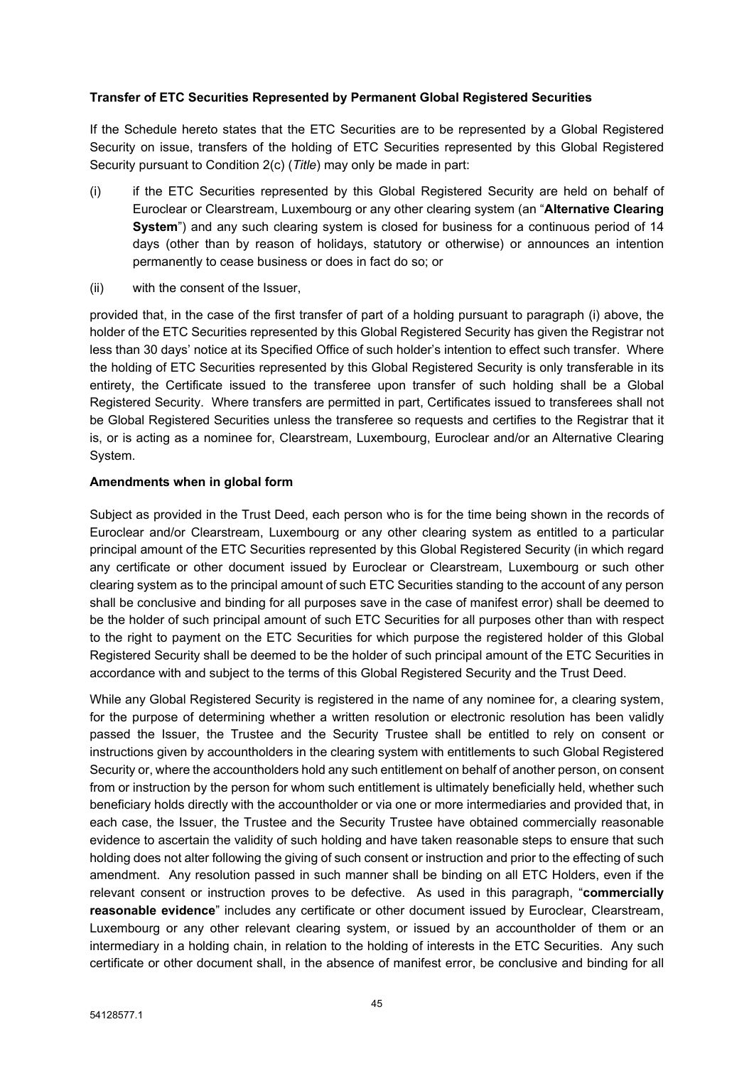### **Transfer of ETC Securities Represented by Permanent Global Registered Securities**

If the Schedule hereto states that the ETC Securities are to be represented by a Global Registered Security on issue, transfers of the holding of ETC Securities represented by this Global Registered Security pursuant to Condition 2(c) (*Title*) may only be made in part:

- (i) if the ETC Securities represented by this Global Registered Security are held on behalf of Euroclear or Clearstream, Luxembourg or any other clearing system (an "**Alternative Clearing System**") and any such clearing system is closed for business for a continuous period of 14 days (other than by reason of holidays, statutory or otherwise) or announces an intention permanently to cease business or does in fact do so; or
- (ii) with the consent of the Issuer,

provided that, in the case of the first transfer of part of a holding pursuant to paragraph (i) above, the holder of the ETC Securities represented by this Global Registered Security has given the Registrar not less than 30 days' notice at its Specified Office of such holder's intention to effect such transfer. Where the holding of ETC Securities represented by this Global Registered Security is only transferable in its entirety, the Certificate issued to the transferee upon transfer of such holding shall be a Global Registered Security. Where transfers are permitted in part, Certificates issued to transferees shall not be Global Registered Securities unless the transferee so requests and certifies to the Registrar that it is, or is acting as a nominee for, Clearstream, Luxembourg, Euroclear and/or an Alternative Clearing System.

### **Amendments when in global form**

Subject as provided in the Trust Deed, each person who is for the time being shown in the records of Euroclear and/or Clearstream, Luxembourg or any other clearing system as entitled to a particular principal amount of the ETC Securities represented by this Global Registered Security (in which regard any certificate or other document issued by Euroclear or Clearstream, Luxembourg or such other clearing system as to the principal amount of such ETC Securities standing to the account of any person shall be conclusive and binding for all purposes save in the case of manifest error) shall be deemed to be the holder of such principal amount of such ETC Securities for all purposes other than with respect to the right to payment on the ETC Securities for which purpose the registered holder of this Global Registered Security shall be deemed to be the holder of such principal amount of the ETC Securities in accordance with and subject to the terms of this Global Registered Security and the Trust Deed.

While any Global Registered Security is registered in the name of any nominee for, a clearing system, for the purpose of determining whether a written resolution or electronic resolution has been validly passed the Issuer, the Trustee and the Security Trustee shall be entitled to rely on consent or instructions given by accountholders in the clearing system with entitlements to such Global Registered Security or, where the accountholders hold any such entitlement on behalf of another person, on consent from or instruction by the person for whom such entitlement is ultimately beneficially held, whether such beneficiary holds directly with the accountholder or via one or more intermediaries and provided that, in each case, the Issuer, the Trustee and the Security Trustee have obtained commercially reasonable evidence to ascertain the validity of such holding and have taken reasonable steps to ensure that such holding does not alter following the giving of such consent or instruction and prior to the effecting of such amendment. Any resolution passed in such manner shall be binding on all ETC Holders, even if the relevant consent or instruction proves to be defective. As used in this paragraph, "**commercially reasonable evidence**" includes any certificate or other document issued by Euroclear, Clearstream, Luxembourg or any other relevant clearing system, or issued by an accountholder of them or an intermediary in a holding chain, in relation to the holding of interests in the ETC Securities. Any such certificate or other document shall, in the absence of manifest error, be conclusive and binding for all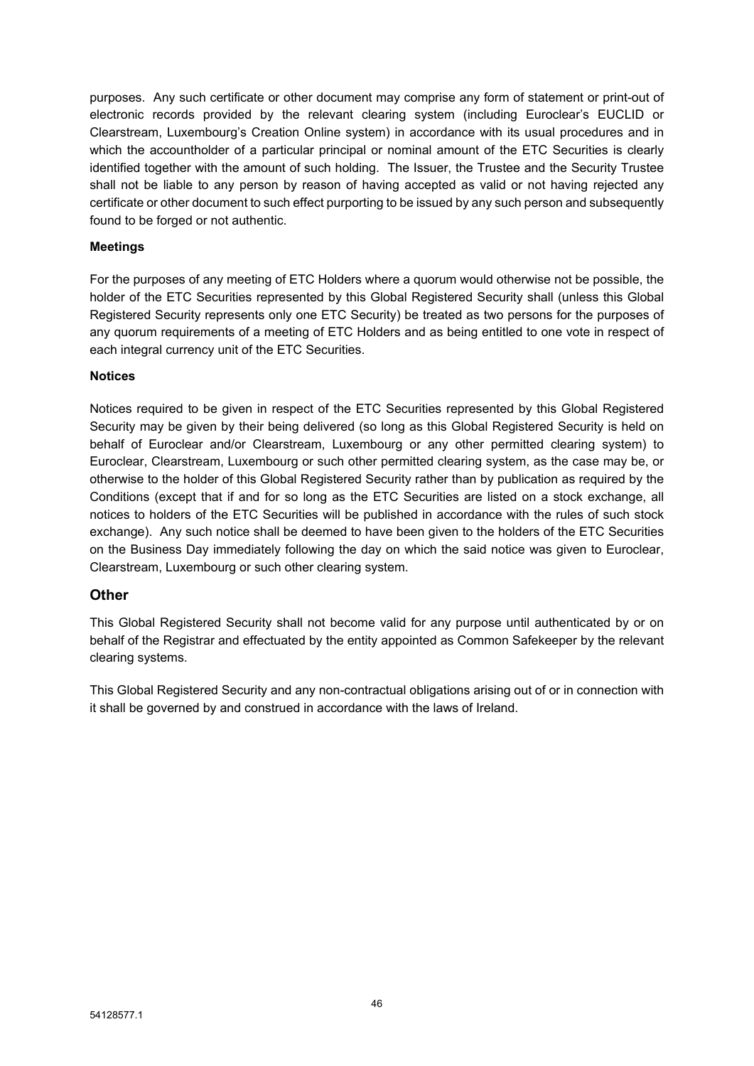purposes. Any such certificate or other document may comprise any form of statement or print-out of electronic records provided by the relevant clearing system (including Euroclear's EUCLID or Clearstream, Luxembourg's Creation Online system) in accordance with its usual procedures and in which the accountholder of a particular principal or nominal amount of the ETC Securities is clearly identified together with the amount of such holding. The Issuer, the Trustee and the Security Trustee shall not be liable to any person by reason of having accepted as valid or not having rejected any certificate or other document to such effect purporting to be issued by any such person and subsequently found to be forged or not authentic.

### **Meetings**

For the purposes of any meeting of ETC Holders where a quorum would otherwise not be possible, the holder of the ETC Securities represented by this Global Registered Security shall (unless this Global Registered Security represents only one ETC Security) be treated as two persons for the purposes of any quorum requirements of a meeting of ETC Holders and as being entitled to one vote in respect of each integral currency unit of the ETC Securities.

### **Notices**

Notices required to be given in respect of the ETC Securities represented by this Global Registered Security may be given by their being delivered (so long as this Global Registered Security is held on behalf of Euroclear and/or Clearstream, Luxembourg or any other permitted clearing system) to Euroclear, Clearstream, Luxembourg or such other permitted clearing system, as the case may be, or otherwise to the holder of this Global Registered Security rather than by publication as required by the Conditions (except that if and for so long as the ETC Securities are listed on a stock exchange, all notices to holders of the ETC Securities will be published in accordance with the rules of such stock exchange). Any such notice shall be deemed to have been given to the holders of the ETC Securities on the Business Day immediately following the day on which the said notice was given to Euroclear, Clearstream, Luxembourg or such other clearing system.

### **Other**

This Global Registered Security shall not become valid for any purpose until authenticated by or on behalf of the Registrar and effectuated by the entity appointed as Common Safekeeper by the relevant clearing systems.

This Global Registered Security and any non-contractual obligations arising out of or in connection with it shall be governed by and construed in accordance with the laws of Ireland.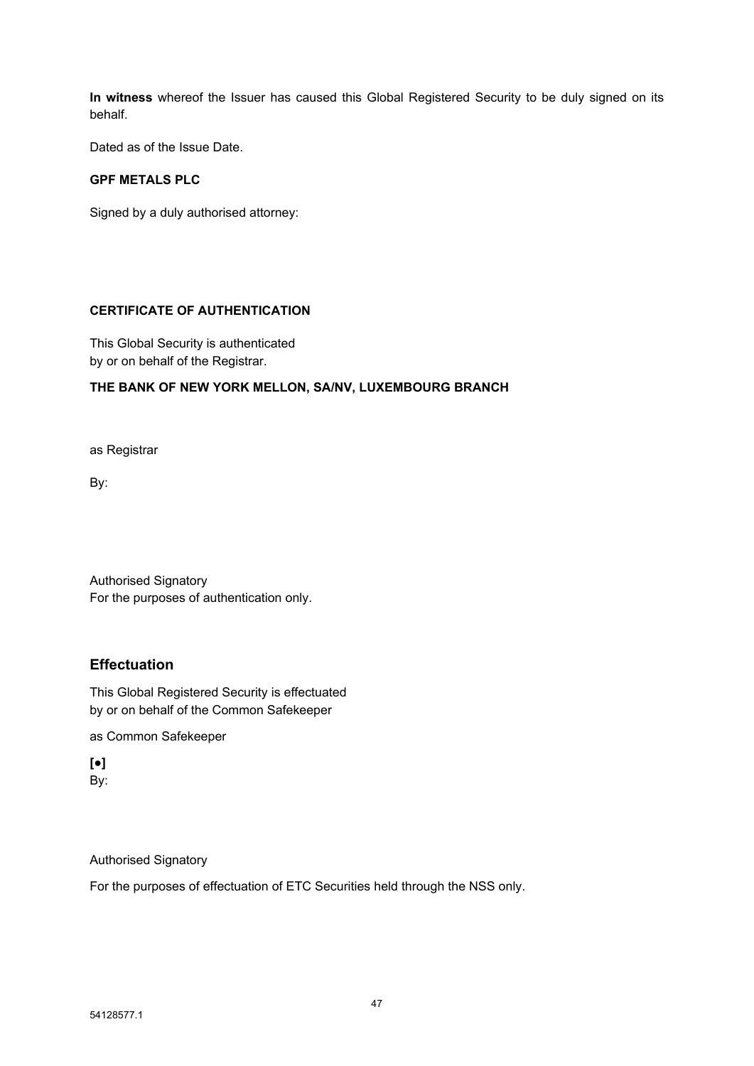**In witness** whereof the Issuer has caused this Global Registered Security to be duly signed on its behalf.

Dated as of the Issue Date.

### **GPF METALS PLC**

Signed by a duly authorised attorney:

#### **CERTIFICATE OF AUTHENTICATION**

This Global Security is authenticated by or on behalf of the Registrar.

### **THE BANK OF NEW YORK MELLON, SA/NV, LUXEMBOURG BRANCH**

as Registrar

By:

Authorised Signatory For the purposes of authentication only.

### **Effectuation**

This Global Registered Security is effectuated by or on behalf of the Common Safekeeper

as Common Safekeeper

**[●]** By:

Authorised Signatory

For the purposes of effectuation of ETC Securities held through the NSS only.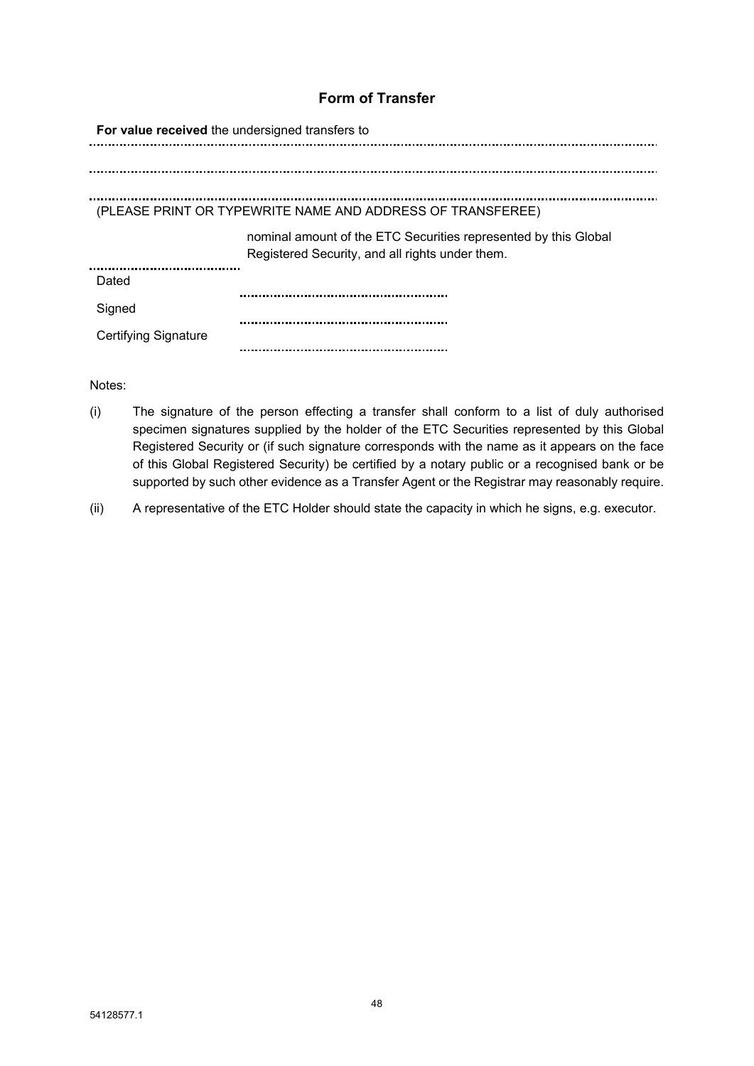# **Form of Transfer**

| For value received the undersigned transfers to                                                                    |  |  |
|--------------------------------------------------------------------------------------------------------------------|--|--|
|                                                                                                                    |  |  |
|                                                                                                                    |  |  |
| (PLEASE PRINT OR TYPEWRITE NAME AND ADDRESS OF TRANSFEREE)                                                         |  |  |
| nominal amount of the ETC Securities represented by this Global<br>Registered Security, and all rights under them. |  |  |
|                                                                                                                    |  |  |
|                                                                                                                    |  |  |
|                                                                                                                    |  |  |
|                                                                                                                    |  |  |

Notes:

- (i) The signature of the person effecting a transfer shall conform to a list of duly authorised specimen signatures supplied by the holder of the ETC Securities represented by this Global Registered Security or (if such signature corresponds with the name as it appears on the face of this Global Registered Security) be certified by a notary public or a recognised bank or be supported by such other evidence as a Transfer Agent or the Registrar may reasonably require.
- (ii) A representative of the ETC Holder should state the capacity in which he signs, e.g. executor.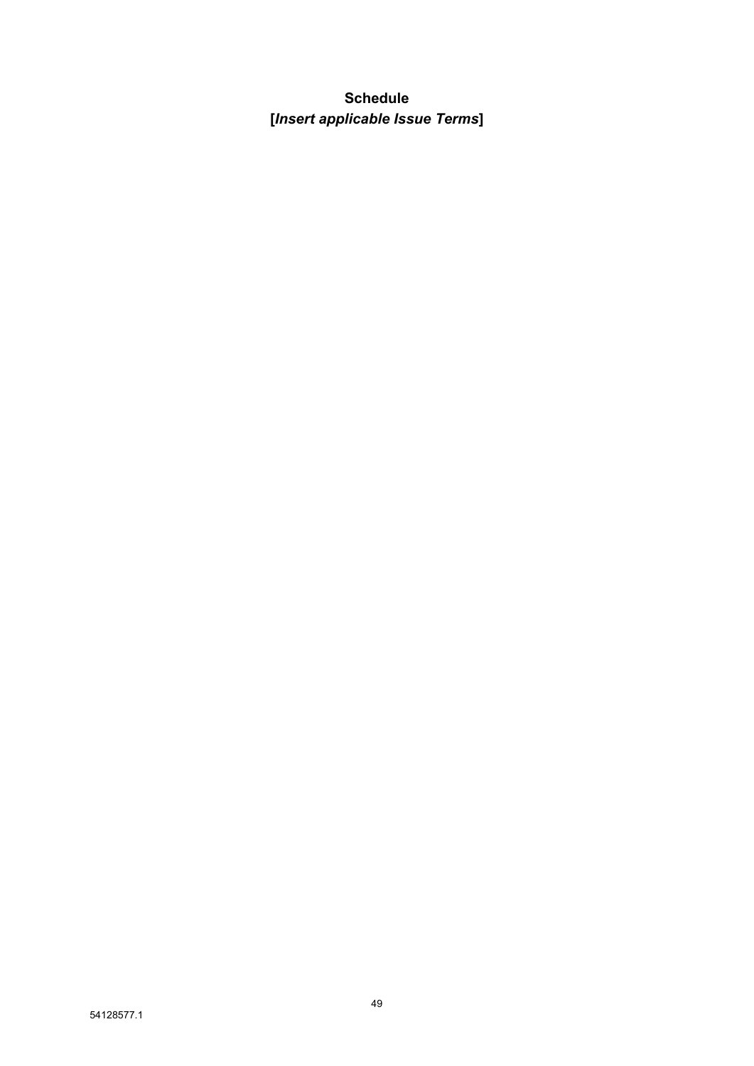# **Schedule [***Insert applicable Issue Terms***]**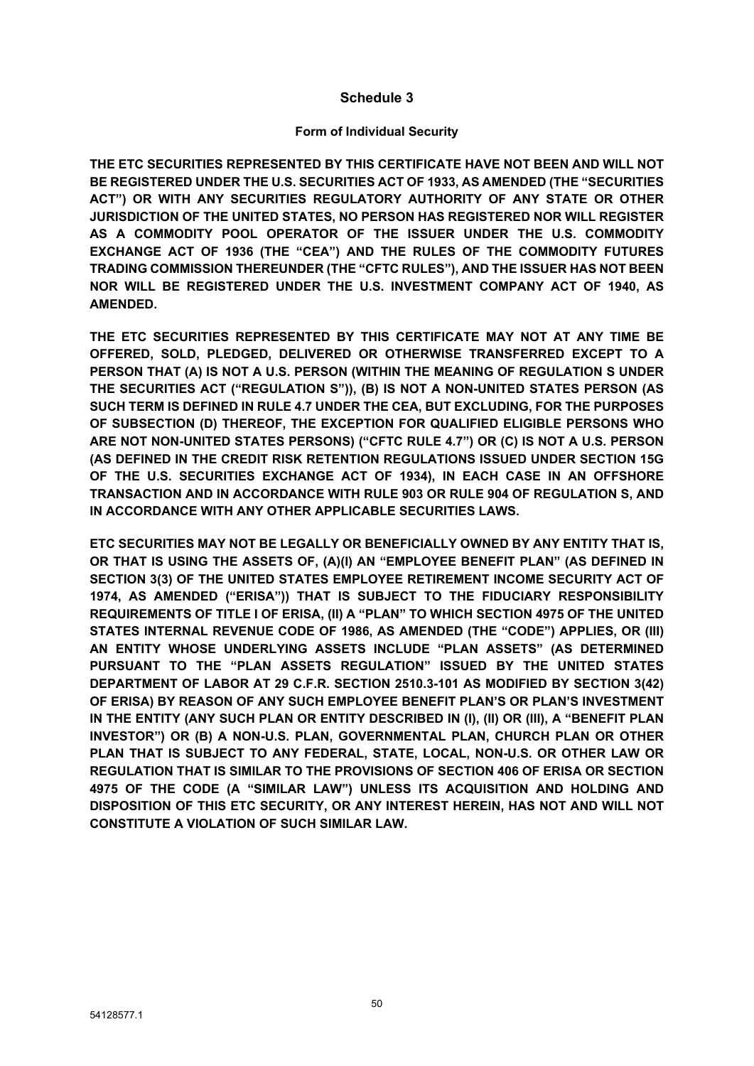### **Schedule 3**

### **Form of Individual Security**

**THE ETC SECURITIES REPRESENTED BY THIS CERTIFICATE HAVE NOT BEEN AND WILL NOT BE REGISTERED UNDER THE U.S. SECURITIES ACT OF 1933, AS AMENDED (THE "SECURITIES ACT") OR WITH ANY SECURITIES REGULATORY AUTHORITY OF ANY STATE OR OTHER JURISDICTION OF THE UNITED STATES, NO PERSON HAS REGISTERED NOR WILL REGISTER AS A COMMODITY POOL OPERATOR OF THE ISSUER UNDER THE U.S. COMMODITY EXCHANGE ACT OF 1936 (THE "CEA") AND THE RULES OF THE COMMODITY FUTURES TRADING COMMISSION THEREUNDER (THE "CFTC RULES"), AND THE ISSUER HAS NOT BEEN NOR WILL BE REGISTERED UNDER THE U.S. INVESTMENT COMPANY ACT OF 1940, AS AMENDED.**

**THE ETC SECURITIES REPRESENTED BY THIS CERTIFICATE MAY NOT AT ANY TIME BE OFFERED, SOLD, PLEDGED, DELIVERED OR OTHERWISE TRANSFERRED EXCEPT TO A PERSON THAT (A) IS NOT A U.S. PERSON (WITHIN THE MEANING OF REGULATION S UNDER THE SECURITIES ACT ("REGULATION S")), (B) IS NOT A NON-UNITED STATES PERSON (AS SUCH TERM IS DEFINED IN RULE 4.7 UNDER THE CEA, BUT EXCLUDING, FOR THE PURPOSES OF SUBSECTION (D) THEREOF, THE EXCEPTION FOR QUALIFIED ELIGIBLE PERSONS WHO ARE NOT NON-UNITED STATES PERSONS) ("CFTC RULE 4.7") OR (C) IS NOT A U.S. PERSON (AS DEFINED IN THE CREDIT RISK RETENTION REGULATIONS ISSUED UNDER SECTION 15G OF THE U.S. SECURITIES EXCHANGE ACT OF 1934), IN EACH CASE IN AN OFFSHORE TRANSACTION AND IN ACCORDANCE WITH RULE 903 OR RULE 904 OF REGULATION S, AND IN ACCORDANCE WITH ANY OTHER APPLICABLE SECURITIES LAWS.**

**ETC SECURITIES MAY NOT BE LEGALLY OR BENEFICIALLY OWNED BY ANY ENTITY THAT IS, OR THAT IS USING THE ASSETS OF, (A)(I) AN "EMPLOYEE BENEFIT PLAN" (AS DEFINED IN SECTION 3(3) OF THE UNITED STATES EMPLOYEE RETIREMENT INCOME SECURITY ACT OF 1974, AS AMENDED ("ERISA")) THAT IS SUBJECT TO THE FIDUCIARY RESPONSIBILITY REQUIREMENTS OF TITLE I OF ERISA, (II) A "PLAN" TO WHICH SECTION 4975 OF THE UNITED STATES INTERNAL REVENUE CODE OF 1986, AS AMENDED (THE "CODE") APPLIES, OR (III) AN ENTITY WHOSE UNDERLYING ASSETS INCLUDE "PLAN ASSETS" (AS DETERMINED PURSUANT TO THE "PLAN ASSETS REGULATION" ISSUED BY THE UNITED STATES DEPARTMENT OF LABOR AT 29 C.F.R. SECTION 2510.3-101 AS MODIFIED BY SECTION 3(42) OF ERISA) BY REASON OF ANY SUCH EMPLOYEE BENEFIT PLAN'S OR PLAN'S INVESTMENT IN THE ENTITY (ANY SUCH PLAN OR ENTITY DESCRIBED IN (I), (II) OR (III), A "BENEFIT PLAN INVESTOR") OR (B) A NON-U.S. PLAN, GOVERNMENTAL PLAN, CHURCH PLAN OR OTHER PLAN THAT IS SUBJECT TO ANY FEDERAL, STATE, LOCAL, NON-U.S. OR OTHER LAW OR REGULATION THAT IS SIMILAR TO THE PROVISIONS OF SECTION 406 OF ERISA OR SECTION 4975 OF THE CODE (A "SIMILAR LAW") UNLESS ITS ACQUISITION AND HOLDING AND DISPOSITION OF THIS ETC SECURITY, OR ANY INTEREST HEREIN, HAS NOT AND WILL NOT CONSTITUTE A VIOLATION OF SUCH SIMILAR LAW.**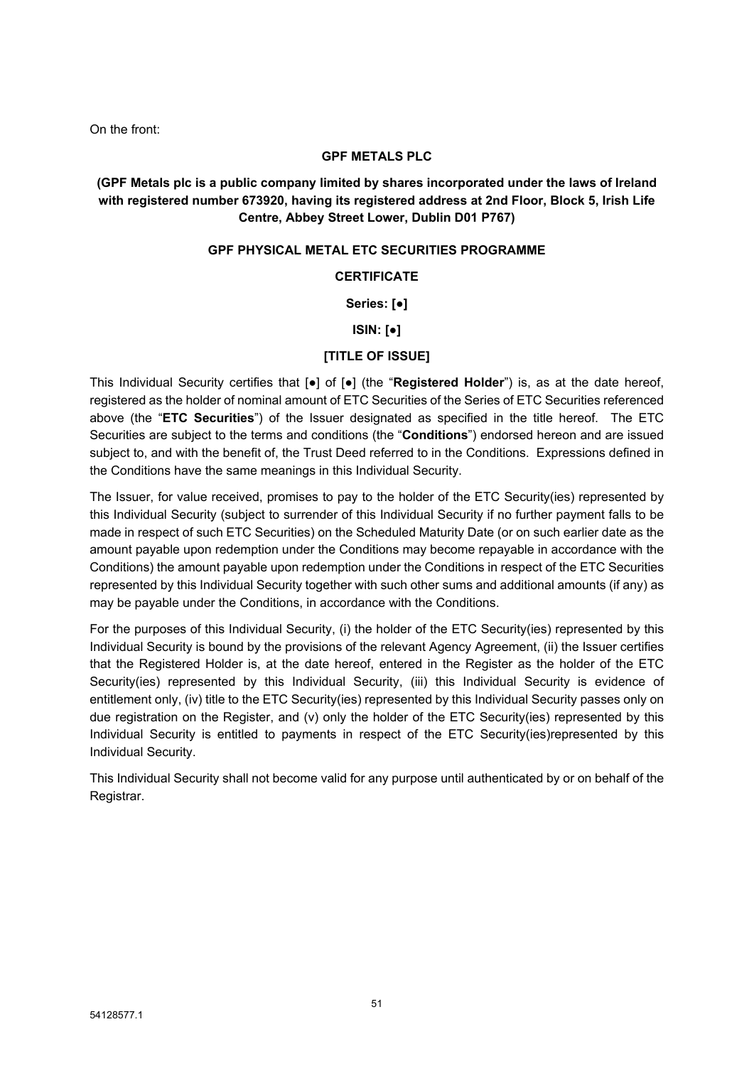On the front:

#### **GPF METALS PLC**

### **(GPF Metals plc is a public company limited by shares incorporated under the laws of Ireland with registered number 673920, having its registered address at 2nd Floor, Block 5, Irish Life Centre, Abbey Street Lower, Dublin D01 P767)**

#### **GPF PHYSICAL METAL ETC SECURITIES PROGRAMME**

### **CERTIFICATE**

### **Series: [●]**

#### **ISIN: [●]**

### **[TITLE OF ISSUE]**

This Individual Security certifies that [●] of [●] (the "**Registered Holder**") is, as at the date hereof, registered as the holder of nominal amount of ETC Securities of the Series of ETC Securities referenced above (the "**ETC Securities**") of the Issuer designated as specified in the title hereof. The ETC Securities are subject to the terms and conditions (the "**Conditions**") endorsed hereon and are issued subject to, and with the benefit of, the Trust Deed referred to in the Conditions. Expressions defined in the Conditions have the same meanings in this Individual Security.

The Issuer, for value received, promises to pay to the holder of the ETC Security(ies) represented by this Individual Security (subject to surrender of this Individual Security if no further payment falls to be made in respect of such ETC Securities) on the Scheduled Maturity Date (or on such earlier date as the amount payable upon redemption under the Conditions may become repayable in accordance with the Conditions) the amount payable upon redemption under the Conditions in respect of the ETC Securities represented by this Individual Security together with such other sums and additional amounts (if any) as may be payable under the Conditions, in accordance with the Conditions.

For the purposes of this Individual Security, (i) the holder of the ETC Security(ies) represented by this Individual Security is bound by the provisions of the relevant Agency Agreement, (ii) the Issuer certifies that the Registered Holder is, at the date hereof, entered in the Register as the holder of the ETC Security(ies) represented by this Individual Security, (iii) this Individual Security is evidence of entitlement only, (iv) title to the ETC Security(ies) represented by this Individual Security passes only on due registration on the Register, and (v) only the holder of the ETC Security(ies) represented by this Individual Security is entitled to payments in respect of the ETC Security(ies)represented by this Individual Security.

This Individual Security shall not become valid for any purpose until authenticated by or on behalf of the Registrar.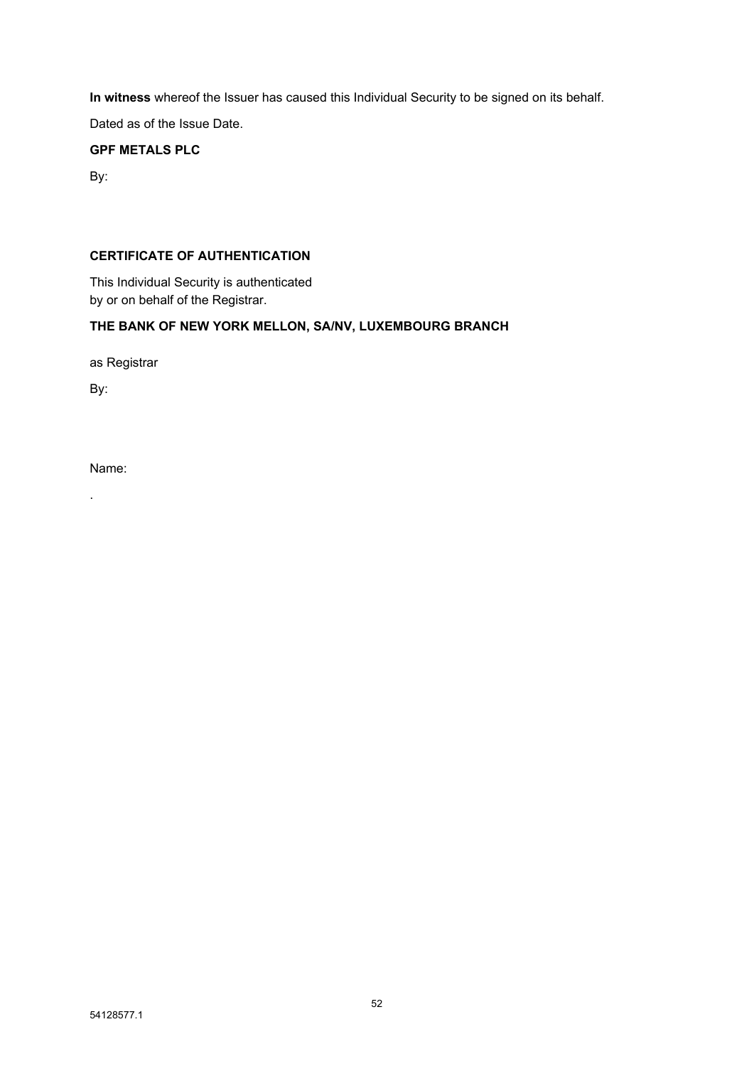**In witness** whereof the Issuer has caused this Individual Security to be signed on its behalf.

Dated as of the Issue Date.

### **GPF METALS PLC**

By:

### **CERTIFICATE OF AUTHENTICATION**

This Individual Security is authenticated by or on behalf of the Registrar.

### **THE BANK OF NEW YORK MELLON, SA/NV, LUXEMBOURG BRANCH**

as Registrar

By:

Name:

.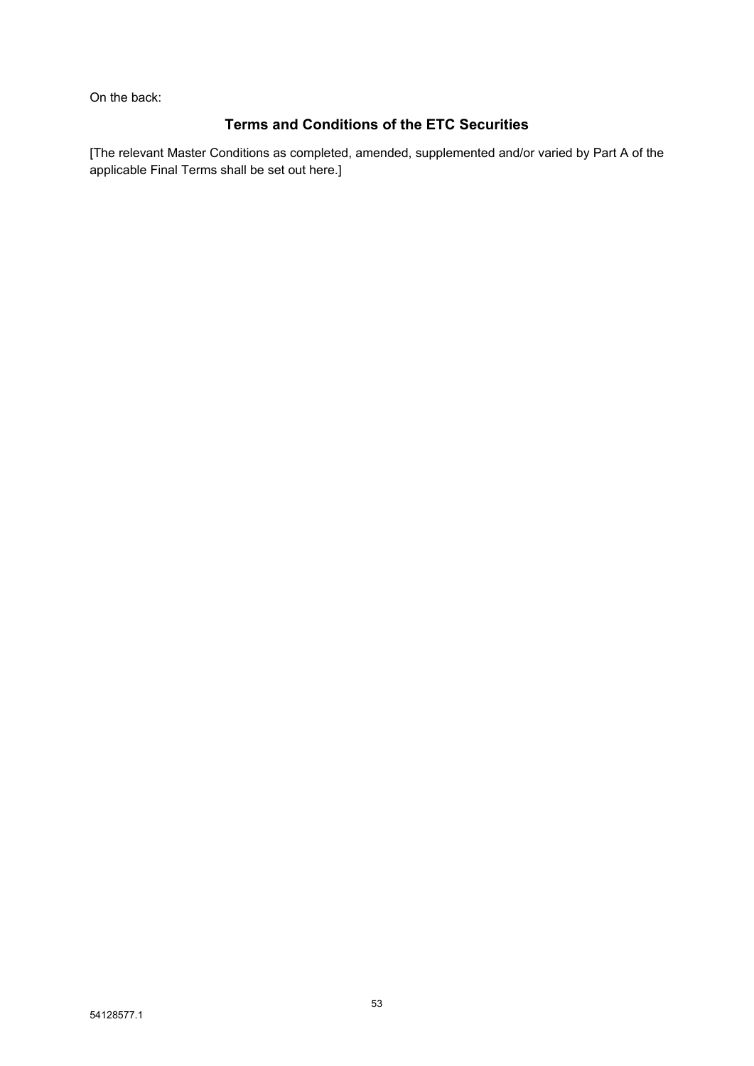On the back:

# **Terms and Conditions of the ETC Securities**

[The relevant Master Conditions as completed, amended, supplemented and/or varied by Part A of the applicable Final Terms shall be set out here.]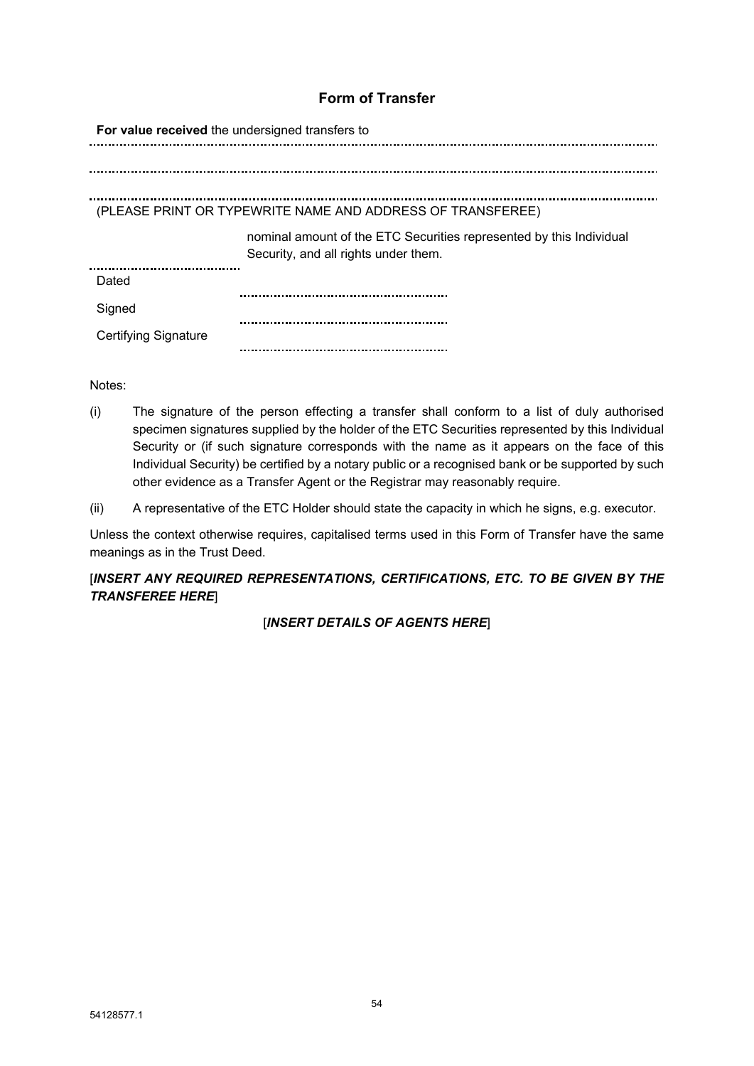# **Form of Transfer**

| For value received the undersigned transfers to            |                                                                                                             |  |
|------------------------------------------------------------|-------------------------------------------------------------------------------------------------------------|--|
|                                                            |                                                                                                             |  |
|                                                            |                                                                                                             |  |
| (PLEASE PRINT OR TYPEWRITE NAME AND ADDRESS OF TRANSFEREE) |                                                                                                             |  |
|                                                            | nominal amount of the ETC Securities represented by this Individual<br>Security, and all rights under them. |  |
| Dated                                                      |                                                                                                             |  |
| Signed                                                     |                                                                                                             |  |
| <b>Certifying Signature</b>                                |                                                                                                             |  |

Notes:

- (i) The signature of the person effecting a transfer shall conform to a list of duly authorised specimen signatures supplied by the holder of the ETC Securities represented by this Individual Security or (if such signature corresponds with the name as it appears on the face of this Individual Security) be certified by a notary public or a recognised bank or be supported by such other evidence as a Transfer Agent or the Registrar may reasonably require.
- (ii) A representative of the ETC Holder should state the capacity in which he signs, e.g. executor.

Unless the context otherwise requires, capitalised terms used in this Form of Transfer have the same meanings as in the Trust Deed.

### [*INSERT ANY REQUIRED REPRESENTATIONS, CERTIFICATIONS, ETC. TO BE GIVEN BY THE TRANSFEREE HERE*]

[*INSERT DETAILS OF AGENTS HERE*]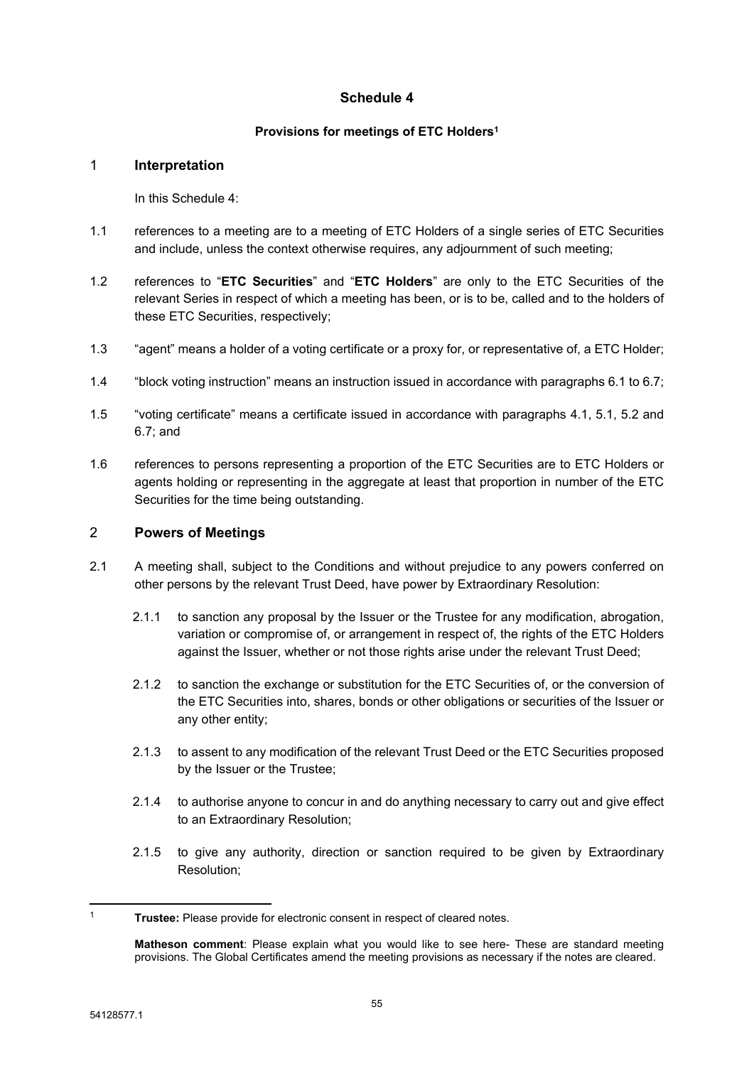### <span id="page-56-0"></span>**Schedule 4**

### **Provisions for meetings of ETC Holders<sup>1</sup>**

### 1 **Interpretation**

In this [Schedule](#page-56-0) 4:

- 1.1 references to a meeting are to a meeting of ETC Holders of a single series of ETC Securities and include, unless the context otherwise requires, any adjournment of such meeting;
- 1.2 references to "**ETC Securities**" and "**ETC Holders**" are only to the ETC Securities of the relevant Series in respect of which a meeting has been, or is to be, called and to the holders of these ETC Securities, respectively;
- 1.3 "agent" means a holder of a voting certificate or a proxy for, or representative of, a ETC Holder;
- 1.4 "block voting instruction" means an instruction issued in accordance with paragraphs [6.1](#page-59-0) to [6.7;](#page-60-0)
- 1.5 "voting certificate" means a certificate issued in accordance with paragraphs [4.1](#page-58-0), [5.1](#page-58-1), [5.2](#page-58-2) and [6.7](#page-60-0); and
- 1.6 references to persons representing a proportion of the ETC Securities are to ETC Holders or agents holding or representing in the aggregate at least that proportion in number of the ETC Securities for the time being outstanding.

### 2 **Powers of Meetings**

- <span id="page-56-1"></span>2.1 A meeting shall, subject to the Conditions and without prejudice to any powers conferred on other persons by the relevant Trust Deed, have power by Extraordinary Resolution:
	- 2.1.1 to sanction any proposal by the Issuer or the Trustee for any modification, abrogation, variation or compromise of, or arrangement in respect of, the rights of the ETC Holders against the Issuer, whether or not those rights arise under the relevant Trust Deed;
	- 2.1.2 to sanction the exchange or substitution for the ETC Securities of, or the conversion of the ETC Securities into, shares, bonds or other obligations or securities of the Issuer or any other entity;
	- 2.1.3 to assent to any modification of the relevant Trust Deed or the ETC Securities proposed by the Issuer or the Trustee;
	- 2.1.4 to authorise anyone to concur in and do anything necessary to carry out and give effect to an Extraordinary Resolution;
	- 2.1.5 to give any authority, direction or sanction required to be given by Extraordinary Resolution;

<sup>1</sup> **Trustee:** Please provide for electronic consent in respect of cleared notes.

**Matheson comment**: Please explain what you would like to see here- These are standard meeting provisions. The Global Certificates amend the meeting provisions as necessary if the notes are cleared.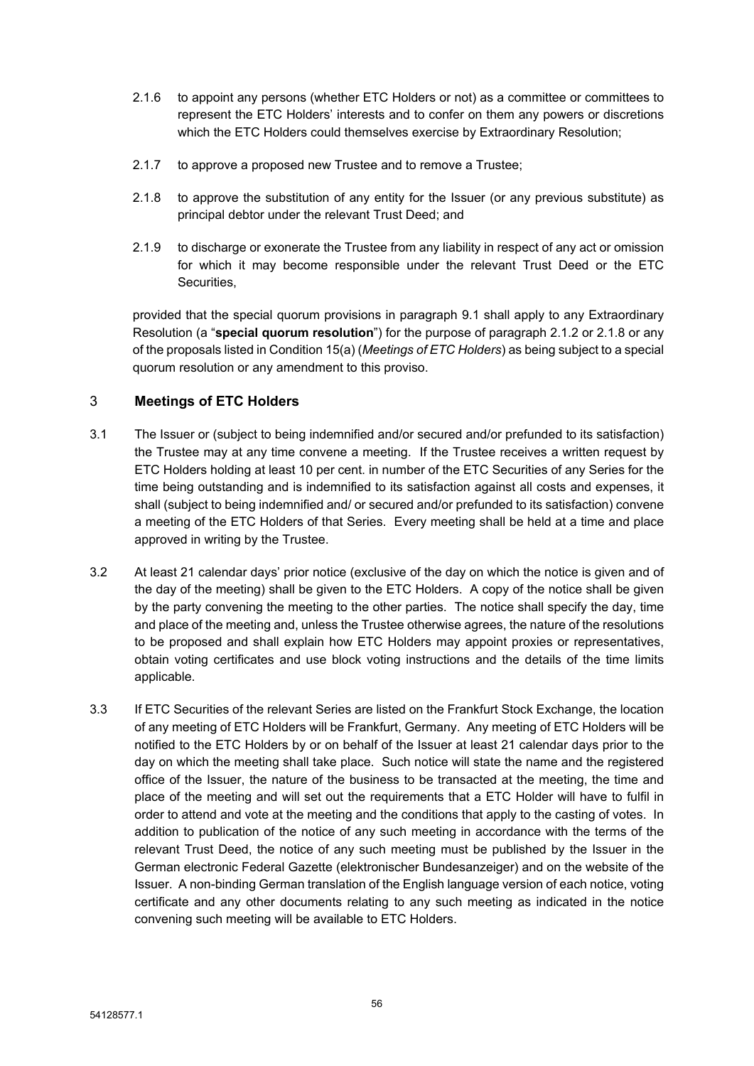- 2.1.6 to appoint any persons (whether ETC Holders or not) as a committee or committees to represent the ETC Holders' interests and to confer on them any powers or discretions which the ETC Holders could themselves exercise by Extraordinary Resolution;
- 2.1.7 to approve a proposed new Trustee and to remove a Trustee;
- <span id="page-57-0"></span>2.1.8 to approve the substitution of any entity for the Issuer (or any previous substitute) as principal debtor under the relevant Trust Deed; and
- 2.1.9 to discharge or exonerate the Trustee from any liability in respect of any act or omission for which it may become responsible under the relevant Trust Deed or the ETC Securities,

provided that the special quorum provisions in paragraph [9.1](#page-60-1) shall apply to any Extraordinary Resolution (a "**special quorum resolution**") for the purpose of paragraph [2.1.2](#page-56-1) or [2.1.8](#page-57-0) or any of the proposals listed in Condition 15(a) (*Meetings of ETC Holders*) as being subject to a special quorum resolution or any amendment to this proviso.

### 3 **Meetings of ETC Holders**

- <span id="page-57-1"></span>3.1 The Issuer or (subject to being indemnified and/or secured and/or prefunded to its satisfaction) the Trustee may at any time convene a meeting. If the Trustee receives a written request by ETC Holders holding at least 10 per cent. in number of the ETC Securities of any Series for the time being outstanding and is indemnified to its satisfaction against all costs and expenses, it shall (subject to being indemnified and/ or secured and/or prefunded to its satisfaction) convene a meeting of the ETC Holders of that Series. Every meeting shall be held at a time and place approved in writing by the Trustee.
- 3.2 At least 21 calendar days' prior notice (exclusive of the day on which the notice is given and of the day of the meeting) shall be given to the ETC Holders. A copy of the notice shall be given by the party convening the meeting to the other parties. The notice shall specify the day, time and place of the meeting and, unless the Trustee otherwise agrees, the nature of the resolutions to be proposed and shall explain how ETC Holders may appoint proxies or representatives, obtain voting certificates and use block voting instructions and the details of the time limits applicable.
- 3.3 If ETC Securities of the relevant Series are listed on the Frankfurt Stock Exchange, the location of any meeting of ETC Holders will be Frankfurt, Germany. Any meeting of ETC Holders will be notified to the ETC Holders by or on behalf of the Issuer at least 21 calendar days prior to the day on which the meeting shall take place. Such notice will state the name and the registered office of the Issuer, the nature of the business to be transacted at the meeting, the time and place of the meeting and will set out the requirements that a ETC Holder will have to fulfil in order to attend and vote at the meeting and the conditions that apply to the casting of votes. In addition to publication of the notice of any such meeting in accordance with the terms of the relevant Trust Deed, the notice of any such meeting must be published by the Issuer in the German electronic Federal Gazette (elektronischer Bundesanzeiger) and on the website of the Issuer. A non-binding German translation of the English language version of each notice, voting certificate and any other documents relating to any such meeting as indicated in the notice convening such meeting will be available to ETC Holders.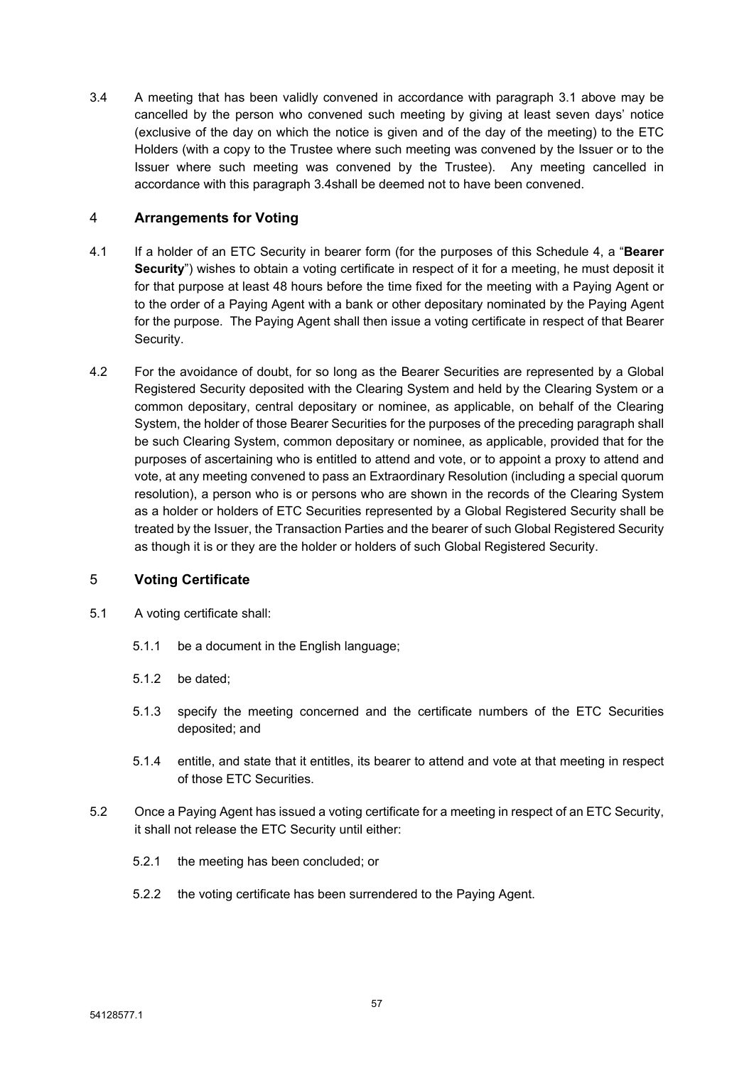<span id="page-58-3"></span>3.4 A meeting that has been validly convened in accordance with paragraph [3.1](#page-57-1) above may be cancelled by the person who convened such meeting by giving at least seven days' notice (exclusive of the day on which the notice is given and of the day of the meeting) to the ETC Holders (with a copy to the Trustee where such meeting was convened by the Issuer or to the Issuer where such meeting was convened by the Trustee). Any meeting cancelled in accordance with this paragraph [3.4s](#page-58-3)hall be deemed not to have been convened.

### 4 **Arrangements for Voting**

- <span id="page-58-0"></span>4.1 If a holder of an ETC Security in bearer form (for the purposes of this [Schedule](#page-56-0) 4, a "**Bearer Security**") wishes to obtain a voting certificate in respect of it for a meeting, he must deposit it for that purpose at least 48 hours before the time fixed for the meeting with a Paying Agent or to the order of a Paying Agent with a bank or other depositary nominated by the Paying Agent for the purpose. The Paying Agent shall then issue a voting certificate in respect of that Bearer Security.
- 4.2 For the avoidance of doubt, for so long as the Bearer Securities are represented by a Global Registered Security deposited with the Clearing System and held by the Clearing System or a common depositary, central depositary or nominee, as applicable, on behalf of the Clearing System, the holder of those Bearer Securities for the purposes of the preceding paragraph shall be such Clearing System, common depositary or nominee, as applicable, provided that for the purposes of ascertaining who is entitled to attend and vote, or to appoint a proxy to attend and vote, at any meeting convened to pass an Extraordinary Resolution (including a special quorum resolution), a person who is or persons who are shown in the records of the Clearing System as a holder or holders of ETC Securities represented by a Global Registered Security shall be treated by the Issuer, the Transaction Parties and the bearer of such Global Registered Security as though it is or they are the holder or holders of such Global Registered Security.

### 5 **Voting Certificate**

- <span id="page-58-1"></span>5.1 A voting certificate shall:
	- 5.1.1 be a document in the English language;
	- 5.1.2 be dated;
	- 5.1.3 specify the meeting concerned and the certificate numbers of the ETC Securities deposited; and
	- 5.1.4 entitle, and state that it entitles, its bearer to attend and vote at that meeting in respect of those ETC Securities.
- <span id="page-58-2"></span>5.2 Once a Paying Agent has issued a voting certificate for a meeting in respect of an ETC Security, it shall not release the ETC Security until either:
	- 5.2.1 the meeting has been concluded; or
	- 5.2.2 the voting certificate has been surrendered to the Paying Agent.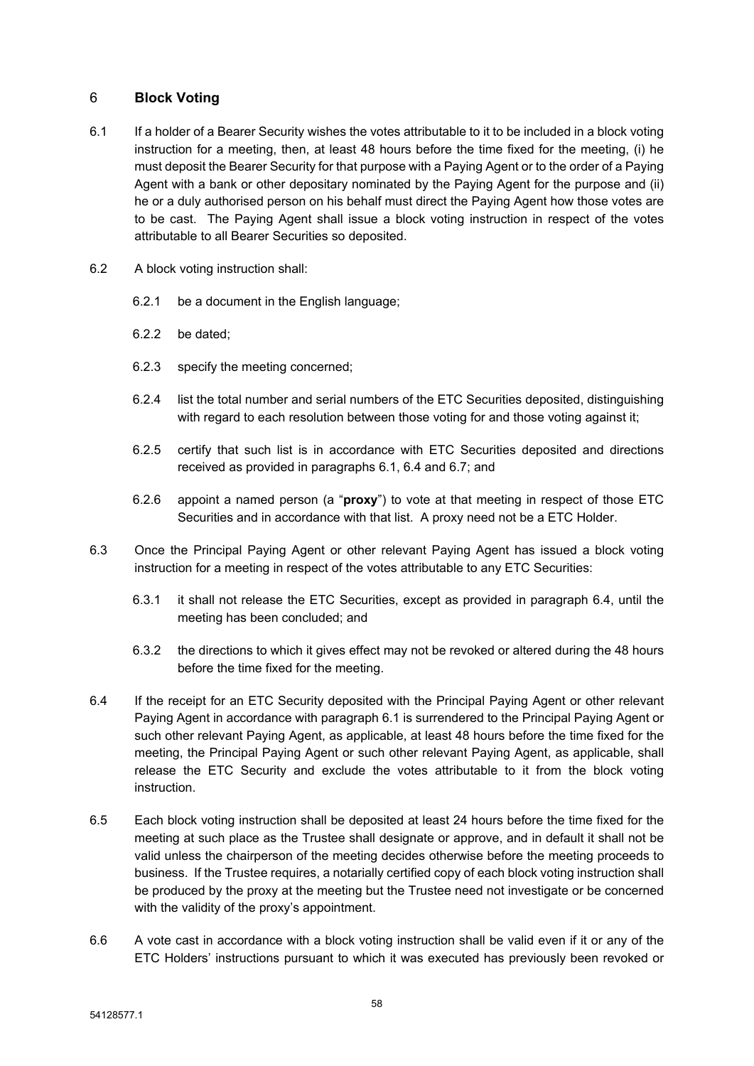### 6 **Block Voting**

- <span id="page-59-0"></span>6.1 If a holder of a Bearer Security wishes the votes attributable to it to be included in a block voting instruction for a meeting, then, at least 48 hours before the time fixed for the meeting, (i) he must deposit the Bearer Security for that purpose with a Paying Agent or to the order of a Paying Agent with a bank or other depositary nominated by the Paying Agent for the purpose and (ii) he or a duly authorised person on his behalf must direct the Paying Agent how those votes are to be cast. The Paying Agent shall issue a block voting instruction in respect of the votes attributable to all Bearer Securities so deposited.
- 6.2 A block voting instruction shall:
	- 6.2.1 be a document in the English language;
	- 6.2.2 be dated;
	- 6.2.3 specify the meeting concerned;
	- 6.2.4 list the total number and serial numbers of the ETC Securities deposited, distinguishing with regard to each resolution between those voting for and those voting against it;
	- 6.2.5 certify that such list is in accordance with ETC Securities deposited and directions received as provided in paragraphs [6.1](#page-59-0), [6.4](#page-59-1) and [6.7;](#page-60-0) and
	- 6.2.6 appoint a named person (a "**proxy**") to vote at that meeting in respect of those ETC Securities and in accordance with that list. A proxy need not be a ETC Holder.
- 6.3 Once the Principal Paying Agent or other relevant Paying Agent has issued a block voting instruction for a meeting in respect of the votes attributable to any ETC Securities:
	- 6.3.1 it shall not release the ETC Securities, except as provided in paragraph [6.4](#page-59-1), until the meeting has been concluded; and
	- 6.3.2 the directions to which it gives effect may not be revoked or altered during the 48 hours before the time fixed for the meeting.
- <span id="page-59-1"></span>6.4 If the receipt for an ETC Security deposited with the Principal Paying Agent or other relevant Paying Agent in accordance with paragraph [6.1](#page-59-0) is surrendered to the Principal Paying Agent or such other relevant Paying Agent, as applicable, at least 48 hours before the time fixed for the meeting, the Principal Paying Agent or such other relevant Paying Agent, as applicable, shall release the ETC Security and exclude the votes attributable to it from the block voting instruction.
- 6.5 Each block voting instruction shall be deposited at least 24 hours before the time fixed for the meeting at such place as the Trustee shall designate or approve, and in default it shall not be valid unless the chairperson of the meeting decides otherwise before the meeting proceeds to business. If the Trustee requires, a notarially certified copy of each block voting instruction shall be produced by the proxy at the meeting but the Trustee need not investigate or be concerned with the validity of the proxy's appointment.
- 6.6 A vote cast in accordance with a block voting instruction shall be valid even if it or any of the ETC Holders' instructions pursuant to which it was executed has previously been revoked or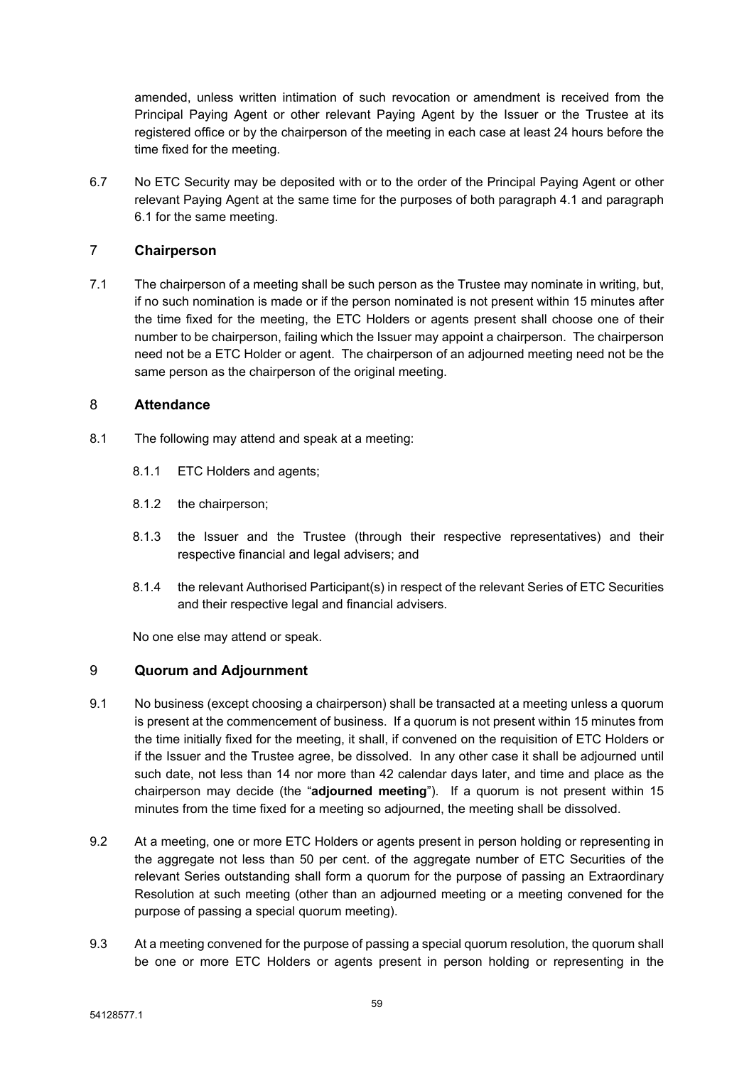amended, unless written intimation of such revocation or amendment is received from the Principal Paying Agent or other relevant Paying Agent by the Issuer or the Trustee at its registered office or by the chairperson of the meeting in each case at least 24 hours before the time fixed for the meeting.

<span id="page-60-0"></span>6.7 No ETC Security may be deposited with or to the order of the Principal Paying Agent or other relevant Paying Agent at the same time for the purposes of both paragraph [4.1](#page-58-0) and paragraph [6.1](#page-59-0) for the same meeting.

### 7 **Chairperson**

7.1 The chairperson of a meeting shall be such person as the Trustee may nominate in writing, but, if no such nomination is made or if the person nominated is not present within 15 minutes after the time fixed for the meeting, the ETC Holders or agents present shall choose one of their number to be chairperson, failing which the Issuer may appoint a chairperson. The chairperson need not be a ETC Holder or agent. The chairperson of an adjourned meeting need not be the same person as the chairperson of the original meeting.

### 8 **Attendance**

- 8.1 The following may attend and speak at a meeting:
	- 8.1.1 ETC Holders and agents;
	- 8.1.2 the chairperson;
	- 8.1.3 the Issuer and the Trustee (through their respective representatives) and their respective financial and legal advisers; and
	- 8.1.4 the relevant Authorised Participant(s) in respect of the relevant Series of ETC Securities and their respective legal and financial advisers.

<span id="page-60-1"></span>No one else may attend or speak.

### 9 **Quorum and Adjournment**

- <span id="page-60-2"></span>9.1 No business (except choosing a chairperson) shall be transacted at a meeting unless a quorum is present at the commencement of business. If a quorum is not present within 15 minutes from the time initially fixed for the meeting, it shall, if convened on the requisition of ETC Holders or if the Issuer and the Trustee agree, be dissolved. In any other case it shall be adjourned until such date, not less than 14 nor more than 42 calendar days later, and time and place as the chairperson may decide (the "**adjourned meeting**"). If a quorum is not present within 15 minutes from the time fixed for a meeting so adjourned, the meeting shall be dissolved.
- 9.2 At a meeting, one or more ETC Holders or agents present in person holding or representing in the aggregate not less than 50 per cent. of the aggregate number of ETC Securities of the relevant Series outstanding shall form a quorum for the purpose of passing an Extraordinary Resolution at such meeting (other than an adjourned meeting or a meeting convened for the purpose of passing a special quorum meeting).
- 9.3 At a meeting convened for the purpose of passing a special quorum resolution, the quorum shall be one or more ETC Holders or agents present in person holding or representing in the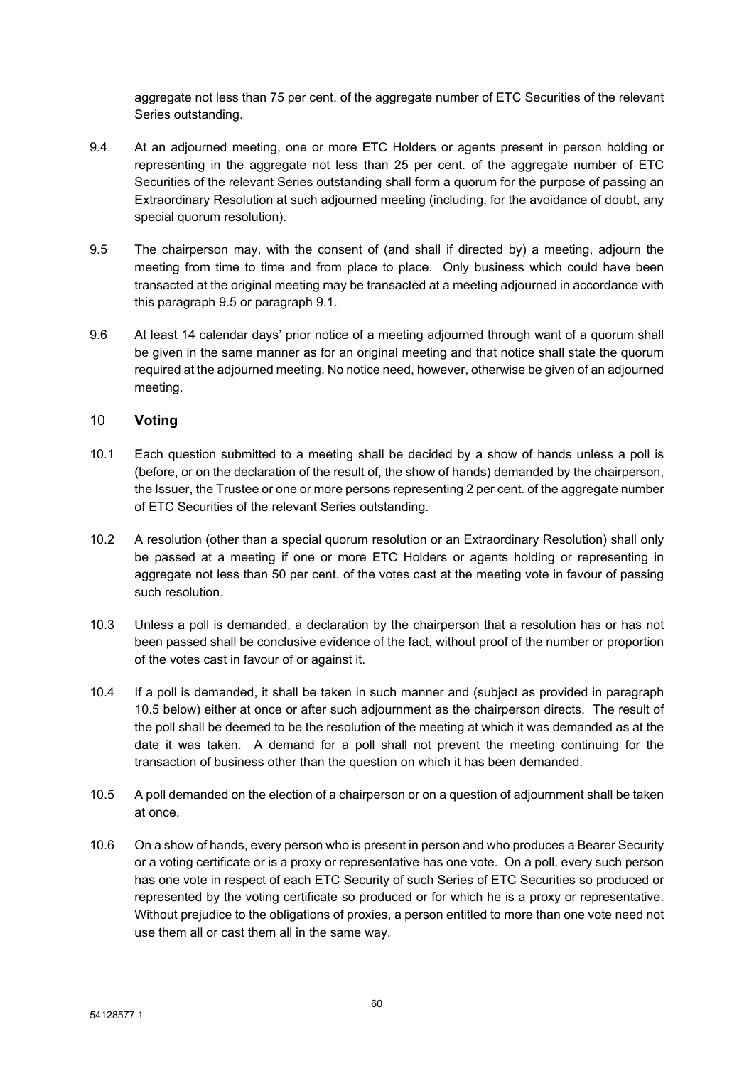aggregate not less than 75 per cent. of the aggregate number of ETC Securities of the relevant Series outstanding.

- 9.4 At an adjourned meeting, one or more ETC Holders or agents present in person holding or representing in the aggregate not less than 25 per cent. of the aggregate number of ETC Securities of the relevant Series outstanding shall form a quorum for the purpose of passing an Extraordinary Resolution at such adjourned meeting (including, for the avoidance of doubt, any special quorum resolution).
- <span id="page-61-0"></span>9.5 The chairperson may, with the consent of (and shall if directed by) a meeting, adjourn the meeting from time to time and from place to place. Only business which could have been transacted at the original meeting may be transacted at a meeting adjourned in accordance with this paragraph [9.5](#page-61-0) or paragraph [9.1.](#page-60-2)
- 9.6 At least 14 calendar days' prior notice of a meeting adjourned through want of a quorum shall be given in the same manner as for an original meeting and that notice shall state the quorum required at the adjourned meeting. No notice need, however, otherwise be given of an adjourned meeting.

### 10 **Voting**

- 10.1 Each question submitted to a meeting shall be decided by a show of hands unless a poll is (before, or on the declaration of the result of, the show of hands) demanded by the chairperson, the Issuer, the Trustee or one or more persons representing 2 per cent. of the aggregate number of ETC Securities of the relevant Series outstanding.
- 10.2 A resolution (other than a special quorum resolution or an Extraordinary Resolution) shall only be passed at a meeting if one or more ETC Holders or agents holding or representing in aggregate not less than 50 per cent. of the votes cast at the meeting vote in favour of passing such resolution.
- 10.3 Unless a poll is demanded, a declaration by the chairperson that a resolution has or has not been passed shall be conclusive evidence of the fact, without proof of the number or proportion of the votes cast in favour of or against it.
- 10.4 If a poll is demanded, it shall be taken in such manner and (subject as provided in paragraph [10.5](#page-61-1) below) either at once or after such adjournment as the chairperson directs. The result of the poll shall be deemed to be the resolution of the meeting at which it was demanded as at the date it was taken. A demand for a poll shall not prevent the meeting continuing for the transaction of business other than the question on which it has been demanded.
- <span id="page-61-1"></span>10.5 A poll demanded on the election of a chairperson or on a question of adjournment shall be taken at once.
- <span id="page-61-2"></span>10.6 On a show of hands, every person who is present in person and who produces a Bearer Security or a voting certificate or is a proxy or representative has one vote. On a poll, every such person has one vote in respect of each ETC Security of such Series of ETC Securities so produced or represented by the voting certificate so produced or for which he is a proxy or representative. Without prejudice to the obligations of proxies, a person entitled to more than one vote need not use them all or cast them all in the same way.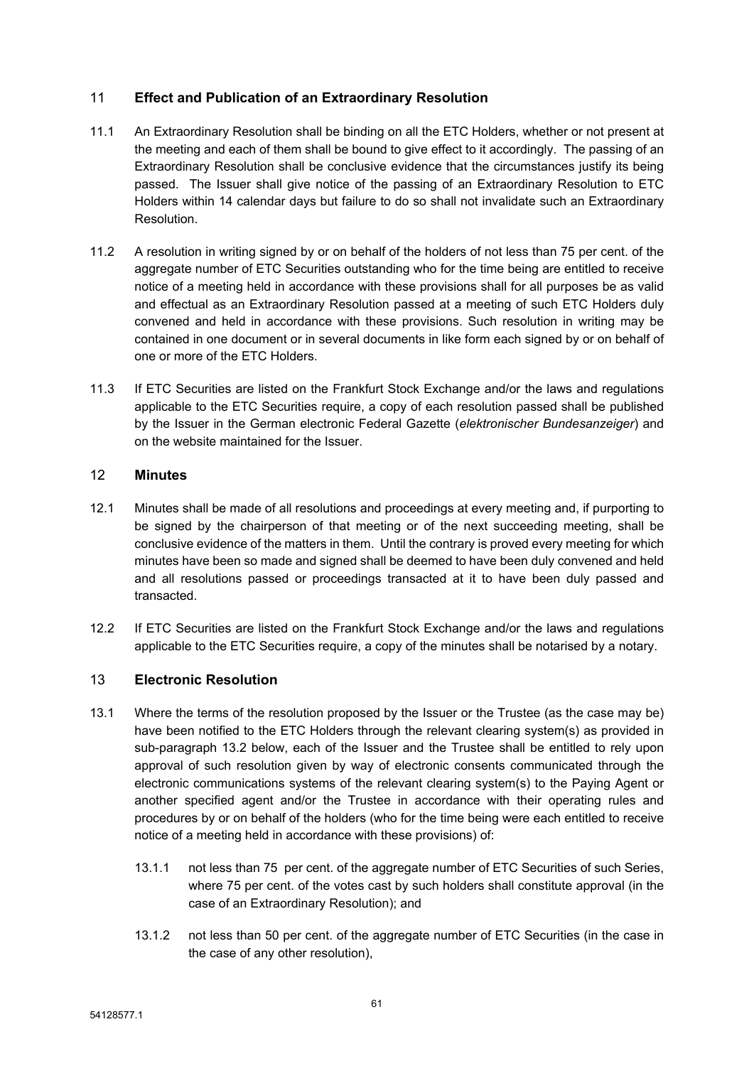### 11 **Effect and Publication of an Extraordinary Resolution**

- 11.1 An Extraordinary Resolution shall be binding on all the ETC Holders, whether or not present at the meeting and each of them shall be bound to give effect to it accordingly. The passing of an Extraordinary Resolution shall be conclusive evidence that the circumstances justify its being passed. The Issuer shall give notice of the passing of an Extraordinary Resolution to ETC Holders within 14 calendar days but failure to do so shall not invalidate such an Extraordinary Resolution.
- 11.2 A resolution in writing signed by or on behalf of the holders of not less than 75 per cent. of the aggregate number of ETC Securities outstanding who for the time being are entitled to receive notice of a meeting held in accordance with these provisions shall for all purposes be as valid and effectual as an Extraordinary Resolution passed at a meeting of such ETC Holders duly convened and held in accordance with these provisions. Such resolution in writing may be contained in one document or in several documents in like form each signed by or on behalf of one or more of the ETC Holders.
- 11.3 If ETC Securities are listed on the Frankfurt Stock Exchange and/or the laws and regulations applicable to the ETC Securities require, a copy of each resolution passed shall be published by the Issuer in the German electronic Federal Gazette (*elektronischer Bundesanzeiger*) and on the website maintained for the Issuer.

### 12 **Minutes**

- 12.1 Minutes shall be made of all resolutions and proceedings at every meeting and, if purporting to be signed by the chairperson of that meeting or of the next succeeding meeting, shall be conclusive evidence of the matters in them. Until the contrary is proved every meeting for which minutes have been so made and signed shall be deemed to have been duly convened and held and all resolutions passed or proceedings transacted at it to have been duly passed and transacted.
- 12.2 If ETC Securities are listed on the Frankfurt Stock Exchange and/or the laws and regulations applicable to the ETC Securities require, a copy of the minutes shall be notarised by a notary.

### 13 **Electronic Resolution**

- 13.1 Where the terms of the resolution proposed by the Issuer or the Trustee (as the case may be) have been notified to the ETC Holders through the relevant clearing system(s) as provided in sub-paragraph 13.2 below, each of the Issuer and the Trustee shall be entitled to rely upon approval of such resolution given by way of electronic consents communicated through the electronic communications systems of the relevant clearing system(s) to the Paying Agent or another specified agent and/or the Trustee in accordance with their operating rules and procedures by or on behalf of the holders (who for the time being were each entitled to receive notice of a meeting held in accordance with these provisions) of:
	- 13.1.1 not less than 75 per cent. of the aggregate number of ETC Securities of such Series, where 75 per cent. of the votes cast by such holders shall constitute approval (in the case of an Extraordinary Resolution); and
	- 13.1.2 not less than 50 per cent. of the aggregate number of ETC Securities (in the case in the case of any other resolution),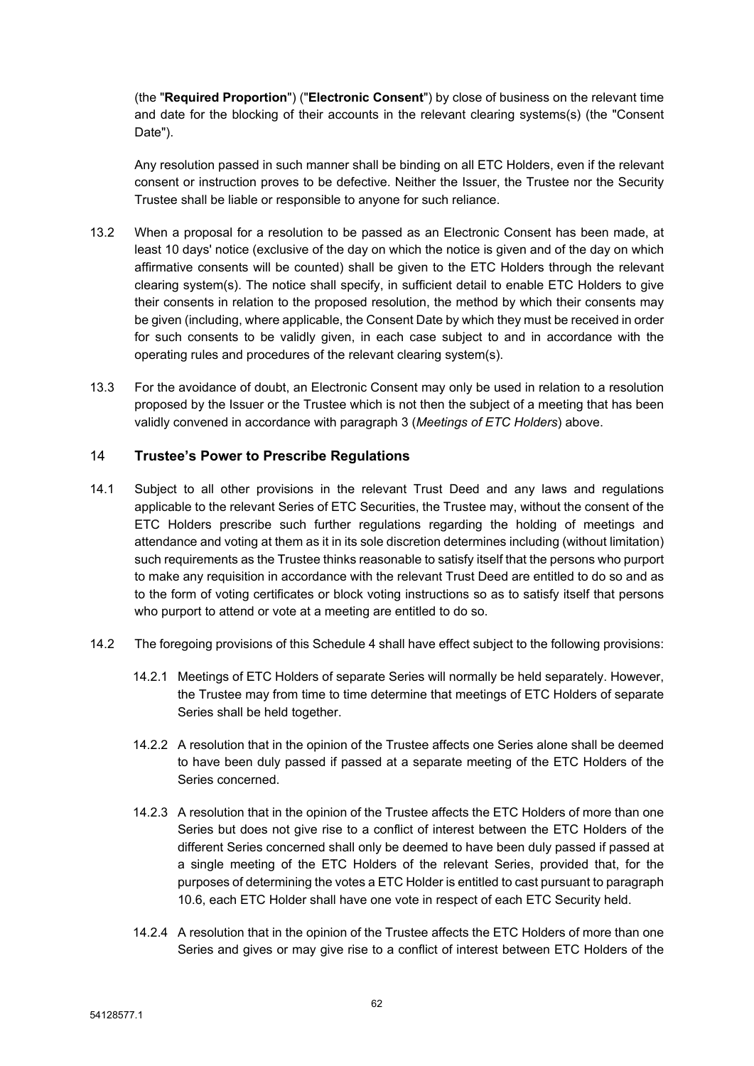(the "**Required Proportion**") ("**Electronic Consent**") by close of business on the relevant time and date for the blocking of their accounts in the relevant clearing systems(s) (the "Consent Date").

Any resolution passed in such manner shall be binding on all ETC Holders, even if the relevant consent or instruction proves to be defective. Neither the Issuer, the Trustee nor the Security Trustee shall be liable or responsible to anyone for such reliance.

- 13.2 When a proposal for a resolution to be passed as an Electronic Consent has been made, at least 10 days' notice (exclusive of the day on which the notice is given and of the day on which affirmative consents will be counted) shall be given to the ETC Holders through the relevant clearing system(s). The notice shall specify, in sufficient detail to enable ETC Holders to give their consents in relation to the proposed resolution, the method by which their consents may be given (including, where applicable, the Consent Date by which they must be received in order for such consents to be validly given, in each case subject to and in accordance with the operating rules and procedures of the relevant clearing system(s).
- 13.3 For the avoidance of doubt, an Electronic Consent may only be used in relation to a resolution proposed by the Issuer or the Trustee which is not then the subject of a meeting that has been validly convened in accordance with paragraph 3 (*Meetings of ETC Holders*) above.

### 14 **Trustee's Power to Prescribe Regulations**

- 14.1 Subject to all other provisions in the relevant Trust Deed and any laws and regulations applicable to the relevant Series of ETC Securities, the Trustee may, without the consent of the ETC Holders prescribe such further regulations regarding the holding of meetings and attendance and voting at them as it in its sole discretion determines including (without limitation) such requirements as the Trustee thinks reasonable to satisfy itself that the persons who purport to make any requisition in accordance with the relevant Trust Deed are entitled to do so and as to the form of voting certificates or block voting instructions so as to satisfy itself that persons who purport to attend or vote at a meeting are entitled to do so.
- 14.2 The foregoing provisions of this [Schedule](#page-56-0) 4 shall have effect subject to the following provisions:
	- 14.2.1 Meetings of ETC Holders of separate Series will normally be held separately. However, the Trustee may from time to time determine that meetings of ETC Holders of separate Series shall be held together.
	- 14.2.2 A resolution that in the opinion of the Trustee affects one Series alone shall be deemed to have been duly passed if passed at a separate meeting of the ETC Holders of the Series concerned.
	- 14.2.3 A resolution that in the opinion of the Trustee affects the ETC Holders of more than one Series but does not give rise to a conflict of interest between the ETC Holders of the different Series concerned shall only be deemed to have been duly passed if passed at a single meeting of the ETC Holders of the relevant Series, provided that, for the purposes of determining the votes a ETC Holder is entitled to cast pursuant to paragraph [10.6,](#page-61-2) each ETC Holder shall have one vote in respect of each ETC Security held.
	- 14.2.4 A resolution that in the opinion of the Trustee affects the ETC Holders of more than one Series and gives or may give rise to a conflict of interest between ETC Holders of the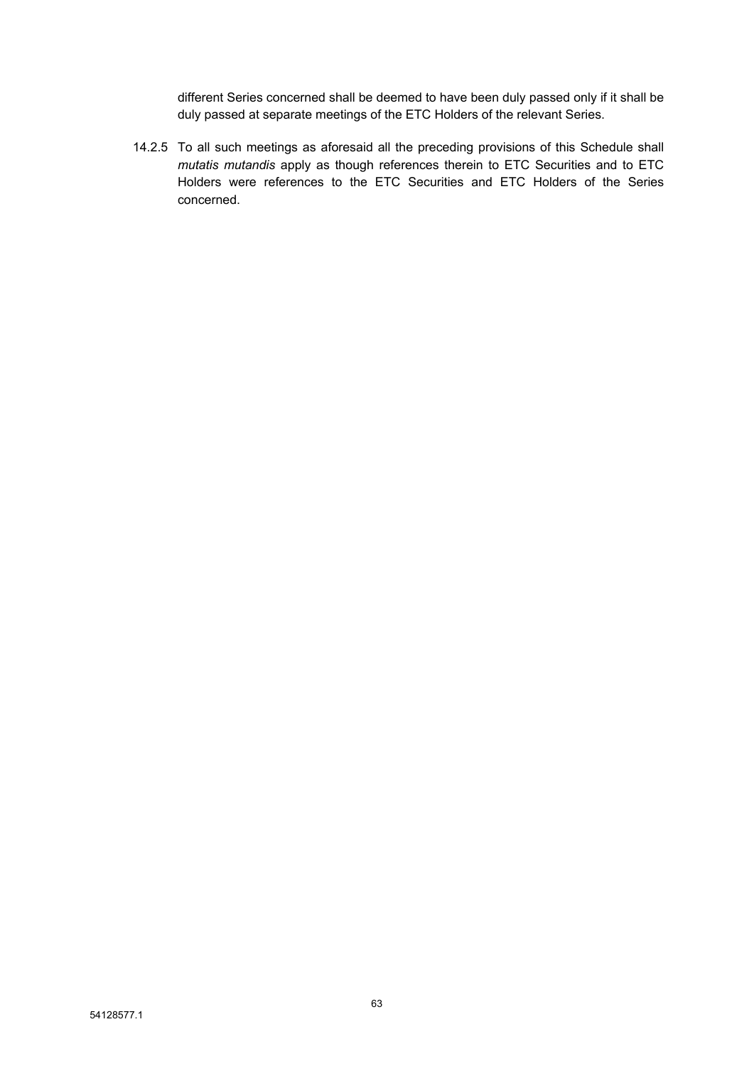different Series concerned shall be deemed to have been duly passed only if it shall be duly passed at separate meetings of the ETC Holders of the relevant Series.

14.2.5 To all such meetings as aforesaid all the preceding provisions of this Schedule shall *mutatis mutandis* apply as though references therein to ETC Securities and to ETC Holders were references to the ETC Securities and ETC Holders of the Series concerned.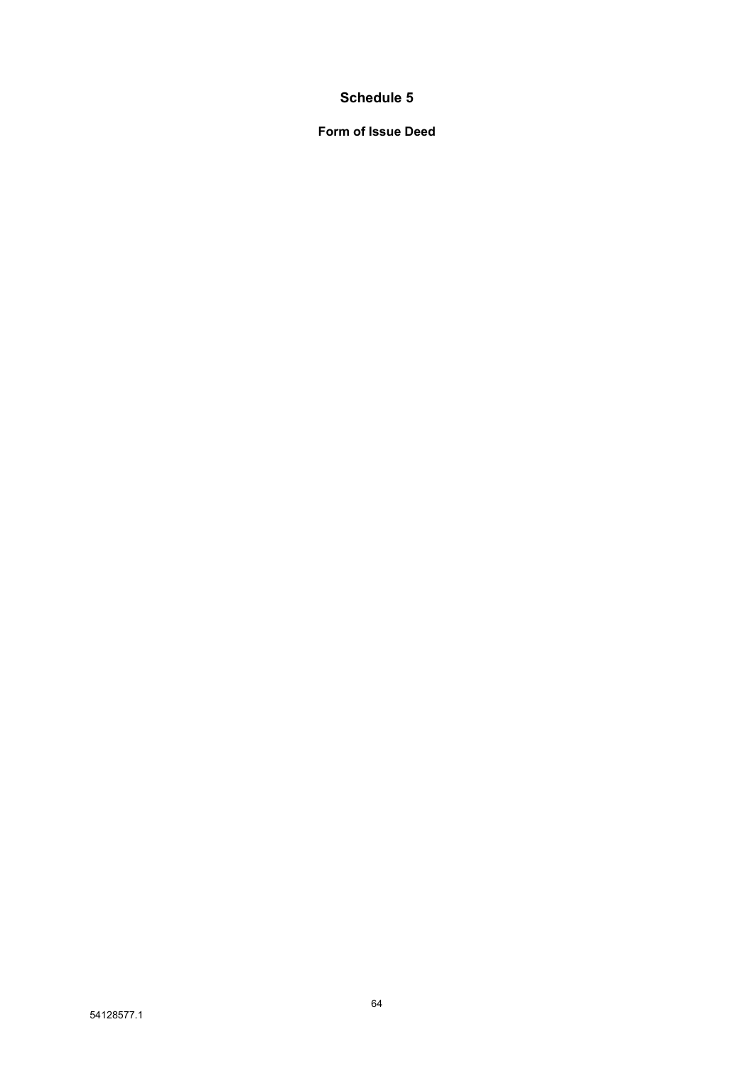# **Schedule 5**

**Form of Issue Deed**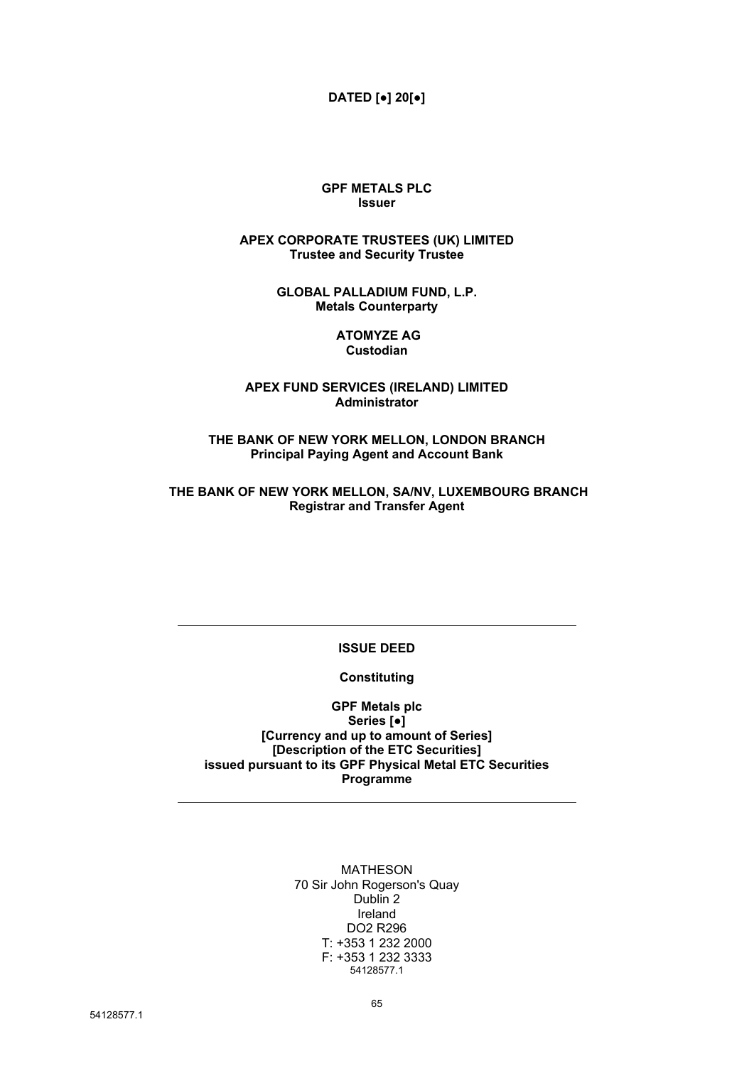### **DATED [●] 20[●]**

#### **GPF METALS PLC Issuer**

#### **APEX CORPORATE TRUSTEES (UK) LIMITED Trustee and Security Trustee**

**GLOBAL PALLADIUM FUND, L.P. Metals Counterparty**

#### **ATOMYZE AG Custodian**

### **APEX FUND SERVICES (IRELAND) LIMITED Administrator**

**THE BANK OF NEW YORK MELLON, LONDON BRANCH Principal Paying Agent and Account Bank**

#### **THE BANK OF NEW YORK MELLON, SA/NV, LUXEMBOURG BRANCH Registrar and Transfer Agent**

### **ISSUE DEED**

### **Constituting**

**GPF Metals plc Series [●] [Currency and up to amount of Series] [Description of the ETC Securities] issued pursuant to its GPF Physical Metal ETC Securities Programme**

> MATHESON 70 Sir John Rogerson's Quay Dublin 2 Ireland DO2 R296 T: +353 1 232 2000 F: +353 1 232 3333 54128577.1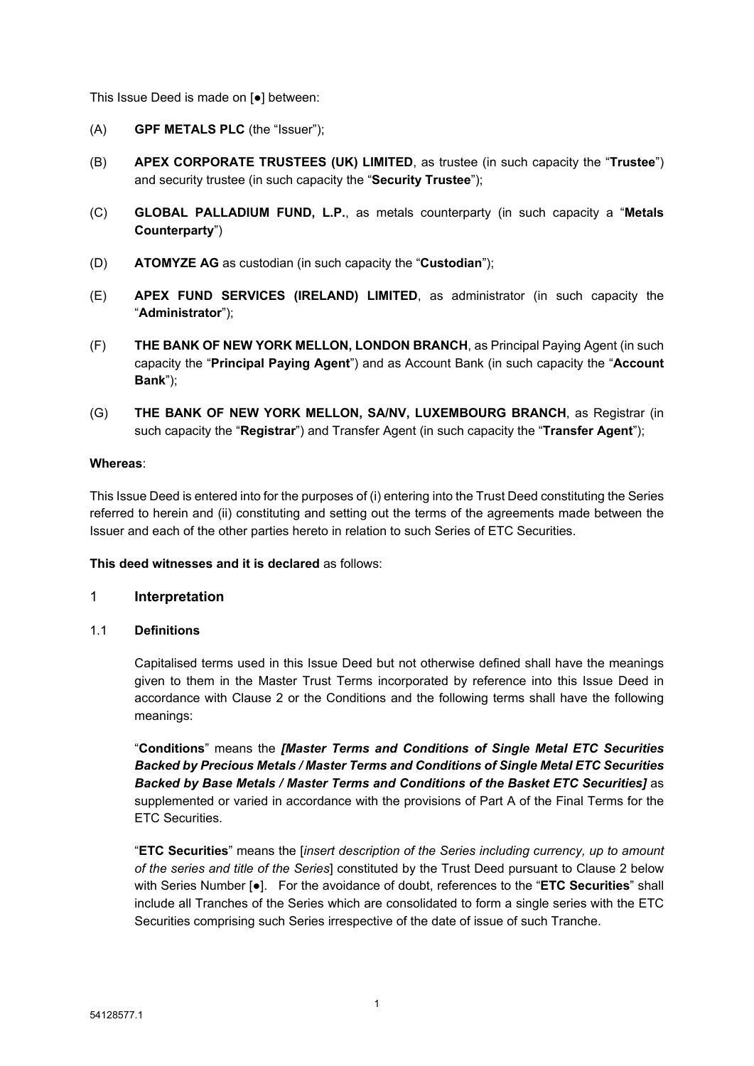This Issue Deed is made on [●] between:

- (A) **GPF METALS PLC** (the "Issuer");
- (B) **APEX CORPORATE TRUSTEES (UK) LIMITED**, as trustee (in such capacity the "**Trustee**") and security trustee (in such capacity the "**Security Trustee**");
- (C) **GLOBAL PALLADIUM FUND, L.P.**, as metals counterparty (in such capacity a "**Metals Counterparty**")
- (D) **ATOMYZE AG** as custodian (in such capacity the "**Custodian**");
- (E) **APEX FUND SERVICES (IRELAND) LIMITED**, as administrator (in such capacity the "**Administrator**");
- (F) **THE BANK OF NEW YORK MELLON, LONDON BRANCH**, as Principal Paying Agent (in such capacity the "**Principal Paying Agent**") and as Account Bank (in such capacity the "**Account Bank**");
- (G) **THE BANK OF NEW YORK MELLON, SA/NV, LUXEMBOURG BRANCH**, as Registrar (in such capacity the "**Registrar**") and Transfer Agent (in such capacity the "**Transfer Agent**");

### **Whereas**:

This Issue Deed is entered into for the purposes of (i) entering into the Trust Deed constituting the Series referred to herein and (ii) constituting and setting out the terms of the agreements made between the Issuer and each of the other parties hereto in relation to such Series of ETC Securities.

**This deed witnesses and it is declared** as follows:

### 1 **Interpretation**

1.1 **Definitions**

Capitalised terms used in this Issue Deed but not otherwise defined shall have the meanings given to them in the Master Trust Terms incorporated by reference into this Issue Deed in accordance with Clause 2 or the Conditions and the following terms shall have the following meanings:

"**Conditions**" means the *[Master Terms and Conditions of Single Metal ETC Securities Backed by Precious Metals / Master Terms and Conditions of Single Metal ETC Securities Backed by Base Metals / Master Terms and Conditions of the Basket ETC Securities]* as supplemented or varied in accordance with the provisions of Part A of the Final Terms for the ETC Securities.

"**ETC Securities**" means the [*insert description of the Series including currency, up to amount of the series and title of the Series*] constituted by the Trust Deed pursuant to Clause 2 below with Series Number [●]. For the avoidance of doubt, references to the "**ETC Securities**" shall include all Tranches of the Series which are consolidated to form a single series with the ETC Securities comprising such Series irrespective of the date of issue of such Tranche.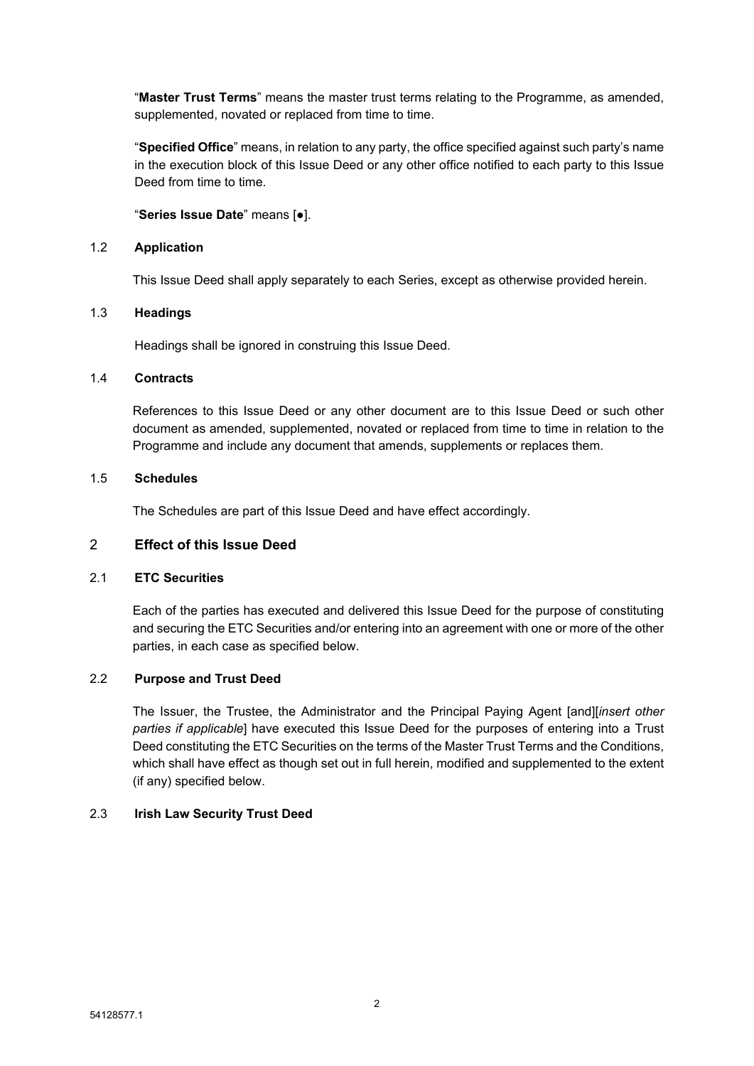"**Master Trust Terms**" means the master trust terms relating to the Programme, as amended, supplemented, novated or replaced from time to time.

"**Specified Office**" means, in relation to any party, the office specified against such party's name in the execution block of this Issue Deed or any other office notified to each party to this Issue Deed from time to time.

### "**Series Issue Date**" means [●].

#### 1.2 **Application**

This Issue Deed shall apply separately to each Series, except as otherwise provided herein.

### 1.3 **Headings**

Headings shall be ignored in construing this Issue Deed.

#### 1.4 **Contracts**

References to this Issue Deed or any other document are to this Issue Deed or such other document as amended, supplemented, novated or replaced from time to time in relation to the Programme and include any document that amends, supplements or replaces them.

#### 1.5 **Schedules**

The Schedules are part of this Issue Deed and have effect accordingly.

### 2 **Effect of this Issue Deed**

### 2.1 **ETC Securities**

Each of the parties has executed and delivered this Issue Deed for the purpose of constituting and securing the ETC Securities and/or entering into an agreement with one or more of the other parties, in each case as specified below.

### 2.2 **Purpose and Trust Deed**

The Issuer, the Trustee, the Administrator and the Principal Paying Agent [and][*insert other parties if applicable*] have executed this Issue Deed for the purposes of entering into a Trust Deed constituting the ETC Securities on the terms of the Master Trust Terms and the Conditions, which shall have effect as though set out in full herein, modified and supplemented to the extent (if any) specified below.

### 2.3 **Irish Law Security Trust Deed**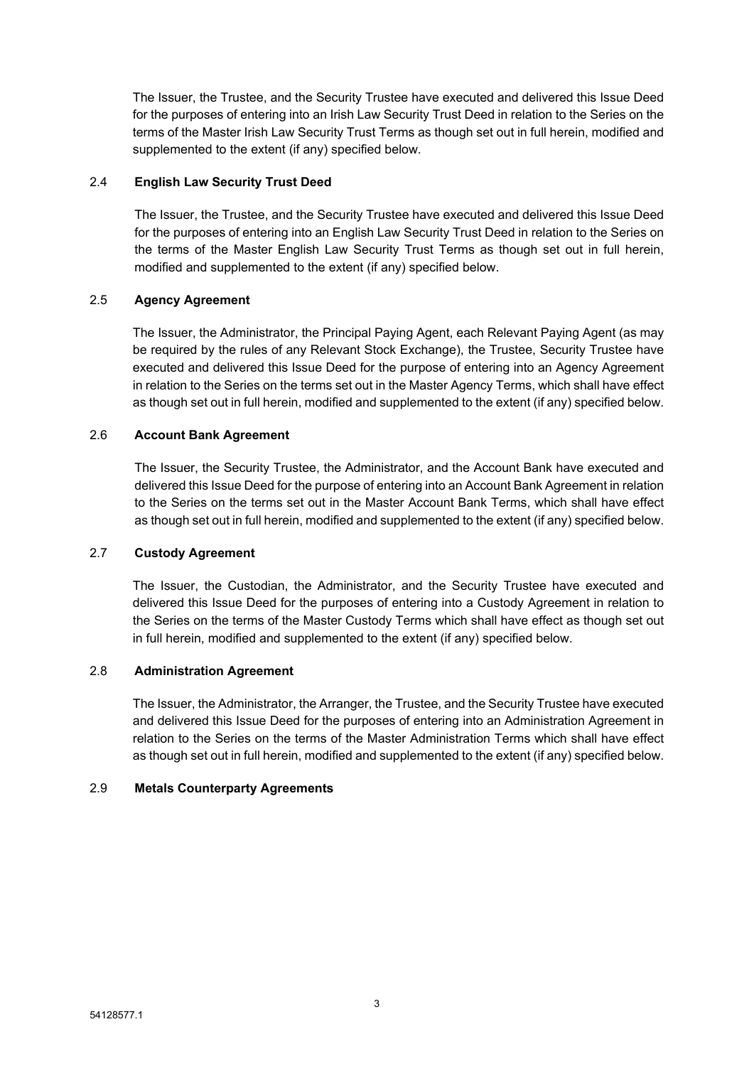The Issuer, the Trustee, and the Security Trustee have executed and delivered this Issue Deed for the purposes of entering into an Irish Law Security Trust Deed in relation to the Series on the terms of the Master Irish Law Security Trust Terms as though set out in full herein, modified and supplemented to the extent (if any) specified below.

### 2.4 **English Law Security Trust Deed**

The Issuer, the Trustee, and the Security Trustee have executed and delivered this Issue Deed for the purposes of entering into an English Law Security Trust Deed in relation to the Series on the terms of the Master English Law Security Trust Terms as though set out in full herein, modified and supplemented to the extent (if any) specified below.

### 2.5 **Agency Agreement**

The Issuer, the Administrator, the Principal Paying Agent, each Relevant Paying Agent (as may be required by the rules of any Relevant Stock Exchange), the Trustee, Security Trustee have executed and delivered this Issue Deed for the purpose of entering into an Agency Agreement in relation to the Series on the terms set out in the Master Agency Terms, which shall have effect as though set out in full herein, modified and supplemented to the extent (if any) specified below.

### 2.6 **Account Bank Agreement**

The Issuer, the Security Trustee, the Administrator, and the Account Bank have executed and delivered this Issue Deed for the purpose of entering into an Account Bank Agreement in relation to the Series on the terms set out in the Master Account Bank Terms, which shall have effect as though set out in full herein, modified and supplemented to the extent (if any) specified below.

### 2.7 **Custody Agreement**

The Issuer, the Custodian, the Administrator, and the Security Trustee have executed and delivered this Issue Deed for the purposes of entering into a Custody Agreement in relation to the Series on the terms of the Master Custody Terms which shall have effect as though set out in full herein, modified and supplemented to the extent (if any) specified below.

### 2.8 **Administration Agreement**

The Issuer, the Administrator, the Arranger, the Trustee, and the Security Trustee have executed and delivered this Issue Deed for the purposes of entering into an Administration Agreement in relation to the Series on the terms of the Master Administration Terms which shall have effect as though set out in full herein, modified and supplemented to the extent (if any) specified below.

### 2.9 **Metals Counterparty Agreements**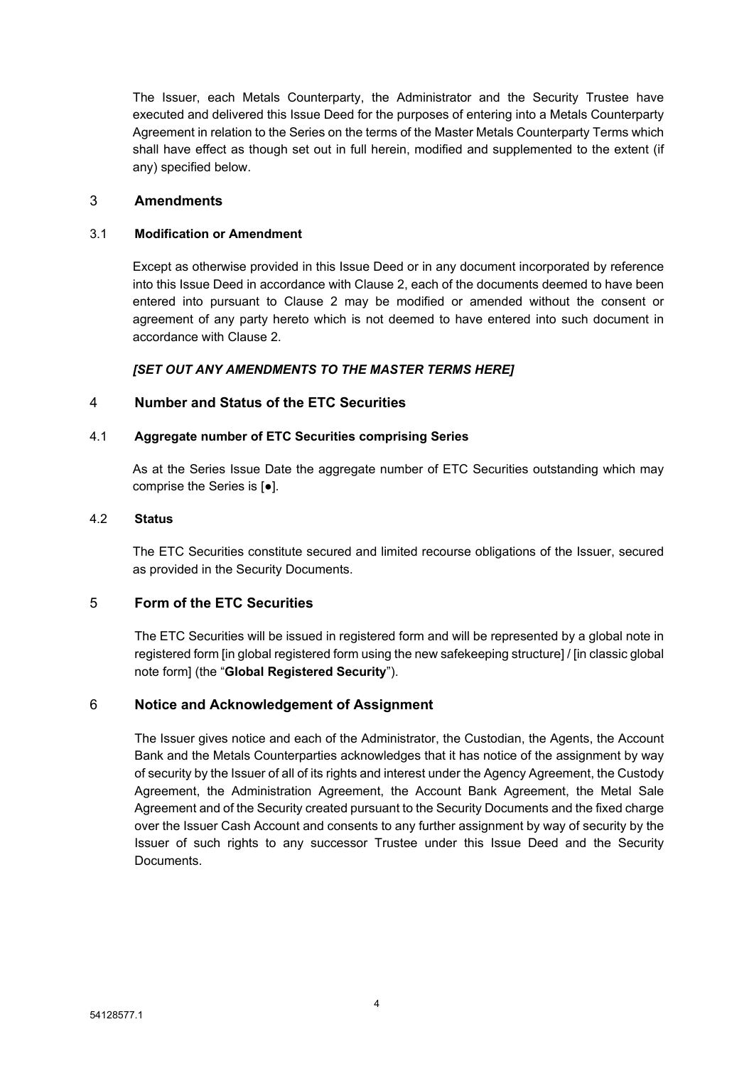The Issuer, each Metals Counterparty, the Administrator and the Security Trustee have executed and delivered this Issue Deed for the purposes of entering into a Metals Counterparty Agreement in relation to the Series on the terms of the Master Metals Counterparty Terms which shall have effect as though set out in full herein, modified and supplemented to the extent (if any) specified below.

### 3 **Amendments**

### 3.1 **Modification or Amendment**

Except as otherwise provided in this Issue Deed or in any document incorporated by reference into this Issue Deed in accordance with Clause 2, each of the documents deemed to have been entered into pursuant to Clause 2 may be modified or amended without the consent or agreement of any party hereto which is not deemed to have entered into such document in accordance with Clause 2.

### *[SET OUT ANY AMENDMENTS TO THE MASTER TERMS HERE]*

### 4 **Number and Status of the ETC Securities**

### 4.1 **Aggregate number of ETC Securities comprising Series**

As at the Series Issue Date the aggregate number of ETC Securities outstanding which may comprise the Series is [●].

### 4.2 **Status**

The ETC Securities constitute secured and limited recourse obligations of the Issuer, secured as provided in the Security Documents.

### 5 **Form of the ETC Securities**

The ETC Securities will be issued in registered form and will be represented by a global note in registered form [in global registered form using the new safekeeping structure] / [in classic global note form] (the "**Global Registered Security**").

### 6 **Notice and Acknowledgement of Assignment**

The Issuer gives notice and each of the Administrator, the Custodian, the Agents, the Account Bank and the Metals Counterparties acknowledges that it has notice of the assignment by way of security by the Issuer of all of its rights and interest under the Agency Agreement, the Custody Agreement, the Administration Agreement, the Account Bank Agreement, the Metal Sale Agreement and of the Security created pursuant to the Security Documents and the fixed charge over the Issuer Cash Account and consents to any further assignment by way of security by the Issuer of such rights to any successor Trustee under this Issue Deed and the Security Documents.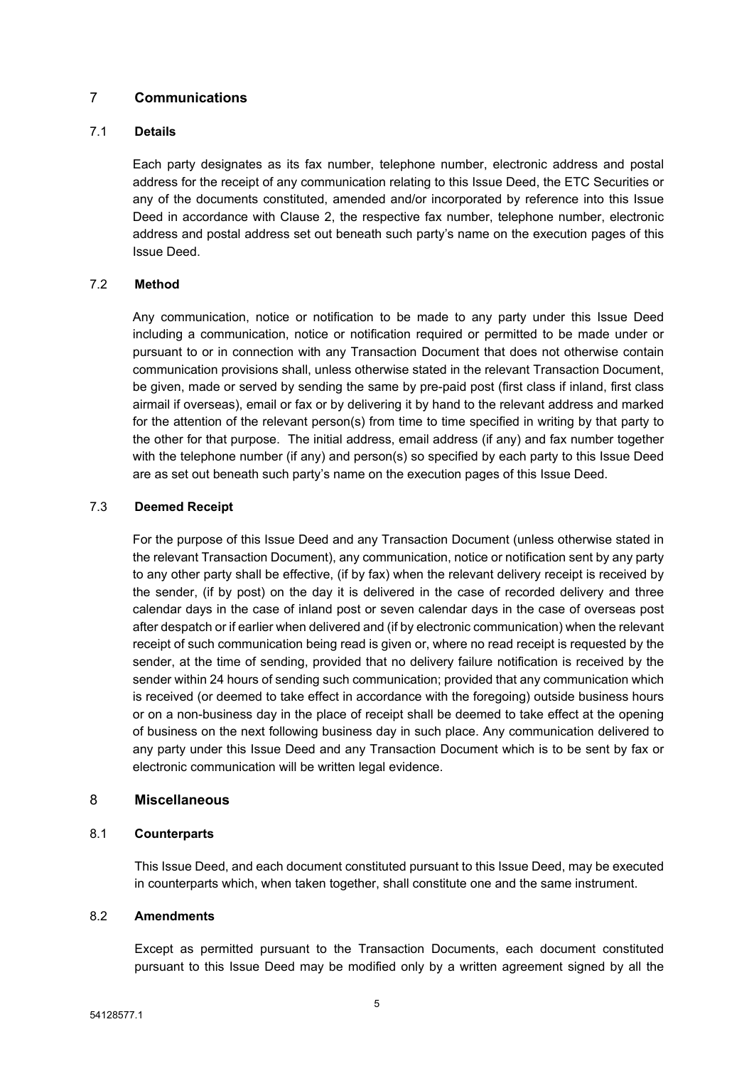### 7 **Communications**

### 7.1 **Details**

Each party designates as its fax number, telephone number, electronic address and postal address for the receipt of any communication relating to this Issue Deed, the ETC Securities or any of the documents constituted, amended and/or incorporated by reference into this Issue Deed in accordance with Clause 2, the respective fax number, telephone number, electronic address and postal address set out beneath such party's name on the execution pages of this Issue Deed.

### 7.2 **Method**

Any communication, notice or notification to be made to any party under this Issue Deed including a communication, notice or notification required or permitted to be made under or pursuant to or in connection with any Transaction Document that does not otherwise contain communication provisions shall, unless otherwise stated in the relevant Transaction Document, be given, made or served by sending the same by pre-paid post (first class if inland, first class airmail if overseas), email or fax or by delivering it by hand to the relevant address and marked for the attention of the relevant person(s) from time to time specified in writing by that party to the other for that purpose. The initial address, email address (if any) and fax number together with the telephone number (if any) and person(s) so specified by each party to this Issue Deed are as set out beneath such party's name on the execution pages of this Issue Deed.

### 7.3 **Deemed Receipt**

For the purpose of this Issue Deed and any Transaction Document (unless otherwise stated in the relevant Transaction Document), any communication, notice or notification sent by any party to any other party shall be effective, (if by fax) when the relevant delivery receipt is received by the sender, (if by post) on the day it is delivered in the case of recorded delivery and three calendar days in the case of inland post or seven calendar days in the case of overseas post after despatch or if earlier when delivered and (if by electronic communication) when the relevant receipt of such communication being read is given or, where no read receipt is requested by the sender, at the time of sending, provided that no delivery failure notification is received by the sender within 24 hours of sending such communication; provided that any communication which is received (or deemed to take effect in accordance with the foregoing) outside business hours or on a non-business day in the place of receipt shall be deemed to take effect at the opening of business on the next following business day in such place. Any communication delivered to any party under this Issue Deed and any Transaction Document which is to be sent by fax or electronic communication will be written legal evidence.

### 8 **Miscellaneous**

### 8.1 **Counterparts**

This Issue Deed, and each document constituted pursuant to this Issue Deed, may be executed in counterparts which, when taken together, shall constitute one and the same instrument.

### 8.2 **Amendments**

Except as permitted pursuant to the Transaction Documents, each document constituted pursuant to this Issue Deed may be modified only by a written agreement signed by all the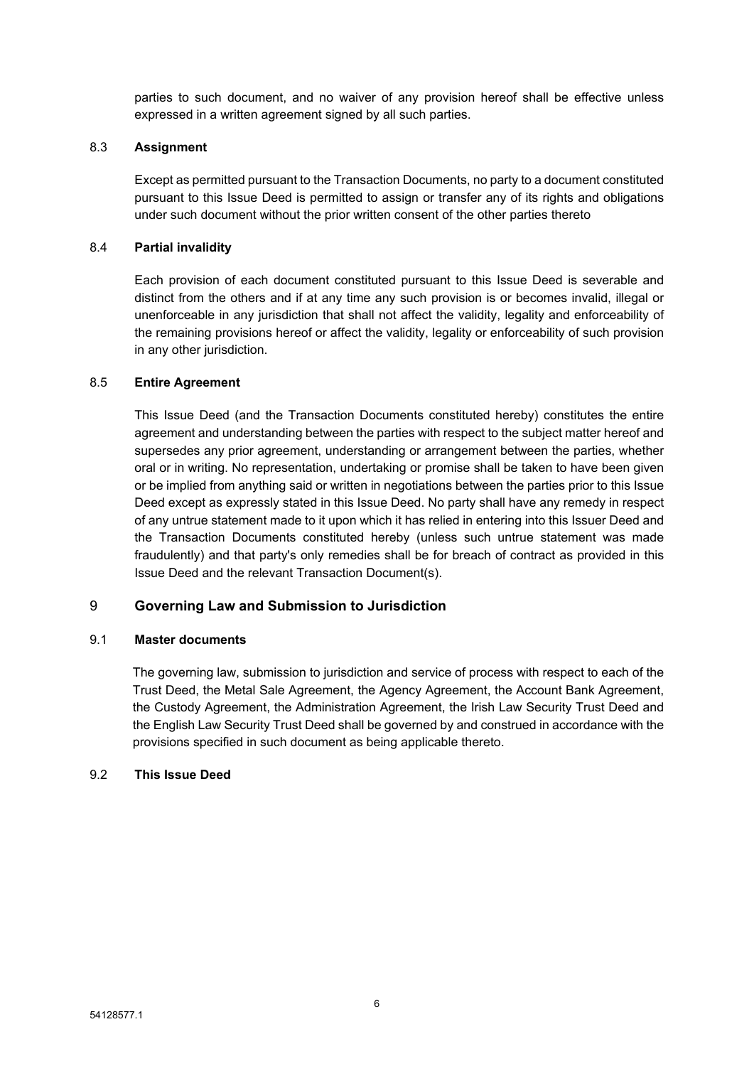parties to such document, and no waiver of any provision hereof shall be effective unless expressed in a written agreement signed by all such parties.

#### 8.3 **Assignment**

Except as permitted pursuant to the Transaction Documents, no party to a document constituted pursuant to this Issue Deed is permitted to assign or transfer any of its rights and obligations under such document without the prior written consent of the other parties thereto

#### 8.4 **Partial invalidity**

Each provision of each document constituted pursuant to this Issue Deed is severable and distinct from the others and if at any time any such provision is or becomes invalid, illegal or unenforceable in any jurisdiction that shall not affect the validity, legality and enforceability of the remaining provisions hereof or affect the validity, legality or enforceability of such provision in any other jurisdiction.

#### 8.5 **Entire Agreement**

This Issue Deed (and the Transaction Documents constituted hereby) constitutes the entire agreement and understanding between the parties with respect to the subject matter hereof and supersedes any prior agreement, understanding or arrangement between the parties, whether oral or in writing. No representation, undertaking or promise shall be taken to have been given or be implied from anything said or written in negotiations between the parties prior to this Issue Deed except as expressly stated in this Issue Deed. No party shall have any remedy in respect of any untrue statement made to it upon which it has relied in entering into this Issuer Deed and the Transaction Documents constituted hereby (unless such untrue statement was made fraudulently) and that party's only remedies shall be for breach of contract as provided in this Issue Deed and the relevant Transaction Document(s).

#### 9 **Governing Law and Submission to Jurisdiction**

#### 9.1 **Master documents**

The governing law, submission to jurisdiction and service of process with respect to each of the Trust Deed, the Metal Sale Agreement, the Agency Agreement, the Account Bank Agreement, the Custody Agreement, the Administration Agreement, the Irish Law Security Trust Deed and the English Law Security Trust Deed shall be governed by and construed in accordance with the provisions specified in such document as being applicable thereto.

#### 9.2 **This Issue Deed**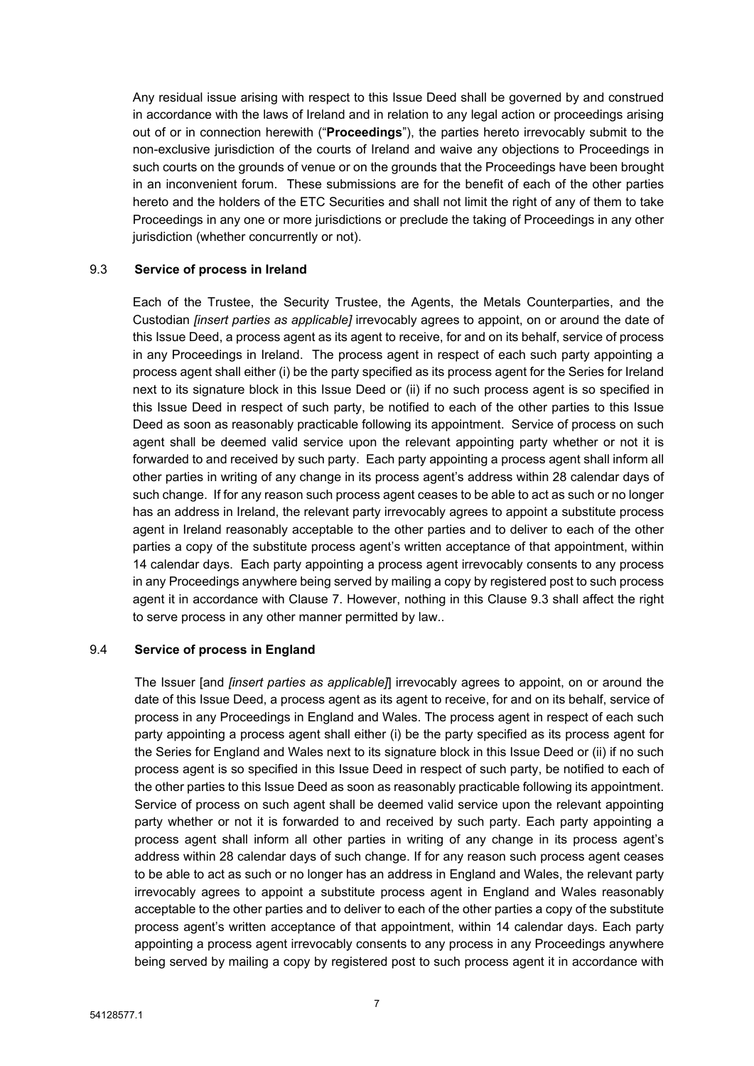Any residual issue arising with respect to this Issue Deed shall be governed by and construed in accordance with the laws of Ireland and in relation to any legal action or proceedings arising out of or in connection herewith ("**Proceedings**"), the parties hereto irrevocably submit to the non-exclusive jurisdiction of the courts of Ireland and waive any objections to Proceedings in such courts on the grounds of venue or on the grounds that the Proceedings have been brought in an inconvenient forum. These submissions are for the benefit of each of the other parties hereto and the holders of the ETC Securities and shall not limit the right of any of them to take Proceedings in any one or more jurisdictions or preclude the taking of Proceedings in any other jurisdiction (whether concurrently or not).

#### 9.3 **Service of process in Ireland**

Each of the Trustee, the Security Trustee, the Agents, the Metals Counterparties, and the Custodian *[insert parties as applicable]* irrevocably agrees to appoint, on or around the date of this Issue Deed, a process agent as its agent to receive, for and on its behalf, service of process in any Proceedings in Ireland. The process agent in respect of each such party appointing a process agent shall either (i) be the party specified as its process agent for the Series for Ireland next to its signature block in this Issue Deed or (ii) if no such process agent is so specified in this Issue Deed in respect of such party, be notified to each of the other parties to this Issue Deed as soon as reasonably practicable following its appointment. Service of process on such agent shall be deemed valid service upon the relevant appointing party whether or not it is forwarded to and received by such party. Each party appointing a process agent shall inform all other parties in writing of any change in its process agent's address within 28 calendar days of such change. If for any reason such process agent ceases to be able to act as such or no longer has an address in Ireland, the relevant party irrevocably agrees to appoint a substitute process agent in Ireland reasonably acceptable to the other parties and to deliver to each of the other parties a copy of the substitute process agent's written acceptance of that appointment, within 14 calendar days. Each party appointing a process agent irrevocably consents to any process in any Proceedings anywhere being served by mailing a copy by registered post to such process agent it in accordance with Clause 7. However, nothing in this Clause 9.3 shall affect the right to serve process in any other manner permitted by law..

#### 9.4 **Service of process in England**

The Issuer [and *[insert parties as applicable]*] irrevocably agrees to appoint, on or around the date of this Issue Deed, a process agent as its agent to receive, for and on its behalf, service of process in any Proceedings in England and Wales. The process agent in respect of each such party appointing a process agent shall either (i) be the party specified as its process agent for the Series for England and Wales next to its signature block in this Issue Deed or (ii) if no such process agent is so specified in this Issue Deed in respect of such party, be notified to each of the other parties to this Issue Deed as soon as reasonably practicable following its appointment. Service of process on such agent shall be deemed valid service upon the relevant appointing party whether or not it is forwarded to and received by such party. Each party appointing a process agent shall inform all other parties in writing of any change in its process agent's address within 28 calendar days of such change. If for any reason such process agent ceases to be able to act as such or no longer has an address in England and Wales, the relevant party irrevocably agrees to appoint a substitute process agent in England and Wales reasonably acceptable to the other parties and to deliver to each of the other parties a copy of the substitute process agent's written acceptance of that appointment, within 14 calendar days. Each party appointing a process agent irrevocably consents to any process in any Proceedings anywhere being served by mailing a copy by registered post to such process agent it in accordance with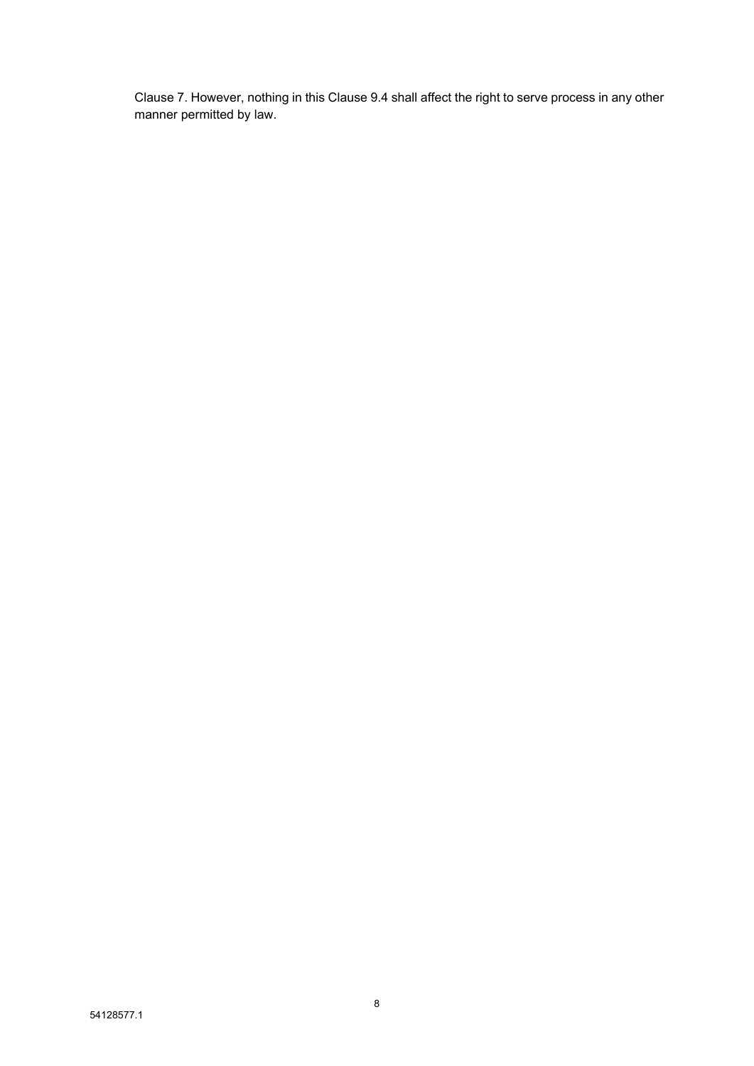Clause 7. However, nothing in this Clause 9.4 shall affect the right to serve process in any other manner permitted by law.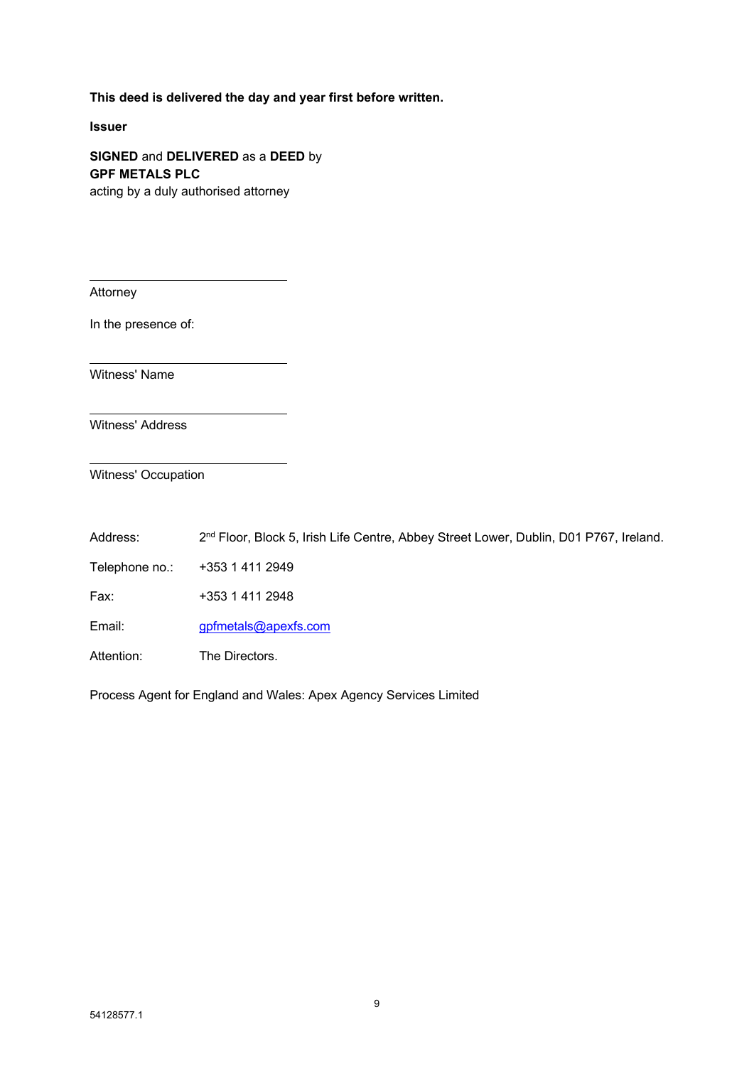#### **This deed is delivered the day and year first before written.**

**Issuer**

**SIGNED** and **DELIVERED** as a **DEED** by **GPF METALS PLC** acting by a duly authorised attorney

Attorney

In the presence of:

Witness' Name

Witness' Address

Witness' Occupation

Address: 2<sup>nd</sup> Floor, Block 5, Irish Life Centre, Abbey Street Lower, Dublin, D01 P767, Ireland.

Telephone no.: +353 1 411 2949

Fax: +353 1 411 2948

Email: gpfmetals@apexfs.com

Attention: The Directors.

Process Agent for England and Wales: Apex Agency Services Limited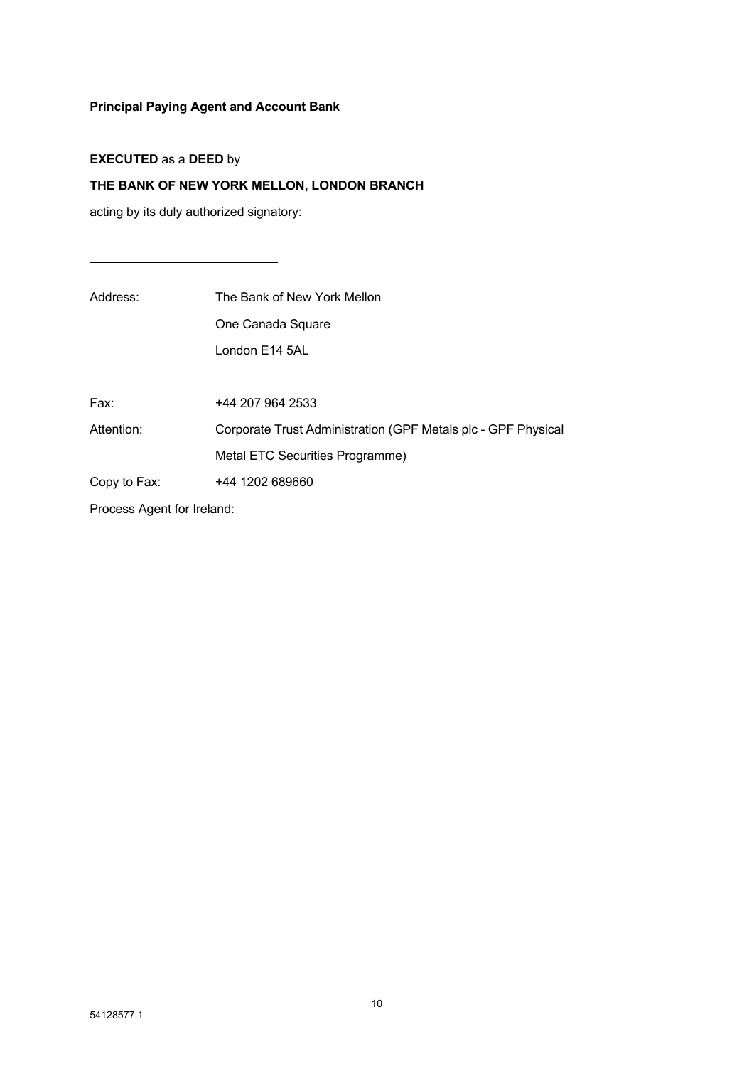# **Principal Paying Agent and Account Bank**

## **EXECUTED** as a **DEED** by

# **THE BANK OF NEW YORK MELLON, LONDON BRANCH**

 $\overline{\phantom{a}}$ 

acting by its duly authorized signatory:

| Address:                   | The Bank of New York Mellon                                   |  |
|----------------------------|---------------------------------------------------------------|--|
|                            | One Canada Square                                             |  |
|                            | London E14 5AL                                                |  |
|                            |                                                               |  |
| Fax:                       | +44 207 964 2533                                              |  |
| Attention:                 | Corporate Trust Administration (GPF Metals plc - GPF Physical |  |
|                            | Metal ETC Securities Programme)                               |  |
| Copy to Fax:               | +44 1202 689660                                               |  |
| Process Agent for Ireland: |                                                               |  |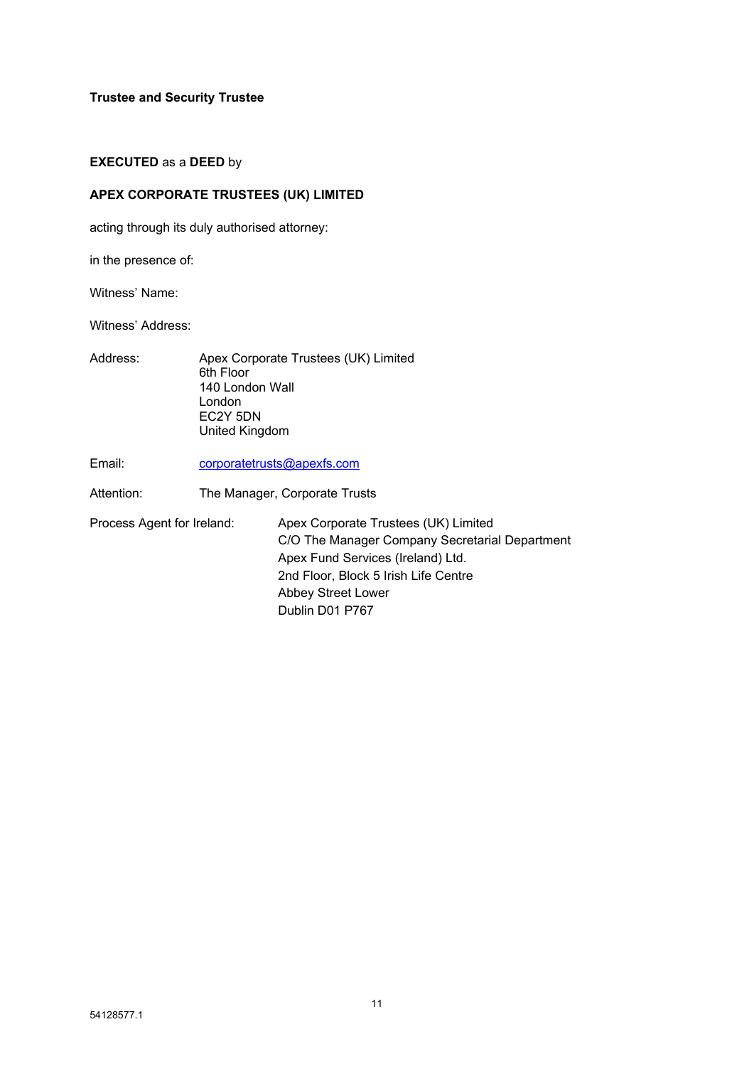**Trustee and Security Trustee**

#### **EXECUTED** as a **DEED** by

#### **APEX CORPORATE TRUSTEES (UK) LIMITED**

acting through its duly authorised attorney:

in the presence of:

Witness' Name:

Witness' Address:

- Address: Apex Corporate Trustees (UK) Limited 6th Floor 140 London Wall London EC2Y 5DN United Kingdom
- Email: corporatetrusts@apexfs.com

Attention: The Manager, Corporate Trusts

Process Agent for Ireland: Apex Corporate Trustees (UK) Limited C/O The Manager Company Secretarial Department Apex Fund Services (Ireland) Ltd. 2nd Floor, Block 5 Irish Life Centre Abbey Street Lower Dublin D01 P767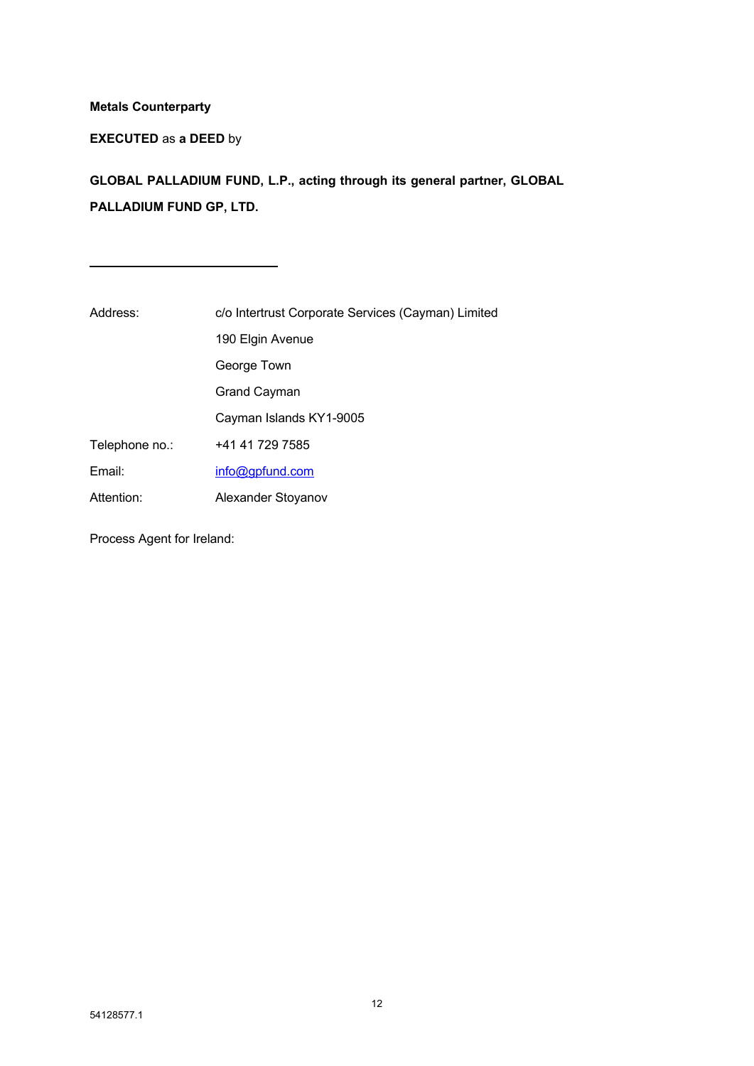### **Metals Counterparty**

**EXECUTED** as **a DEED** by

**GLOBAL PALLADIUM FUND, L.P., acting through its general partner, GLOBAL PALLADIUM FUND GP, LTD.**

| Address:       | c/o Intertrust Corporate Services (Cayman) Limited |  |
|----------------|----------------------------------------------------|--|
|                | 190 Elgin Avenue                                   |  |
|                | George Town                                        |  |
|                | <b>Grand Cayman</b>                                |  |
|                | Cayman Islands KY1-9005                            |  |
| Telephone no.: | +41 41 729 7585                                    |  |
| Email:         | info@gpfund.com                                    |  |
| Attention:     | Alexander Stoyanov                                 |  |

Process Agent for Ireland: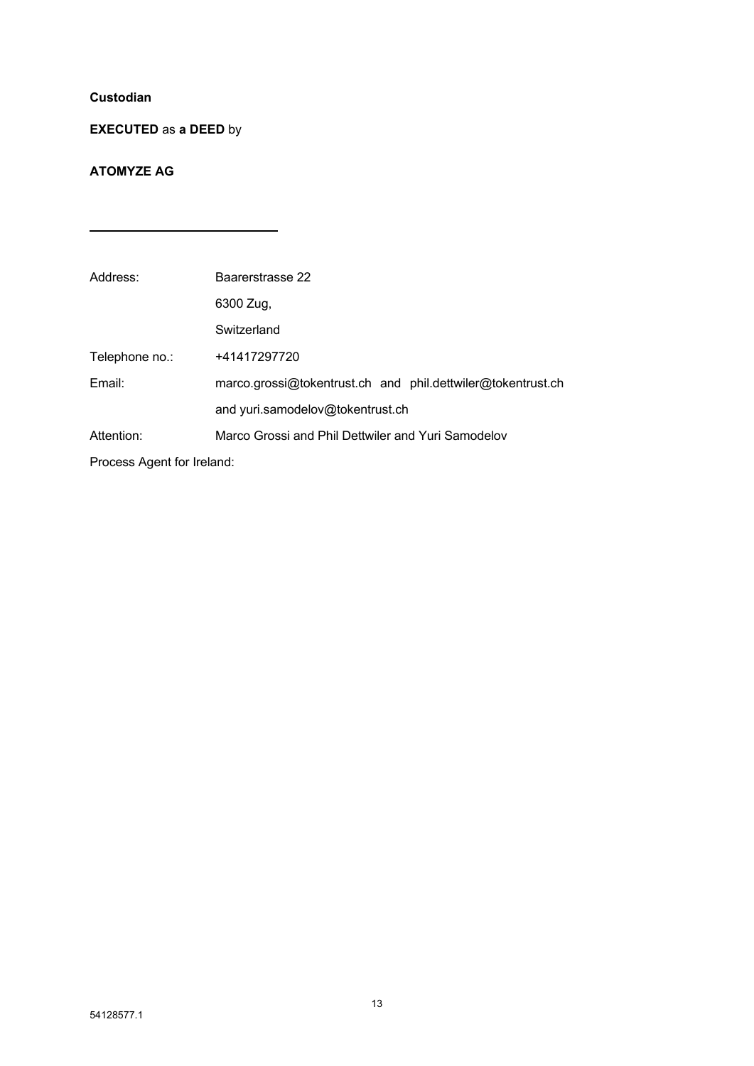### **Custodian**

## **EXECUTED** as **a DEED** by

 $\mathcal{L}^{\mathcal{L}}(\mathcal{L}^{\mathcal{L}})$  and  $\mathcal{L}^{\mathcal{L}}(\mathcal{L}^{\mathcal{L}})$  . The contribution of the set of  $\mathcal{L}^{\mathcal{L}}$ 

 $\overline{\phantom{a}}$ 

### **ATOMYZE AG**

| Address:                   | Baarerstrasse 22                                            |  |
|----------------------------|-------------------------------------------------------------|--|
|                            | 6300 Zug,                                                   |  |
|                            | Switzerland                                                 |  |
| Telephone no.:             | +41417297720                                                |  |
| Email:                     | marco.grossi@tokentrust.ch and phil.dettwiler@tokentrust.ch |  |
|                            | and yuri.samodelov@tokentrust.ch                            |  |
| Attention:                 | Marco Grossi and Phil Dettwiler and Yuri Samodelov          |  |
| Process Agent for Ireland: |                                                             |  |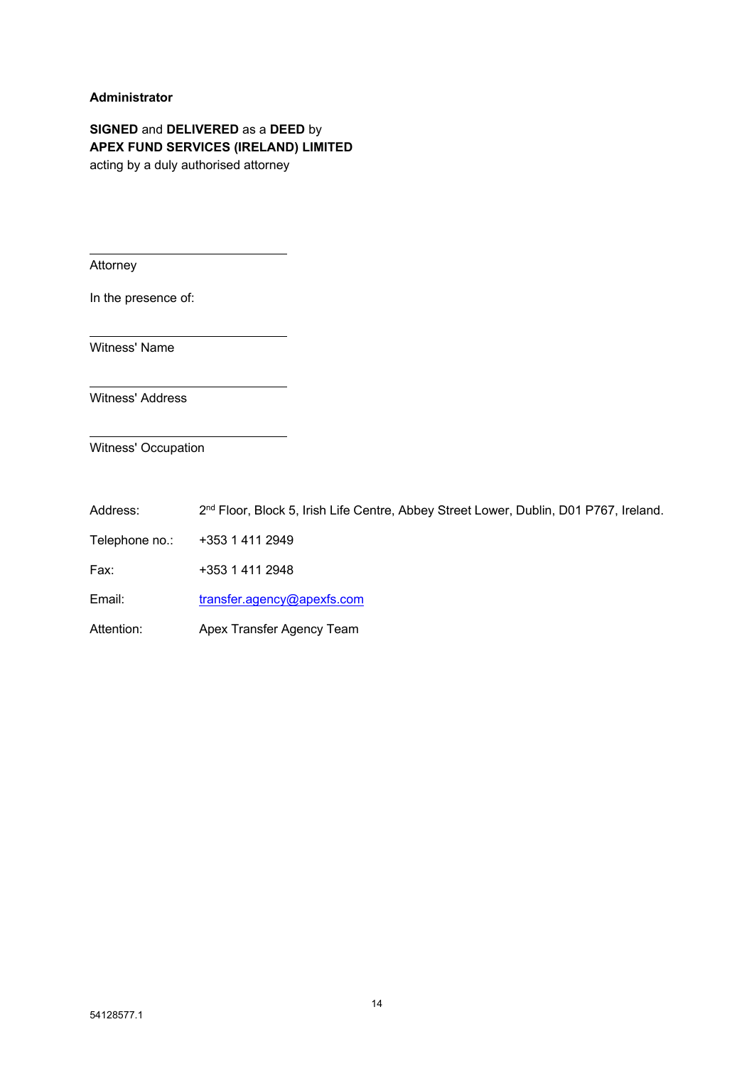#### **Administrator**

**SIGNED** and **DELIVERED** as a **DEED** by **APEX FUND SERVICES (IRELAND) LIMITED** acting by a duly authorised attorney

Attorney

In the presence of:

Witness' Name

Witness' Address

Witness' Occupation

Address: 2<sup>nd</sup> Floor, Block 5, Irish Life Centre, Abbey Street Lower, Dublin, D01 P767, Ireland.

Telephone no.: +353 1 411 2949

Fax: +353 1 411 2948

Email: [transfer.agency@apexfs.com](mailto:transfer.agency@apexfs.com)

Attention: Apex Transfer Agency Team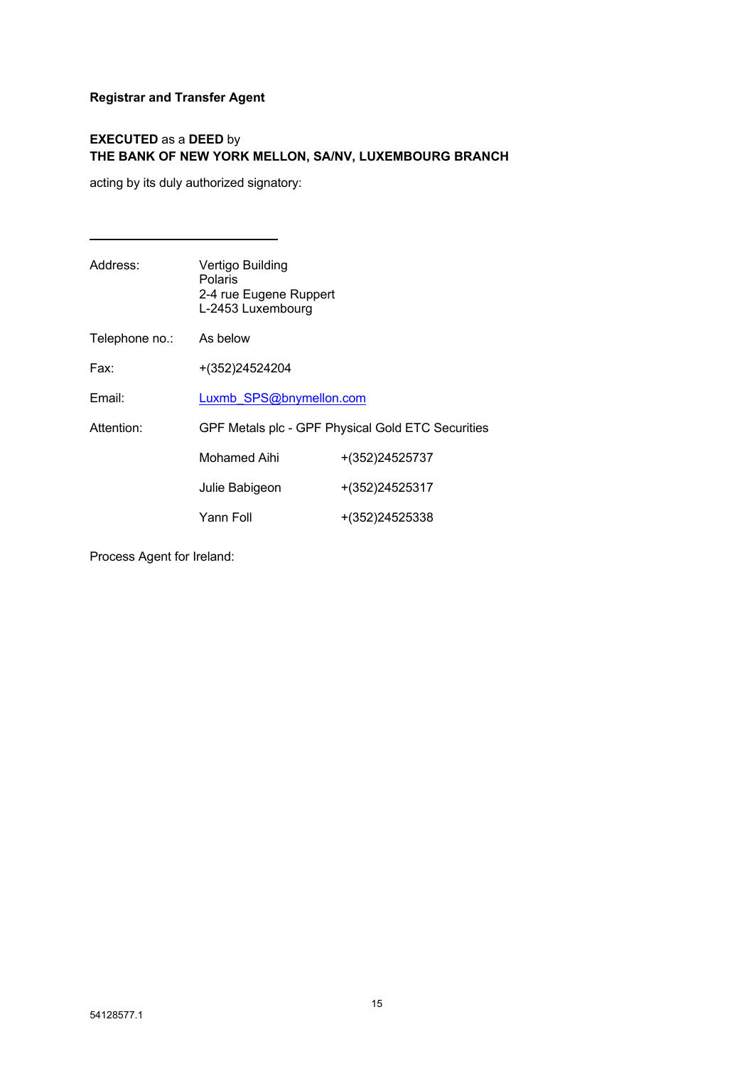### **Registrar and Transfer Agent**

### **EXECUTED** as a **DEED** by **THE BANK OF NEW YORK MELLON, SA/NV, LUXEMBOURG BRANCH**

acting by its duly authorized signatory:

| Address:       | Vertigo Building<br><b>Polaris</b><br>2-4 rue Eugene Ruppert<br>L-2453 Luxembourg |                |
|----------------|-----------------------------------------------------------------------------------|----------------|
| Telephone no.: | As below                                                                          |                |
| Fax:           | +(352)24524204                                                                    |                |
| Email:         | Luxmb SPS@bnymellon.com                                                           |                |
| Attention:     | GPF Metals plc - GPF Physical Gold ETC Securities                                 |                |
|                | Mohamed Aihi                                                                      | +(352)24525737 |
|                | Julie Babigeon                                                                    | +(352)24525317 |
|                | Yann Foll                                                                         | +(352)24525338 |
|                |                                                                                   |                |

Process Agent for Ireland: